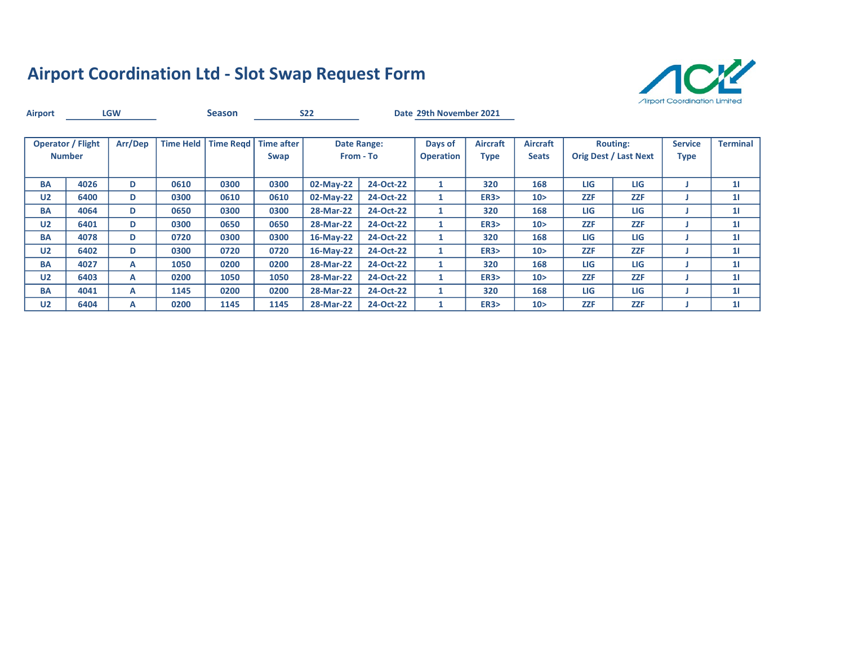

| <b>Airport</b> |                                           | <b>LGW</b> |                  | <b>Season</b> |                           | <b>S22</b> |                                 | Date 29th November 2021     |                                |                                 |            |                                                 |                        |                 |
|----------------|-------------------------------------------|------------|------------------|---------------|---------------------------|------------|---------------------------------|-----------------------------|--------------------------------|---------------------------------|------------|-------------------------------------------------|------------------------|-----------------|
|                | <b>Operator / Flight</b><br><b>Number</b> | Arr/Dep    | <b>Time Held</b> | Time Regd     | <b>Time after</b><br>Swap |            | <b>Date Range:</b><br>From - To | Days of<br><b>Operation</b> | <b>Aircraft</b><br><b>Type</b> | <b>Aircraft</b><br><b>Seats</b> |            | <b>Routing:</b><br><b>Orig Dest / Last Next</b> | <b>Service</b><br>Type | <b>Terminal</b> |
| <b>BA</b>      | 4026                                      | D          | 0610             | 0300          | 0300                      | 02-May-22  | 24-Oct-22                       | 1                           | 320                            | 168                             | LIG        | LIG                                             |                        | 11              |
| U <sub>2</sub> | 6400                                      | D          | 0300             | 0610          | 0610                      | 02-May-22  | 24-Oct-22                       | 1                           | <b>ER3&gt;</b>                 | 10 <sub>2</sub>                 | <b>ZZF</b> | <b>ZZF</b>                                      |                        | 11              |
| <b>BA</b>      | 4064                                      | D          | 0650             | 0300          | 0300                      | 28-Mar-22  | 24-Oct-22                       | $\mathbf{1}$                | 320                            | 168                             | LIG        | LIG                                             |                        | 11              |
| U <sub>2</sub> | 6401                                      | D          | 0300             | 0650          | 0650                      | 28-Mar-22  | 24-Oct-22                       | 1                           | <b>ER3&gt;</b>                 | 10 <sub>2</sub>                 | <b>ZZF</b> | <b>ZZF</b>                                      |                        | 11              |
| <b>BA</b>      | 4078                                      | D          | 0720             | 0300          | 0300                      | 16-May-22  | 24-Oct-22                       | 1                           | 320                            | 168                             | <b>LIG</b> | LIG                                             |                        | 11              |
| U <sub>2</sub> | 6402                                      | D          | 0300             | 0720          | 0720                      | 16-May-22  | 24-Oct-22                       |                             | ER3                            | 10 <sub>2</sub>                 | <b>ZZF</b> | <b>ZZF</b>                                      |                        | 11              |
| BA             | 4027                                      | А          | 1050             | 0200          | 0200                      | 28-Mar-22  | 24-Oct-22                       | 1                           | 320                            | 168                             | <b>LIG</b> | LIG                                             |                        | 11              |
| U <sub>2</sub> | 6403                                      | A          | 0200             | 1050          | 1050                      | 28-Mar-22  | 24-Oct-22                       | 1                           | ER3                            | 10 <sub>2</sub>                 | <b>ZZF</b> | <b>ZZF</b>                                      |                        | 11              |
| <b>BA</b>      | 4041                                      | A          | 1145             | 0200          | 0200                      | 28-Mar-22  | 24-Oct-22                       | $\mathbf{1}$                | 320                            | 168                             | <b>LIG</b> | LIG                                             |                        | 11              |
| U <sub>2</sub> | 6404                                      | А          | 0200             | 1145          | 1145                      | 28-Mar-22  | 24-Oct-22                       |                             | ER3                            | 10 >                            | <b>ZZF</b> | <b>ZZF</b>                                      |                        | 11              |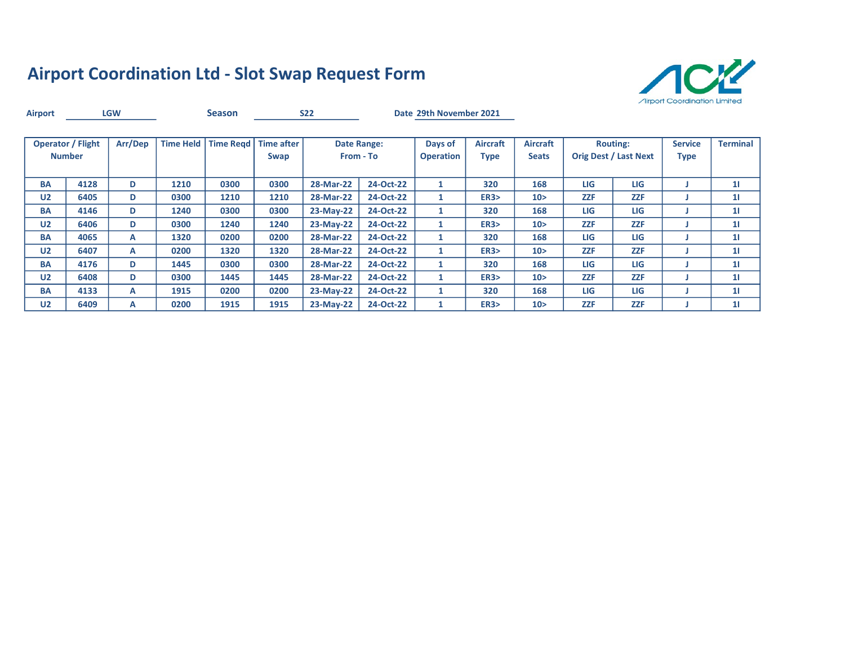

| <b>Airport</b> |                                           | <b>LGW</b> |                  | <b>Season</b> |                           | <b>S22</b> |                                 | Date 29th November 2021     |                                |                                 |            |                                                 |                        |                 |
|----------------|-------------------------------------------|------------|------------------|---------------|---------------------------|------------|---------------------------------|-----------------------------|--------------------------------|---------------------------------|------------|-------------------------------------------------|------------------------|-----------------|
|                | <b>Operator / Flight</b><br><b>Number</b> | Arr/Dep    | <b>Time Held</b> | Time Read     | <b>Time after</b><br>Swap |            | <b>Date Range:</b><br>From - To | Days of<br><b>Operation</b> | <b>Aircraft</b><br><b>Type</b> | <b>Aircraft</b><br><b>Seats</b> |            | <b>Routing:</b><br><b>Orig Dest / Last Next</b> | <b>Service</b><br>Type | <b>Terminal</b> |
| <b>BA</b>      | 4128                                      | D          | 1210             | 0300          | 0300                      | 28-Mar-22  | 24-Oct-22                       | 1                           | 320                            | 168                             | <b>LIG</b> | LIG                                             |                        | 11              |
| U <sub>2</sub> | 6405                                      | D          | 0300             | 1210          | 1210                      | 28-Mar-22  | 24-Oct-22                       | $\mathbf{1}$                | ER3                            | 10 <sub>2</sub>                 | <b>ZZF</b> | <b>ZZF</b>                                      |                        | 11              |
| <b>BA</b>      | 4146                                      | D          | 1240             | 0300          | 0300                      | 23-May-22  | 24-Oct-22                       | 1                           | 320                            | 168                             | <b>LIG</b> | LIG                                             |                        | 11              |
| U <sub>2</sub> | 6406                                      | D          | 0300             | 1240          | 1240                      | 23-May-22  | 24-Oct-22                       | 1                           | <b>ER3&gt;</b>                 | 10 <sub>2</sub>                 | <b>ZZF</b> | <b>ZZF</b>                                      |                        | 11              |
| <b>BA</b>      | 4065                                      | A          | 1320             | 0200          | 0200                      | 28-Mar-22  | 24-Oct-22                       | 1                           | 320                            | 168                             | <b>LIG</b> | LIG                                             |                        | 11              |
| U <sub>2</sub> | 6407                                      | А          | 0200             | 1320          | 1320                      | 28-Mar-22  | 24-Oct-22                       | $\mathbf{1}$                | <b>ER3&gt;</b>                 | 10 >                            | <b>ZZF</b> | <b>ZZF</b>                                      |                        | 11              |
| <b>BA</b>      | 4176                                      | D          | 1445             | 0300          | 0300                      | 28-Mar-22  | 24-Oct-22                       | $\mathbf{1}$                | 320                            | 168                             | LIG        | LIG                                             |                        | 11              |
| U <sub>2</sub> | 6408                                      | D          | 0300             | 1445          | 1445                      | 28-Mar-22  | 24-Oct-22                       | 1                           | ER3                            | 10 <sub>2</sub>                 | <b>ZZF</b> | <b>ZZF</b>                                      |                        | 11              |
| BA             | 4133                                      | А          | 1915             | 0200          | 0200                      | 23-May-22  | 24-Oct-22                       | 1                           | 320                            | 168                             | <b>LIG</b> | LIG                                             |                        | 11              |
| U <sub>2</sub> | 6409                                      | А          | 0200             | 1915          | 1915                      | 23-May-22  | 24-Oct-22                       | 1                           | <b>ER3&gt;</b>                 | 10 <sub>2</sub>                 | <b>ZZF</b> | <b>ZZF</b>                                      |                        | 11              |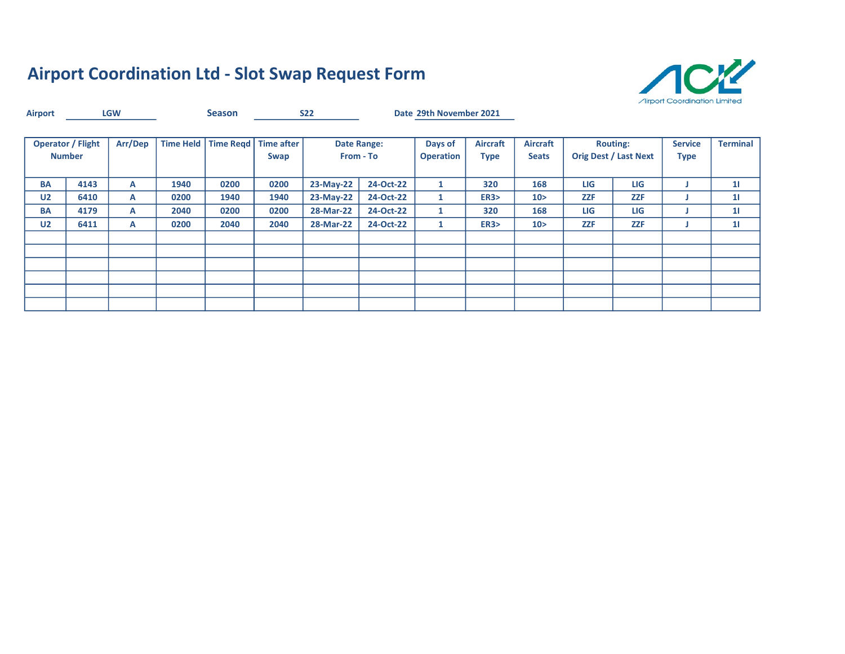

| <b>Airport</b> |                                           | <b>LGW</b> |                  | <b>Season</b> |                                | <b>S22</b> |                                 | Date 29th November 2021     |                                |                                 |            |                                                 |                        |                 |
|----------------|-------------------------------------------|------------|------------------|---------------|--------------------------------|------------|---------------------------------|-----------------------------|--------------------------------|---------------------------------|------------|-------------------------------------------------|------------------------|-----------------|
|                | <b>Operator / Flight</b><br><b>Number</b> | Arr/Dep    | <b>Time Held</b> |               | Time Regd   Time after<br>Swap |            | <b>Date Range:</b><br>From - To | Days of<br><b>Operation</b> | <b>Aircraft</b><br><b>Type</b> | <b>Aircraft</b><br><b>Seats</b> |            | <b>Routing:</b><br><b>Orig Dest / Last Next</b> | <b>Service</b><br>Type | <b>Terminal</b> |
| <b>BA</b>      | 4143                                      | А          | 1940             | 0200          | 0200                           | 23-May-22  | 24-Oct-22                       | $\mathbf{1}$                | 320                            | 168                             | LIG        | LIG                                             |                        | 11              |
| U <sub>2</sub> | 6410                                      | А          | 0200             | 1940          | 1940                           | 23-May-22  | 24-Oct-22                       | $\mathbf{1}$                | ER3                            | 10 <sub>2</sub>                 | <b>ZZF</b> | <b>ZZF</b>                                      |                        | 11              |
| <b>BA</b>      | 4179                                      | A          | 2040             | 0200          | 0200                           | 28-Mar-22  | 24-Oct-22                       | $\mathbf{1}$                | 320                            | 168                             | <b>LIG</b> | LIG                                             |                        | 11              |
| U <sub>2</sub> | 6411                                      | А          | 0200             | 2040          | 2040                           | 28-Mar-22  | 24-Oct-22                       | $\mathbf{1}$                | ER3                            | 10 <sub>2</sub>                 | <b>ZZF</b> | <b>ZZF</b>                                      |                        | 11              |
|                |                                           |            |                  |               |                                |            |                                 |                             |                                |                                 |            |                                                 |                        |                 |
|                |                                           |            |                  |               |                                |            |                                 |                             |                                |                                 |            |                                                 |                        |                 |
|                |                                           |            |                  |               |                                |            |                                 |                             |                                |                                 |            |                                                 |                        |                 |
|                |                                           |            |                  |               |                                |            |                                 |                             |                                |                                 |            |                                                 |                        |                 |
|                |                                           |            |                  |               |                                |            |                                 |                             |                                |                                 |            |                                                 |                        |                 |
|                |                                           |            |                  |               |                                |            |                                 |                             |                                |                                 |            |                                                 |                        |                 |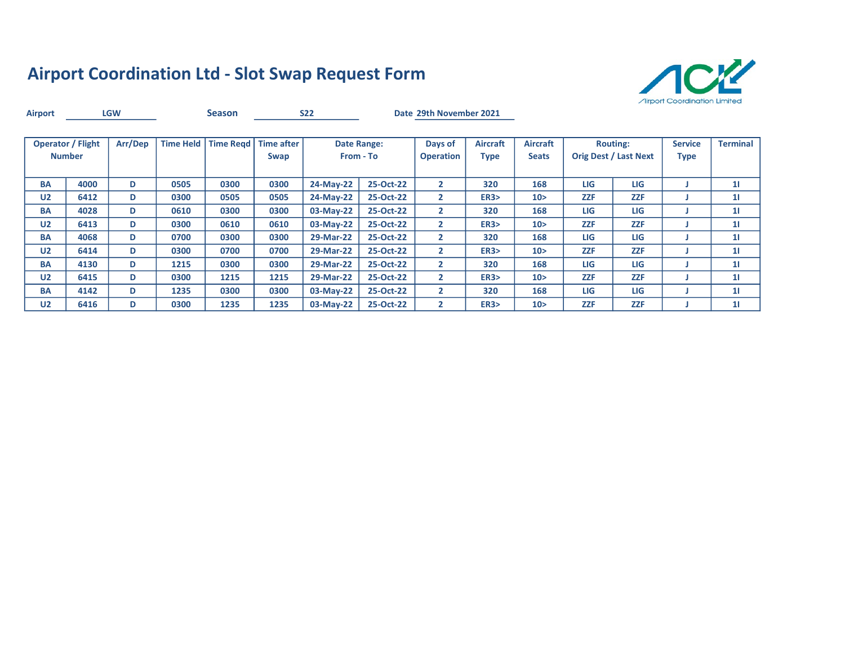

| <b>Airport</b> |                                           | <b>LGW</b> |                  | <b>Season</b> |                           | <b>S22</b> |                                 | Date 29th November 2021     |                                |                                 |            |                                                 |                        |                 |
|----------------|-------------------------------------------|------------|------------------|---------------|---------------------------|------------|---------------------------------|-----------------------------|--------------------------------|---------------------------------|------------|-------------------------------------------------|------------------------|-----------------|
|                | <b>Operator / Flight</b><br><b>Number</b> | Arr/Dep    | <b>Time Held</b> | Time Read     | <b>Time after</b><br>Swap |            | <b>Date Range:</b><br>From - To | Days of<br><b>Operation</b> | <b>Aircraft</b><br><b>Type</b> | <b>Aircraft</b><br><b>Seats</b> |            | <b>Routing:</b><br><b>Orig Dest / Last Next</b> | <b>Service</b><br>Type | <b>Terminal</b> |
| <b>BA</b>      | 4000                                      | D          | 0505             | 0300          | 0300                      | 24-May-22  | 25-Oct-22                       | $\mathbf{2}$                | 320                            | 168                             | <b>LIG</b> | LIG                                             |                        | 11              |
| U <sub>2</sub> | 6412                                      | D          | 0300             | 0505          | 0505                      | 24-May-22  | 25-Oct-22                       | $\overline{2}$              | <b>ER3&gt;</b>                 | 10 <sub>2</sub>                 | <b>ZZF</b> | <b>ZZF</b>                                      |                        | 11              |
| <b>BA</b>      | 4028                                      | D          | 0610             | 0300          | 0300                      | 03-May-22  | 25-Oct-22                       | $\mathbf{2}$                | 320                            | 168                             | <b>LIG</b> | LIG                                             |                        | 11              |
| U <sub>2</sub> | 6413                                      | D          | 0300             | 0610          | 0610                      | 03-May-22  | 25-Oct-22                       | $\mathbf{2}$                | <b>ER3&gt;</b>                 | 10 <sub>2</sub>                 | <b>ZZF</b> | <b>ZZF</b>                                      |                        | 11              |
| <b>BA</b>      | 4068                                      | D          | 0700             | 0300          | 0300                      | 29-Mar-22  | 25-Oct-22                       | $\mathbf{2}$                | 320                            | 168                             | <b>LIG</b> | LIG                                             |                        | 11              |
| U <sub>2</sub> | 6414                                      | D          | 0300             | 0700          | 0700                      | 29-Mar-22  | 25-Oct-22                       | $\mathbf{2}$                | <b>ER3&gt;</b>                 | 10 >                            | <b>ZZF</b> | <b>ZZF</b>                                      |                        | 11              |
| <b>BA</b>      | 4130                                      | D          | 1215             | 0300          | 0300                      | 29-Mar-22  | 25-Oct-22                       | $\mathbf{2}$                | 320                            | 168                             | LIG        | LIG                                             |                        | 11              |
| U <sub>2</sub> | 6415                                      | D          | 0300             | 1215          | 1215                      | 29-Mar-22  | 25-Oct-22                       | $\mathbf{2}$                | ER3                            | 10 <sub>2</sub>                 | <b>ZZF</b> | <b>ZZF</b>                                      |                        | 11              |
| BA             | 4142                                      | D          | 1235             | 0300          | 0300                      | 03-May-22  | 25-Oct-22                       | $\mathbf{2}$                | 320                            | 168                             | <b>LIG</b> | LIG                                             |                        | 11              |
| U <sub>2</sub> | 6416                                      | D          | 0300             | 1235          | 1235                      | 03-May-22  | 25-Oct-22                       | $\mathbf{2}$                | <b>ER3&gt;</b>                 | 10 <sub>2</sub>                 | <b>ZZF</b> | <b>ZZF</b>                                      |                        | 11              |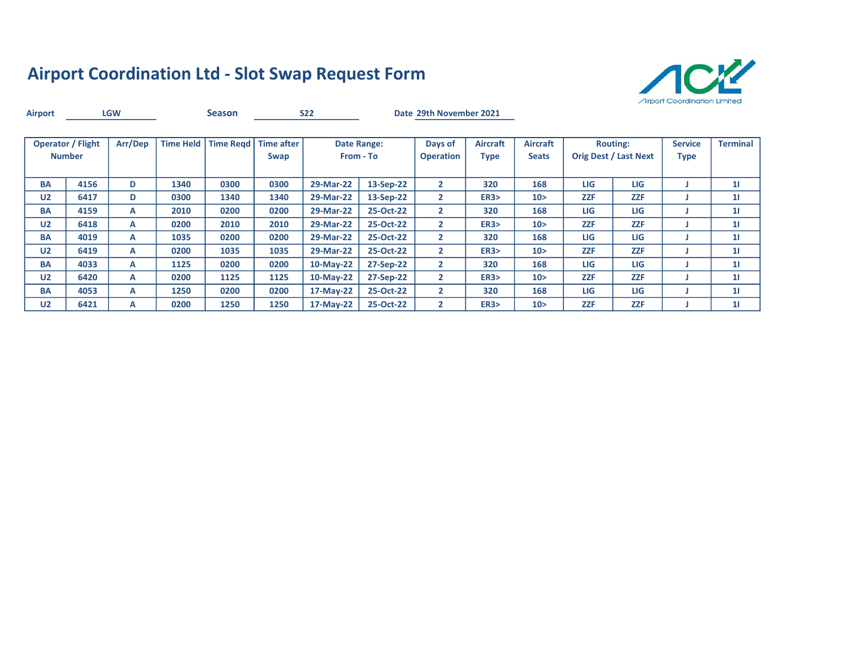

| <b>Airport</b> |                                           | <b>LGW</b> |                  | <b>Season</b> |                           | <b>S22</b> |                                 | Date 29th November 2021     |                                |                                 |            |                                                 |                        |                 |
|----------------|-------------------------------------------|------------|------------------|---------------|---------------------------|------------|---------------------------------|-----------------------------|--------------------------------|---------------------------------|------------|-------------------------------------------------|------------------------|-----------------|
|                | <b>Operator / Flight</b><br><b>Number</b> | Arr/Dep    | <b>Time Held</b> | Time Read     | <b>Time after</b><br>Swap |            | <b>Date Range:</b><br>From - To | Days of<br><b>Operation</b> | <b>Aircraft</b><br><b>Type</b> | <b>Aircraft</b><br><b>Seats</b> |            | <b>Routing:</b><br><b>Orig Dest / Last Next</b> | <b>Service</b><br>Type | <b>Terminal</b> |
| <b>BA</b>      | 4156                                      | D          | 1340             | 0300          | 0300                      | 29-Mar-22  | 13-Sep-22                       | $\mathbf{2}$                | 320                            | 168                             | LIG        | LIG                                             |                        | 11              |
| U <sub>2</sub> | 6417                                      | D          | 0300             | 1340          | 1340                      | 29-Mar-22  | 13-Sep-22                       | $\mathbf{2}$                | ER3                            | 10 <sub>2</sub>                 | <b>ZZF</b> | <b>ZZF</b>                                      |                        | 11              |
| <b>BA</b>      | 4159                                      | А          | 2010             | 0200          | 0200                      | 29-Mar-22  | 25-Oct-22                       | $\mathbf{2}$                | 320                            | 168                             | LIG        | LIG                                             |                        | 11              |
| U <sub>2</sub> | 6418                                      | A          | 0200             | 2010          | 2010                      | 29-Mar-22  | 25-Oct-22                       | $\mathbf{2}$                | <b>ER3&gt;</b>                 | 10 <sub>2</sub>                 | <b>ZZF</b> | <b>ZZF</b>                                      |                        | 11              |
| <b>BA</b>      | 4019                                      | A          | 1035             | 0200          | 0200                      | 29-Mar-22  | 25-Oct-22                       | $\mathbf{2}$                | 320                            | 168                             | <b>LIG</b> | LIG                                             |                        | 11              |
| U <sub>2</sub> | 6419                                      | А          | 0200             | 1035          | 1035                      | 29-Mar-22  | 25-Oct-22                       | $\mathbf{2}$                | <b>ER3&gt;</b>                 | 10 >                            | <b>ZZF</b> | <b>ZZF</b>                                      |                        | 11              |
| <b>BA</b>      | 4033                                      | А          | 1125             | 0200          | 0200                      | 10-May-22  | 27-Sep-22                       | $\mathbf{2}$                | 320                            | 168                             | LIG        | LIG                                             |                        | 11              |
| U <sub>2</sub> | 6420                                      | A          | 0200             | 1125          | 1125                      | 10-May-22  | 27-Sep-22                       | $\mathbf{2}$                | ER3                            | 10 <sub>2</sub>                 | <b>ZZF</b> | <b>ZZF</b>                                      |                        | 11              |
| BA             | 4053                                      | А          | 1250             | 0200          | 0200                      | 17-May-22  | 25-Oct-22                       | $\mathbf{2}$                | 320                            | 168                             | <b>LIG</b> | LIG                                             |                        | 11              |
| U <sub>2</sub> | 6421                                      | А          | 0200             | 1250          | 1250                      | 17-May-22  | 25-Oct-22                       | $\mathbf{2}$                | <b>ER3&gt;</b>                 | 10 <sub>2</sub>                 | <b>ZZF</b> | <b>ZZF</b>                                      |                        | 11              |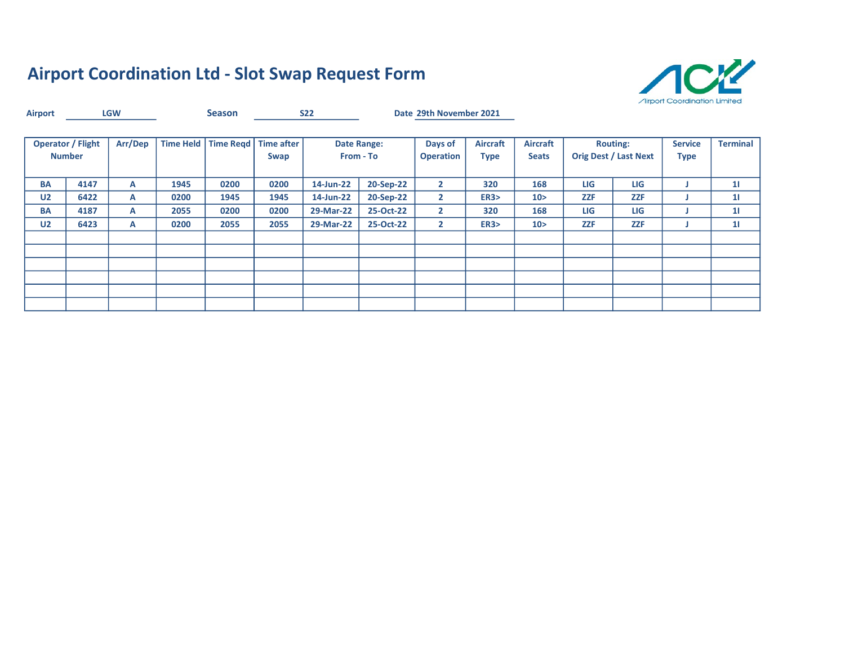

| <b>Airport</b> |                                           | <b>LGW</b> |                  | <b>Season</b> |                                | <b>S22</b> |                                 | Date 29th November 2021     |                                |                                 |            |                                                 |                        |                 |
|----------------|-------------------------------------------|------------|------------------|---------------|--------------------------------|------------|---------------------------------|-----------------------------|--------------------------------|---------------------------------|------------|-------------------------------------------------|------------------------|-----------------|
|                | <b>Operator / Flight</b><br><b>Number</b> | Arr/Dep    | <b>Time Held</b> |               | Time Regd   Time after<br>Swap |            | <b>Date Range:</b><br>From - To | Days of<br><b>Operation</b> | <b>Aircraft</b><br><b>Type</b> | <b>Aircraft</b><br><b>Seats</b> |            | <b>Routing:</b><br><b>Orig Dest / Last Next</b> | <b>Service</b><br>Type | <b>Terminal</b> |
| <b>BA</b>      | 4147                                      | A          | 1945             | 0200          | 0200                           | 14-Jun-22  | 20-Sep-22                       | $\mathbf{2}$                | 320                            | 168                             | <b>LIG</b> | LIG                                             |                        | 11              |
| U <sub>2</sub> | 6422                                      | А          | 0200             | 1945          | 1945                           | 14-Jun-22  | 20-Sep-22                       | $\mathbf{2}$                | ER3                            | 10 <sub>2</sub>                 | <b>ZZF</b> | <b>ZZF</b>                                      |                        | 11              |
| <b>BA</b>      | 4187                                      | A          | 2055             | 0200          | 0200                           | 29-Mar-22  | 25-Oct-22                       | $\overline{2}$              | 320                            | 168                             | <b>LIG</b> | LIG                                             |                        | 11              |
| U <sub>2</sub> | 6423                                      | А          | 0200             | 2055          | 2055                           | 29-Mar-22  | 25-Oct-22                       | $\mathbf{2}$                | ER3                            | 10 <sub>2</sub>                 | <b>ZZF</b> | <b>ZZF</b>                                      |                        | 11              |
|                |                                           |            |                  |               |                                |            |                                 |                             |                                |                                 |            |                                                 |                        |                 |
|                |                                           |            |                  |               |                                |            |                                 |                             |                                |                                 |            |                                                 |                        |                 |
|                |                                           |            |                  |               |                                |            |                                 |                             |                                |                                 |            |                                                 |                        |                 |
|                |                                           |            |                  |               |                                |            |                                 |                             |                                |                                 |            |                                                 |                        |                 |
|                |                                           |            |                  |               |                                |            |                                 |                             |                                |                                 |            |                                                 |                        |                 |
|                |                                           |            |                  |               |                                |            |                                 |                             |                                |                                 |            |                                                 |                        |                 |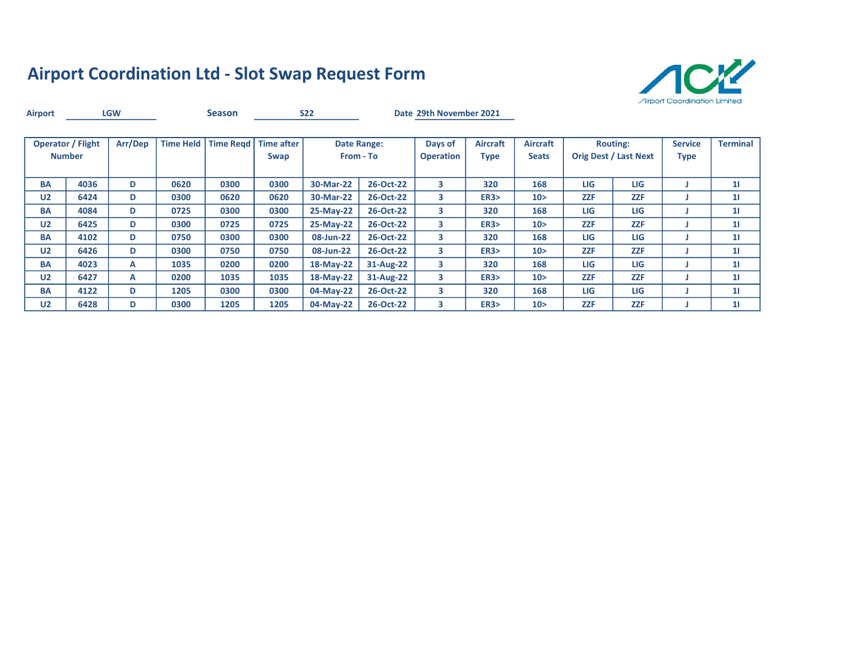

| <b>Airport</b> |                                           | <b>LGW</b> |                  | <b>Season</b> |                           | <b>S22</b> |                                 | Date 29th November 2021     |                                |                                 |            |                                                 |                        |                 |
|----------------|-------------------------------------------|------------|------------------|---------------|---------------------------|------------|---------------------------------|-----------------------------|--------------------------------|---------------------------------|------------|-------------------------------------------------|------------------------|-----------------|
|                | <b>Operator / Flight</b><br><b>Number</b> | Arr/Dep    | <b>Time Held</b> | Time Read     | <b>Time after</b><br>Swap |            | <b>Date Range:</b><br>From - To | Days of<br><b>Operation</b> | <b>Aircraft</b><br><b>Type</b> | <b>Aircraft</b><br><b>Seats</b> |            | <b>Routing:</b><br><b>Orig Dest / Last Next</b> | <b>Service</b><br>Type | <b>Terminal</b> |
| <b>BA</b>      | 4036                                      | D          | 0620             | 0300          | 0300                      | 30-Mar-22  | 26-Oct-22                       | 3                           | 320                            | 168                             | <b>LIG</b> | LIG                                             |                        | 11              |
| U <sub>2</sub> | 6424                                      | D          | 0300             | 0620          | 0620                      | 30-Mar-22  | 26-Oct-22                       | 3                           | ER3                            | 10 <sub>2</sub>                 | <b>ZZF</b> | <b>ZZF</b>                                      |                        | 11              |
| <b>BA</b>      | 4084                                      | D          | 0725             | 0300          | 0300                      | 25-May-22  | 26-Oct-22                       | 3                           | 320                            | 168                             | <b>LIG</b> | LIG                                             |                        | 11              |
| U <sub>2</sub> | 6425                                      | D          | 0300             | 0725          | 0725                      | 25-May-22  | 26-Oct-22                       | 3                           | <b>ER3&gt;</b>                 | 10 <sub>2</sub>                 | <b>ZZF</b> | <b>ZZF</b>                                      |                        | 11              |
| <b>BA</b>      | 4102                                      | D          | 0750             | 0300          | 0300                      | 08-Jun-22  | 26-Oct-22                       | 3                           | 320                            | 168                             | <b>LIG</b> | LIG                                             |                        | 11              |
| U <sub>2</sub> | 6426                                      | D          | 0300             | 0750          | 0750                      | 08-Jun-22  | 26-Oct-22                       | 3                           | <b>ER3&gt;</b>                 | 10 <sub>2</sub>                 | <b>ZZF</b> | <b>ZZF</b>                                      |                        | 11              |
| <b>BA</b>      | 4023                                      | А          | 1035             | 0200          | 0200                      | 18-May-22  | 31-Aug-22                       | 3                           | 320                            | 168                             | LIG        | <b>LIG</b>                                      |                        | 11              |
| U <sub>2</sub> | 6427                                      | A          | 0200             | 1035          | 1035                      | 18-May-22  | 31-Aug-22                       | 3                           | ER3                            | 10 <sub>2</sub>                 | <b>ZZF</b> | <b>ZZF</b>                                      |                        | 11              |
| BA             | 4122                                      | D          | 1205             | 0300          | 0300                      | 04-May-22  | 26-Oct-22                       | 3                           | 320                            | 168                             | <b>LIG</b> | LIG                                             |                        | 11              |
| U <sub>2</sub> | 6428                                      | D          | 0300             | 1205          | 1205                      | 04-May-22  | 26-Oct-22                       | 3                           | <b>ER3&gt;</b>                 | 10 <sub>2</sub>                 | <b>ZZF</b> | <b>ZZF</b>                                      |                        | 11              |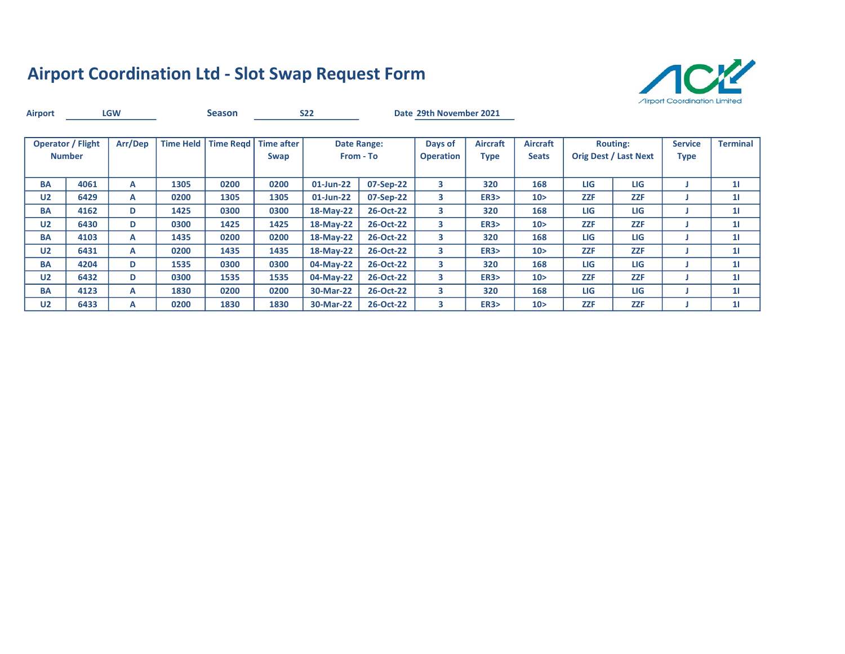

| <b>Airport</b> |                                           | <b>LGW</b> |                  | <b>Season</b> |                           | <b>S22</b>   |                          | Date 29th November 2021     |                                |                                 |            |                                                 |                               |                 |
|----------------|-------------------------------------------|------------|------------------|---------------|---------------------------|--------------|--------------------------|-----------------------------|--------------------------------|---------------------------------|------------|-------------------------------------------------|-------------------------------|-----------------|
|                | <b>Operator / Flight</b><br><b>Number</b> | Arr/Dep    | <b>Time Held</b> | Time Read     | <b>Time after</b><br>Swap |              | Date Range:<br>From - To | Days of<br><b>Operation</b> | <b>Aircraft</b><br><b>Type</b> | <b>Aircraft</b><br><b>Seats</b> |            | <b>Routing:</b><br><b>Orig Dest / Last Next</b> | <b>Service</b><br><b>Type</b> | <b>Terminal</b> |
| <b>BA</b>      | 4061                                      | A          | 1305             | 0200          | 0200                      | $01$ -Jun-22 | 07-Sep-22                | 3                           | 320                            | 168                             | <b>LIG</b> | LIG                                             |                               | 11              |
| U <sub>2</sub> | 6429                                      | A          | 0200             | 1305          | 1305                      | $01$ -Jun-22 | 07-Sep-22                | 3                           | <b>ER3&gt;</b>                 | 10 <sub>2</sub>                 | <b>ZZF</b> | <b>ZZF</b>                                      |                               | 11              |
| <b>BA</b>      | 4162                                      | D          | 1425             | 0300          | 0300                      | 18-May-22    | 26-Oct-22                | 3                           | 320                            | 168                             | LIG        | LIG                                             |                               | 11              |
| U <sub>2</sub> | 6430                                      | D          | 0300             | 1425          | 1425                      | 18-May-22    | 26-Oct-22                | 3                           | <b>ER3&gt;</b>                 | 10 <sub>2</sub>                 | <b>ZZF</b> | <b>ZZF</b>                                      |                               | 11              |
| <b>BA</b>      | 4103                                      | А          | 1435             | 0200          | 0200                      | 18-May-22    | 26-Oct-22                | 3                           | 320                            | 168                             | LIG        | LIG                                             |                               | 11              |
| U <sub>2</sub> | 6431                                      | А          | 0200             | 1435          | 1435                      | 18-May-22    | 26-Oct-22                | 3                           | <b>ER3&gt;</b>                 | 10 <sub>2</sub>                 | <b>ZZF</b> | <b>ZZF</b>                                      |                               | 11              |
| <b>BA</b>      | 4204                                      | D          | 1535             | 0300          | 0300                      | 04-May-22    | 26-Oct-22                | 3                           | 320                            | 168                             | <b>LIG</b> | LIG                                             |                               | 11              |
| U <sub>2</sub> | 6432                                      | D          | 0300             | 1535          | 1535                      | 04-May-22    | 26-Oct-22                | 3                           | <b>ER3&gt;</b>                 | 10 <sub>2</sub>                 | <b>ZZF</b> | <b>ZZF</b>                                      |                               | 11              |
| <b>BA</b>      | 4123                                      | A          | 1830             | 0200          | 0200                      | 30-Mar-22    | 26-Oct-22                | 3                           | 320                            | 168                             | <b>LIG</b> | LIG                                             |                               | 11              |
| U <sub>2</sub> | 6433                                      | А          | 0200             | 1830          | 1830                      | 30-Mar-22    | 26-Oct-22                | 3                           | ER3                            | 10 <sub>2</sub>                 | <b>ZZF</b> | <b>ZZF</b>                                      |                               | 11              |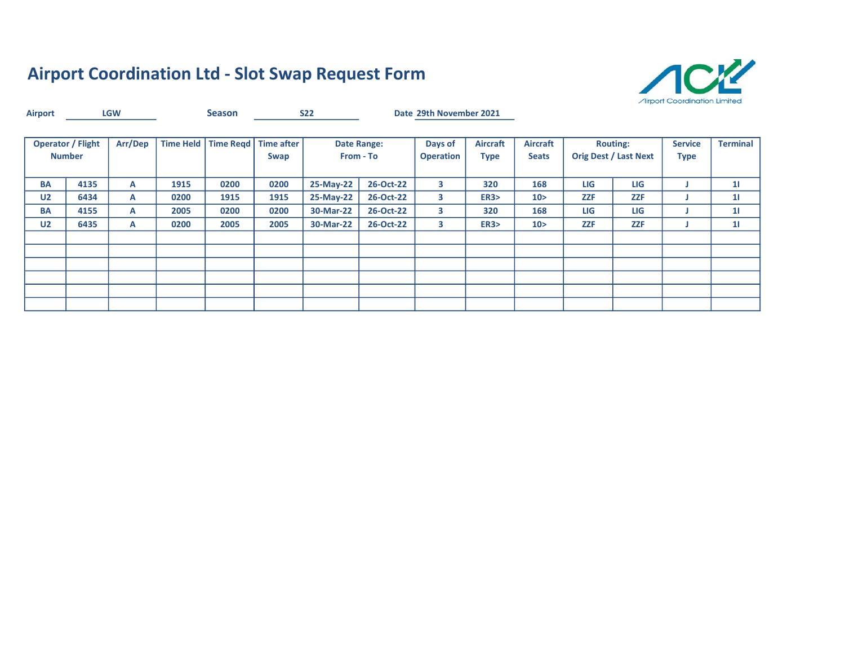

| <b>Airport</b> |                                           | <b>LGW</b> |                  | <b>Season</b> |                                | <b>S22</b> |                                 | Date 29th November 2021     |                                |                                 |            |                                                 |                        |                 |
|----------------|-------------------------------------------|------------|------------------|---------------|--------------------------------|------------|---------------------------------|-----------------------------|--------------------------------|---------------------------------|------------|-------------------------------------------------|------------------------|-----------------|
|                | <b>Operator / Flight</b><br><b>Number</b> | Arr/Dep    | <b>Time Held</b> |               | Time Regd   Time after<br>Swap |            | <b>Date Range:</b><br>From - To | Days of<br><b>Operation</b> | <b>Aircraft</b><br><b>Type</b> | <b>Aircraft</b><br><b>Seats</b> |            | <b>Routing:</b><br><b>Orig Dest / Last Next</b> | <b>Service</b><br>Type | <b>Terminal</b> |
| <b>BA</b>      | 4135                                      | А          | 1915             | 0200          | 0200                           | 25-May-22  | 26-Oct-22                       | 3                           | 320                            | 168                             | <b>LIG</b> | LIG                                             |                        | 11              |
| U <sub>2</sub> | 6434                                      | A          | 0200             | 1915          | 1915                           | 25-May-22  | 26-Oct-22                       | 3                           | ER3                            | 10 <sub>2</sub>                 | <b>ZZF</b> | <b>ZZF</b>                                      |                        | 11              |
| BA             | 4155                                      | А          | 2005             | 0200          | 0200                           | 30-Mar-22  | 26-Oct-22                       | 3                           | 320                            | 168                             | <b>LIG</b> | LIG                                             |                        | 11              |
| U <sub>2</sub> | 6435                                      | А          | 0200             | 2005          | 2005                           | 30-Mar-22  | 26-Oct-22                       | 3                           | ER3                            | 10 <sub>2</sub>                 | <b>ZZF</b> | <b>ZZF</b>                                      | J.                     | 11              |
|                |                                           |            |                  |               |                                |            |                                 |                             |                                |                                 |            |                                                 |                        |                 |
|                |                                           |            |                  |               |                                |            |                                 |                             |                                |                                 |            |                                                 |                        |                 |
|                |                                           |            |                  |               |                                |            |                                 |                             |                                |                                 |            |                                                 |                        |                 |
|                |                                           |            |                  |               |                                |            |                                 |                             |                                |                                 |            |                                                 |                        |                 |
|                |                                           |            |                  |               |                                |            |                                 |                             |                                |                                 |            |                                                 |                        |                 |
|                |                                           |            |                  |               |                                |            |                                 |                             |                                |                                 |            |                                                 |                        |                 |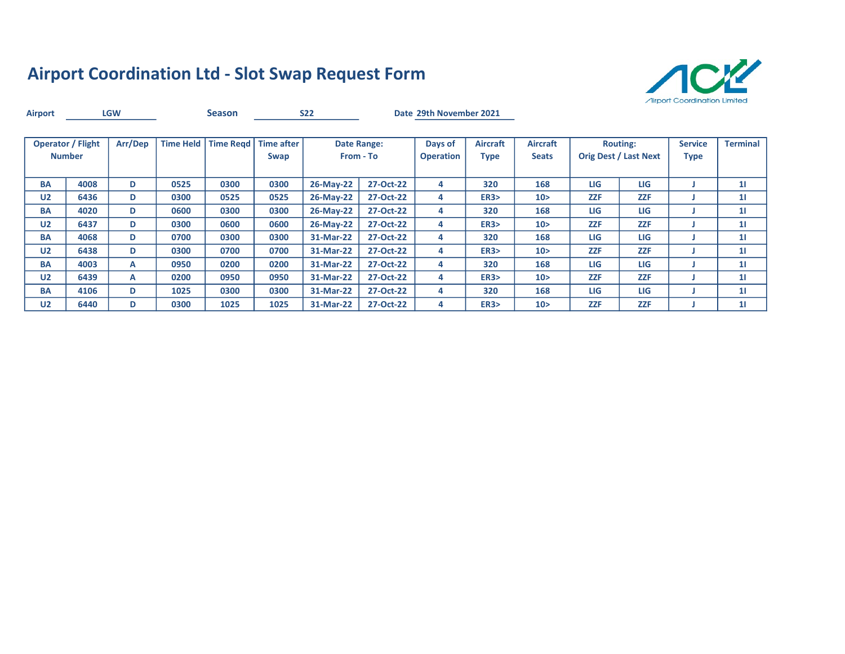

| <b>Airport</b> |                                           | <b>LGW</b> |                  | <b>Season</b> |                                       | <b>S22</b> |                                 | Date 29th November 2021     |                                |                                 |            |                                                 |                               |                 |
|----------------|-------------------------------------------|------------|------------------|---------------|---------------------------------------|------------|---------------------------------|-----------------------------|--------------------------------|---------------------------------|------------|-------------------------------------------------|-------------------------------|-----------------|
|                | <b>Operator / Flight</b><br><b>Number</b> | Arr/Dep    | <b>Time Held</b> |               | Time Regd   Time after<br><b>Swap</b> |            | <b>Date Range:</b><br>From - To | Days of<br><b>Operation</b> | <b>Aircraft</b><br><b>Type</b> | <b>Aircraft</b><br><b>Seats</b> |            | <b>Routing:</b><br><b>Orig Dest / Last Next</b> | <b>Service</b><br><b>Type</b> | <b>Terminal</b> |
| <b>BA</b>      | 4008                                      | D          | 0525             | 0300          | 0300                                  | 26-May-22  | 27-Oct-22                       | 4                           | 320                            | 168                             | <b>LIG</b> | LIG                                             |                               | 11              |
| U <sub>2</sub> | 6436                                      | D          | 0300             | 0525          | 0525                                  | 26-May-22  | 27-Oct-22                       | 4                           | ER3                            | 10 <sub>2</sub>                 | <b>ZZF</b> | <b>ZZF</b>                                      |                               | 11              |
| <b>BA</b>      | 4020                                      | D          | 0600             | 0300          | 0300                                  | 26-May-22  | 27-Oct-22                       | 4                           | 320                            | 168                             | LIG        | LIG                                             |                               | 11              |
| U <sub>2</sub> | 6437                                      | D          | 0300             | 0600          | 0600                                  | 26-May-22  | 27-Oct-22                       | 4                           | ER3                            | 10 <sub>2</sub>                 | <b>ZZF</b> | <b>ZZF</b>                                      |                               | 11              |
| <b>BA</b>      | 4068                                      | D          | 0700             | 0300          | 0300                                  | 31-Mar-22  | 27-Oct-22                       | 4                           | 320                            | 168                             | LIG        | LIG                                             |                               | 11              |
| U <sub>2</sub> | 6438                                      | D          | 0300             | 0700          | 0700                                  | 31-Mar-22  | 27-Oct-22                       | 4                           | ER3                            | 10 >                            | <b>ZZF</b> | <b>ZZF</b>                                      |                               | 11              |
| <b>BA</b>      | 4003                                      | A          | 0950             | 0200          | 0200                                  | 31-Mar-22  | 27-Oct-22                       | 4                           | 320                            | 168                             | LIG        | LIG                                             |                               | 11              |
| U <sub>2</sub> | 6439                                      | A          | 0200             | 0950          | 0950                                  | 31-Mar-22  | 27-Oct-22                       | 4                           | ER3                            | 10 >                            | <b>ZZF</b> | <b>ZZF</b>                                      |                               | 11              |
| <b>BA</b>      | 4106                                      | D          | 1025             | 0300          | 0300                                  | 31-Mar-22  | 27-Oct-22                       | 4                           | 320                            | 168                             | LIG        | <b>LIG</b>                                      |                               | 11              |
| U <sub>2</sub> | 6440                                      | D          | 0300             | 1025          | 1025                                  | 31-Mar-22  | 27-Oct-22                       | 4                           | ER3                            | 10 <sub>2</sub>                 | <b>ZZF</b> | <b>ZZF</b>                                      |                               | 11              |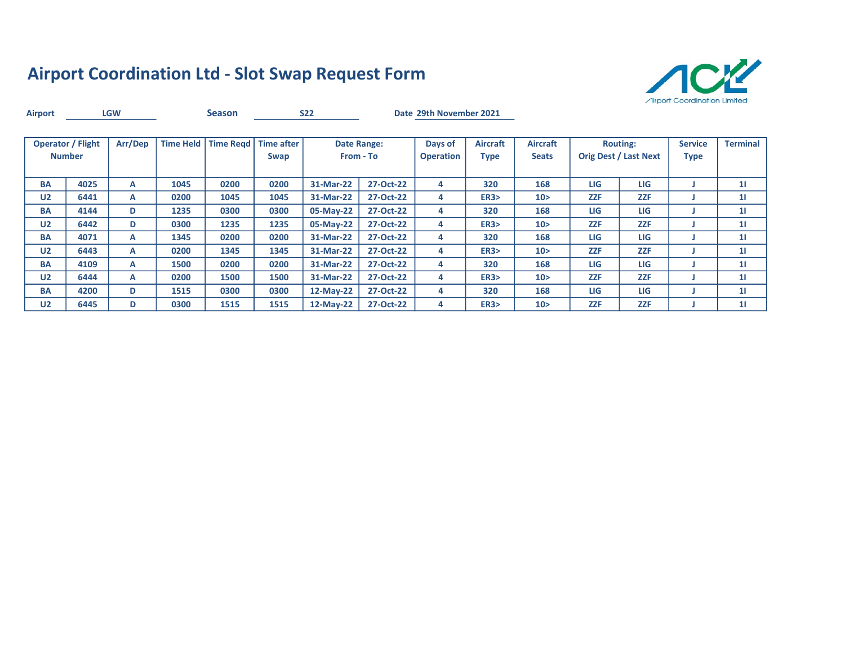

| <b>Airport</b> |                                           | <b>LGW</b> |                  | <b>Season</b>    |                           | <b>S22</b> |                                 | Date 29th November 2021     |                                |                                 |            |                                                 |                               |                 |
|----------------|-------------------------------------------|------------|------------------|------------------|---------------------------|------------|---------------------------------|-----------------------------|--------------------------------|---------------------------------|------------|-------------------------------------------------|-------------------------------|-----------------|
|                | <b>Operator / Flight</b><br><b>Number</b> | Arr/Dep    | <b>Time Held</b> | <b>Time Regd</b> | <b>Time after</b><br>Swap |            | <b>Date Range:</b><br>From - To | Days of<br><b>Operation</b> | <b>Aircraft</b><br><b>Type</b> | <b>Aircraft</b><br><b>Seats</b> |            | <b>Routing:</b><br><b>Orig Dest / Last Next</b> | <b>Service</b><br><b>Type</b> | <b>Terminal</b> |
| <b>BA</b>      | 4025                                      | A          | 1045             | 0200             | 0200                      | 31-Mar-22  | 27-Oct-22                       | 4                           | 320                            | 168                             | LIG        | LIG                                             |                               | 11              |
| U <sub>2</sub> | 6441                                      | A          | 0200             | 1045             | 1045                      | 31-Mar-22  | 27-Oct-22                       | 4                           | ER3                            | 10 <sub>2</sub>                 | <b>ZZF</b> | <b>ZZF</b>                                      |                               | 11              |
| <b>BA</b>      | 4144                                      | D          | 1235             | 0300             | 0300                      | 05-May-22  | 27-Oct-22                       | 4                           | 320                            | 168                             | <b>LIG</b> | <b>LIG</b>                                      |                               | 11              |
| U <sub>2</sub> | 6442                                      | D          | 0300             | 1235             | 1235                      | 05-May-22  | 27-Oct-22                       | 4                           | ER3                            | 10 <sub>2</sub>                 | <b>ZZF</b> | <b>ZZF</b>                                      |                               | 11              |
| <b>BA</b>      | 4071                                      | A          | 1345             | 0200             | 0200                      | 31-Mar-22  | 27-Oct-22                       | 4                           | 320                            | 168                             | LIG        | LIG                                             |                               | 11              |
| U <sub>2</sub> | 6443                                      | A          | 0200             | 1345             | 1345                      | 31-Mar-22  | 27-Oct-22                       | 4                           | ER3                            | 10 <sub>2</sub>                 | <b>ZZF</b> | <b>ZZF</b>                                      |                               | 11              |
| <b>BA</b>      | 4109                                      | A          | 1500             | 0200             | 0200                      | 31-Mar-22  | 27-Oct-22                       | 4                           | 320                            | 168                             | LIG        | LIG                                             |                               | 11              |
| U <sub>2</sub> | 6444                                      | A          | 0200             | 1500             | 1500                      | 31-Mar-22  | 27-Oct-22                       | 4                           | ER3                            | 10 <sub>2</sub>                 | <b>ZZF</b> | <b>ZZF</b>                                      |                               | 11              |
| <b>BA</b>      | 4200                                      | D          | 1515             | 0300             | 0300                      | 12-May-22  | 27-Oct-22                       | 4                           | 320                            | 168                             | <b>LIG</b> | <b>LIG</b>                                      |                               | 11              |
| U <sub>2</sub> | 6445                                      | D          | 0300             | 1515             | 1515                      | 12-May-22  | 27-Oct-22                       | 4                           | ER3                            | 10 <sub>2</sub>                 | <b>ZZF</b> | <b>ZZF</b>                                      |                               | 11              |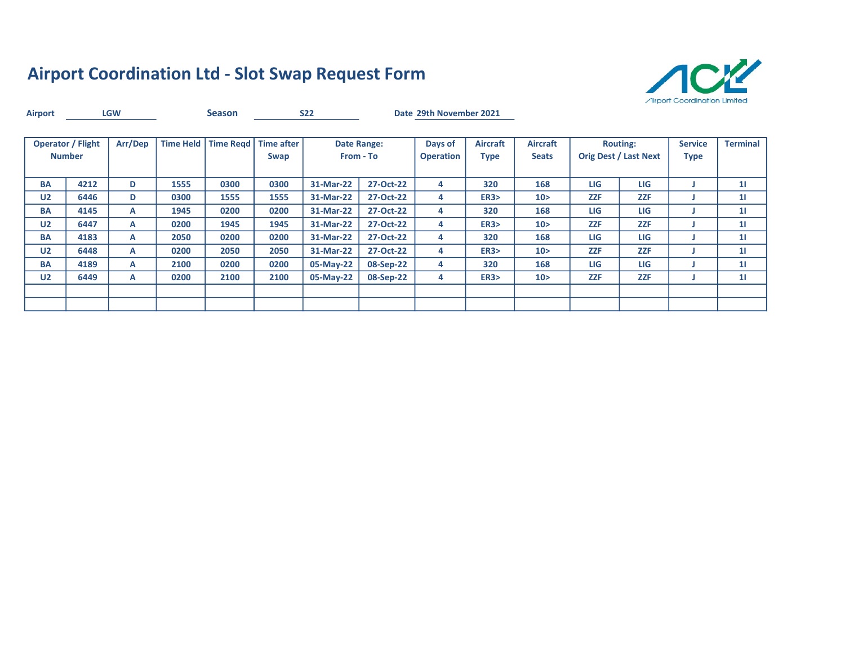

| <b>Airport</b> |                                           | <b>LGW</b> |                  | <b>Season</b> |                    | <b>S22</b> |                                 | Date 29th November 2021     |                                |                                 |            |                                                 |                               |                 |
|----------------|-------------------------------------------|------------|------------------|---------------|--------------------|------------|---------------------------------|-----------------------------|--------------------------------|---------------------------------|------------|-------------------------------------------------|-------------------------------|-----------------|
|                | <b>Operator / Flight</b><br><b>Number</b> | Arr/Dep    | <b>Time Held</b> | Time Read     | Time after<br>Swap |            | <b>Date Range:</b><br>From - To | Days of<br><b>Operation</b> | <b>Aircraft</b><br><b>Type</b> | <b>Aircraft</b><br><b>Seats</b> |            | <b>Routing:</b><br><b>Orig Dest / Last Next</b> | <b>Service</b><br><b>Type</b> | <b>Terminal</b> |
| <b>BA</b>      | 4212                                      | D          | 1555             | 0300          | 0300               | 31-Mar-22  | 27-Oct-22                       | 4                           | 320                            | 168                             | LIG        | LIG                                             |                               | 11              |
| U <sub>2</sub> | 6446                                      | D          | 0300             | 1555          | 1555               | 31-Mar-22  | 27-Oct-22                       | 4                           | ER3                            | 10 <sub>2</sub>                 | <b>ZZF</b> | <b>ZZF</b>                                      |                               | 11              |
| <b>BA</b>      | 4145                                      | A          | 1945             | 0200          | 0200               | 31-Mar-22  | 27-Oct-22                       | 4                           | 320                            | 168                             | LIG        | <b>LIG</b>                                      |                               | 11              |
| U <sub>2</sub> | 6447                                      | A          | 0200             | 1945          | 1945               | 31-Mar-22  | 27-Oct-22                       | 4                           | ER3                            | 10 <sub>2</sub>                 | <b>ZZF</b> | <b>ZZF</b>                                      |                               | 11              |
| <b>BA</b>      | 4183                                      | A          | 2050             | 0200          | 0200               | 31-Mar-22  | 27-Oct-22                       | 4                           | 320                            | 168                             | LIG        | LIG                                             |                               | 11              |
| U <sub>2</sub> | 6448                                      | А          | 0200             | 2050          | 2050               | 31-Mar-22  | 27-Oct-22                       | 4                           | ER3                            | 10 <sub>2</sub>                 | <b>ZZF</b> | <b>ZZF</b>                                      |                               | 11              |
| <b>BA</b>      | 4189                                      | A          | 2100             | 0200          | 0200               | 05-May-22  | 08-Sep-22                       | 4                           | 320                            | 168                             | LIG        | <b>LIG</b>                                      |                               | 11              |
| U <sub>2</sub> | 6449                                      | A          | 0200             | 2100          | 2100               | 05-May-22  | 08-Sep-22                       | 4                           | ER3                            | 10 <sub>2</sub>                 | <b>ZZF</b> | <b>ZZF</b>                                      |                               | 11              |
|                |                                           |            |                  |               |                    |            |                                 |                             |                                |                                 |            |                                                 |                               |                 |
|                |                                           |            |                  |               |                    |            |                                 |                             |                                |                                 |            |                                                 |                               |                 |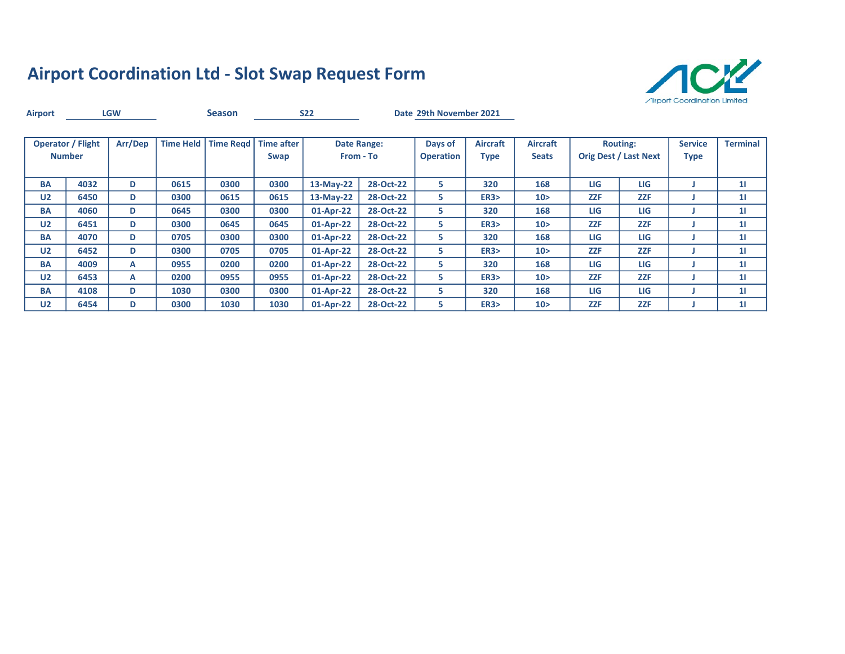

| <b>Airport</b> |                                           | <b>LGW</b> |                  | <b>Season</b> |                    | <b>S22</b> |                                 | Date 29th November 2021     |                                |                                 |            |                                                 |                               |                 |
|----------------|-------------------------------------------|------------|------------------|---------------|--------------------|------------|---------------------------------|-----------------------------|--------------------------------|---------------------------------|------------|-------------------------------------------------|-------------------------------|-----------------|
|                | <b>Operator / Flight</b><br><b>Number</b> | Arr/Dep    | <b>Time Held</b> | Time Read     | Time after<br>Swap |            | <b>Date Range:</b><br>From - To | Days of<br><b>Operation</b> | <b>Aircraft</b><br><b>Type</b> | <b>Aircraft</b><br><b>Seats</b> |            | <b>Routing:</b><br><b>Orig Dest / Last Next</b> | <b>Service</b><br><b>Type</b> | <b>Terminal</b> |
| <b>BA</b>      | 4032                                      | D          | 0615             | 0300          | 0300               | 13-May-22  | 28-Oct-22                       | 5.                          | 320                            | 168                             | <b>LIG</b> | LIG                                             |                               | 11              |
| U <sub>2</sub> | 6450                                      | D          | 0300             | 0615          | 0615               | 13-May-22  | 28-Oct-22                       | 5.                          | ER3                            | 10 <sub>2</sub>                 | <b>ZZF</b> | <b>ZZF</b>                                      |                               | 11              |
| <b>BA</b>      | 4060                                      | D          | 0645             | 0300          | 0300               | 01-Apr-22  | 28-Oct-22                       | 5.                          | 320                            | 168                             | LIG        | LIG                                             |                               | 11              |
| U <sub>2</sub> | 6451                                      | D          | 0300             | 0645          | 0645               | 01-Apr-22  | 28-Oct-22                       | 5.                          | ER3                            | 10 <sub>2</sub>                 | <b>ZZF</b> | <b>ZZF</b>                                      |                               | 11              |
| <b>BA</b>      | 4070                                      | D          | 0705             | 0300          | 0300               | 01-Apr-22  | 28-Oct-22                       | 5.                          | 320                            | 168                             | LIG        | <b>LIG</b>                                      |                               | 11              |
| U <sub>2</sub> | 6452                                      | D          | 0300             | 0705          | 0705               | 01-Apr-22  | 28-Oct-22                       | 5.                          | ER3                            | 10 >                            | <b>ZZF</b> | <b>ZZF</b>                                      |                               | 11              |
| <b>BA</b>      | 4009                                      | A          | 0955             | 0200          | 0200               | 01-Apr-22  | 28-Oct-22                       | 5.                          | 320                            | 168                             | LIG        | LIG                                             |                               | 11              |
| U <sub>2</sub> | 6453                                      | A          | 0200             | 0955          | 0955               | 01-Apr-22  | 28-Oct-22                       | 5.                          | ER3                            | 10 <sub>2</sub>                 | <b>ZZF</b> | <b>ZZF</b>                                      |                               | 11              |
| <b>BA</b>      | 4108                                      | D          | 1030             | 0300          | 0300               | 01-Apr-22  | 28-Oct-22                       | 5.                          | 320                            | 168                             | LIG        | <b>LIG</b>                                      |                               | 11              |
| U <sub>2</sub> | 6454                                      | D          | 0300             | 1030          | 1030               | 01-Apr-22  | 28-Oct-22                       | 5.                          | ER3                            | 10 <sub>2</sub>                 | <b>ZZF</b> | <b>ZZF</b>                                      |                               | 11              |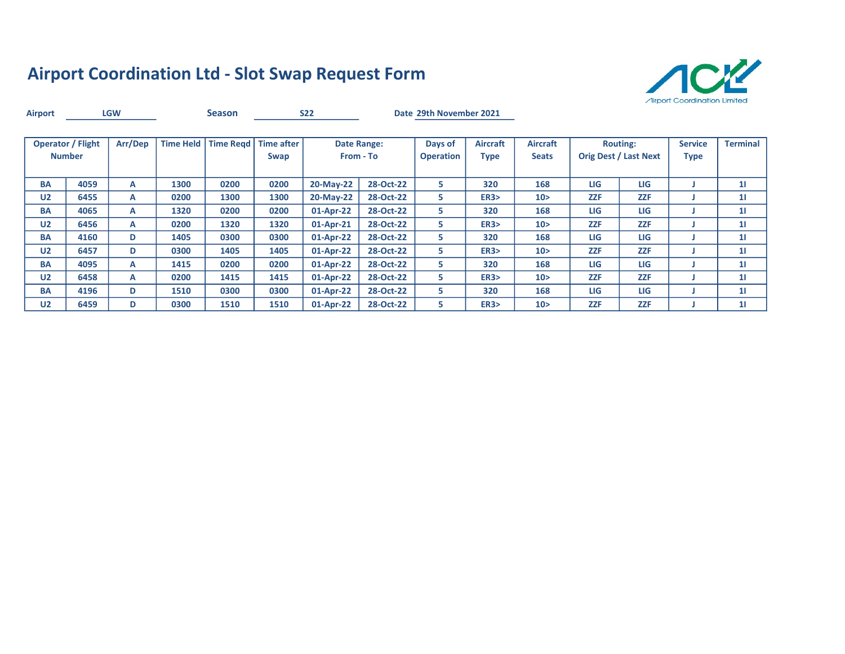

| <b>Airport</b> |                                           | <b>LGW</b> |                  | <b>Season</b> |                    | <b>S22</b> |                                 | Date 29th November 2021     |                                |                                 |            |                                                 |                               |                 |
|----------------|-------------------------------------------|------------|------------------|---------------|--------------------|------------|---------------------------------|-----------------------------|--------------------------------|---------------------------------|------------|-------------------------------------------------|-------------------------------|-----------------|
|                | <b>Operator / Flight</b><br><b>Number</b> | Arr/Dep    | <b>Time Held</b> | Time Read     | Time after<br>Swap |            | <b>Date Range:</b><br>From - To | Days of<br><b>Operation</b> | <b>Aircraft</b><br><b>Type</b> | <b>Aircraft</b><br><b>Seats</b> |            | <b>Routing:</b><br><b>Orig Dest / Last Next</b> | <b>Service</b><br><b>Type</b> | <b>Terminal</b> |
| <b>BA</b>      | 4059                                      | A          | 1300             | 0200          | 0200               | 20-May-22  | 28-Oct-22                       | 5.                          | 320                            | 168                             | <b>LIG</b> | LIG                                             |                               | 11              |
| U <sub>2</sub> | 6455                                      | A          | 0200             | 1300          | 1300               | 20-May-22  | 28-Oct-22                       | 5.                          | ER3                            | 10 <sub>2</sub>                 | <b>ZZF</b> | <b>ZZF</b>                                      |                               | 11              |
| <b>BA</b>      | 4065                                      | A          | 1320             | 0200          | 0200               | 01-Apr-22  | 28-Oct-22                       | 5.                          | 320                            | 168                             | LIG        | LIG                                             |                               | 11              |
| U <sub>2</sub> | 6456                                      | A          | 0200             | 1320          | 1320               | 01-Apr-21  | 28-Oct-22                       | 5.                          | ER3                            | 10 <sub>2</sub>                 | <b>ZZF</b> | <b>ZZF</b>                                      |                               | 11              |
| <b>BA</b>      | 4160                                      | D          | 1405             | 0300          | 0300               | 01-Apr-22  | 28-Oct-22                       | 5.                          | 320                            | 168                             | LIG        | <b>LIG</b>                                      |                               | 11              |
| U <sub>2</sub> | 6457                                      | D          | 0300             | 1405          | 1405               | 01-Apr-22  | 28-Oct-22                       | 5.                          | ER3                            | 10 <sub>2</sub>                 | <b>ZZF</b> | <b>ZZF</b>                                      |                               | 11              |
| <b>BA</b>      | 4095                                      | A          | 1415             | 0200          | 0200               | 01-Apr-22  | 28-Oct-22                       | 5.                          | 320                            | 168                             | LIG        | LIG                                             |                               | 11              |
| U <sub>2</sub> | 6458                                      | A          | 0200             | 1415          | 1415               | 01-Apr-22  | 28-Oct-22                       | 5.                          | ER3                            | 10 <sub>2</sub>                 | <b>ZZF</b> | <b>ZZF</b>                                      |                               | 11              |
| <b>BA</b>      | 4196                                      | D          | 1510             | 0300          | 0300               | 01-Apr-22  | 28-Oct-22                       | 5.                          | 320                            | 168                             | LIG        | <b>LIG</b>                                      |                               | 11              |
| U <sub>2</sub> | 6459                                      | D          | 0300             | 1510          | 1510               | 01-Apr-22  | 28-Oct-22                       | 5.                          | ER3                            | 10 <sub>2</sub>                 | <b>ZZF</b> | <b>ZZF</b>                                      |                               | 11              |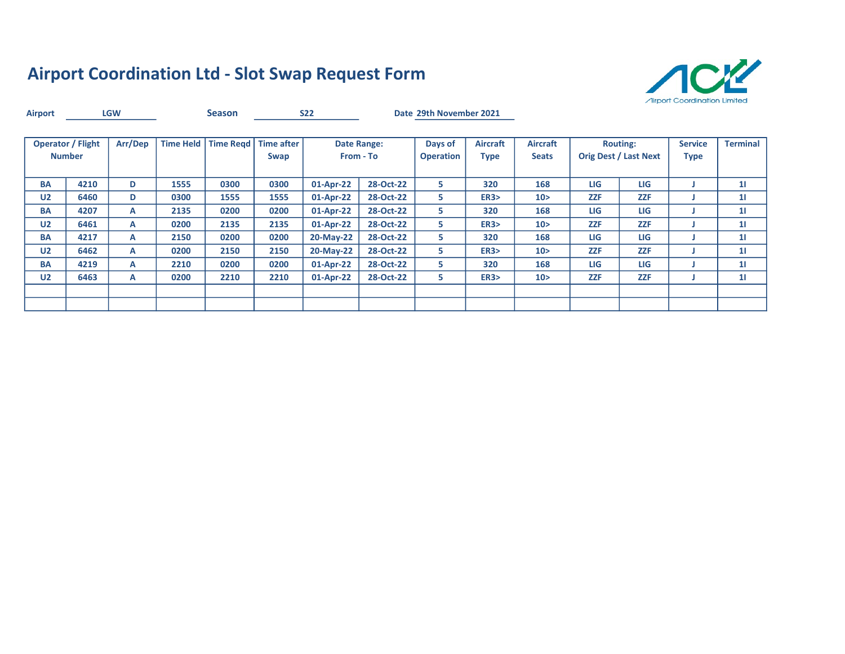

| <b>Airport</b> |                                           | <b>LGW</b> |                  | <b>Season</b>    |                    | <b>S22</b> |                                 | Date 29th November 2021     |                                |                                 |            |                                                 |                               |                 |
|----------------|-------------------------------------------|------------|------------------|------------------|--------------------|------------|---------------------------------|-----------------------------|--------------------------------|---------------------------------|------------|-------------------------------------------------|-------------------------------|-----------------|
|                | <b>Operator / Flight</b><br><b>Number</b> | Arr/Dep    | <b>Time Held</b> | <b>Time Read</b> | Time after<br>Swap |            | <b>Date Range:</b><br>From - To | Days of<br><b>Operation</b> | <b>Aircraft</b><br><b>Type</b> | <b>Aircraft</b><br><b>Seats</b> |            | <b>Routing:</b><br><b>Orig Dest / Last Next</b> | <b>Service</b><br><b>Type</b> | <b>Terminal</b> |
| <b>BA</b>      | 4210                                      | D          | 1555             | 0300             | 0300               | 01-Apr-22  | 28-Oct-22                       | 5.                          | 320                            | 168                             | LIG        | LIG                                             |                               | 11              |
| U <sub>2</sub> | 6460                                      | D          | 0300             | 1555             | 1555               | 01-Apr-22  | 28-Oct-22                       | 5.                          | ER3                            | 10 <sub>2</sub>                 | <b>ZZF</b> | <b>ZZF</b>                                      |                               | 11              |
| <b>BA</b>      | 4207                                      | A          | 2135             | 0200             | 0200               | 01-Apr-22  | 28-Oct-22                       | 5.                          | 320                            | 168                             | LIG        | <b>LIG</b>                                      |                               | 11              |
| U <sub>2</sub> | 6461                                      | A          | 0200             | 2135             | 2135               | 01-Apr-22  | 28-Oct-22                       | 5.                          | ER3                            | 10 <sub>2</sub>                 | <b>ZZF</b> | <b>ZZF</b>                                      |                               | 11              |
| <b>BA</b>      | 4217                                      | A          | 2150             | 0200             | 0200               | 20-May-22  | 28-Oct-22                       | 5.                          | 320                            | 168                             | <b>LIG</b> | <b>LIG</b>                                      |                               | 11              |
| U <sub>2</sub> | 6462                                      | A          | 0200             | 2150             | 2150               | 20-May-22  | 28-Oct-22                       | 5.                          | ER3                            | 10 <sub>2</sub>                 | <b>ZZF</b> | <b>ZZF</b>                                      |                               | 11              |
| <b>BA</b>      | 4219                                      | A          | 2210             | 0200             | 0200               | 01-Apr-22  | 28-Oct-22                       | 5.                          | 320                            | 168                             | LIG        | <b>LIG</b>                                      |                               | 11              |
| U <sub>2</sub> | 6463                                      | A          | 0200             | 2210             | 2210               | 01-Apr-22  | 28-Oct-22                       | 5.                          | ER3                            | 10 <sub>2</sub>                 | <b>ZZF</b> | <b>ZZF</b>                                      |                               | 11              |
|                |                                           |            |                  |                  |                    |            |                                 |                             |                                |                                 |            |                                                 |                               |                 |
|                |                                           |            |                  |                  |                    |            |                                 |                             |                                |                                 |            |                                                 |                               |                 |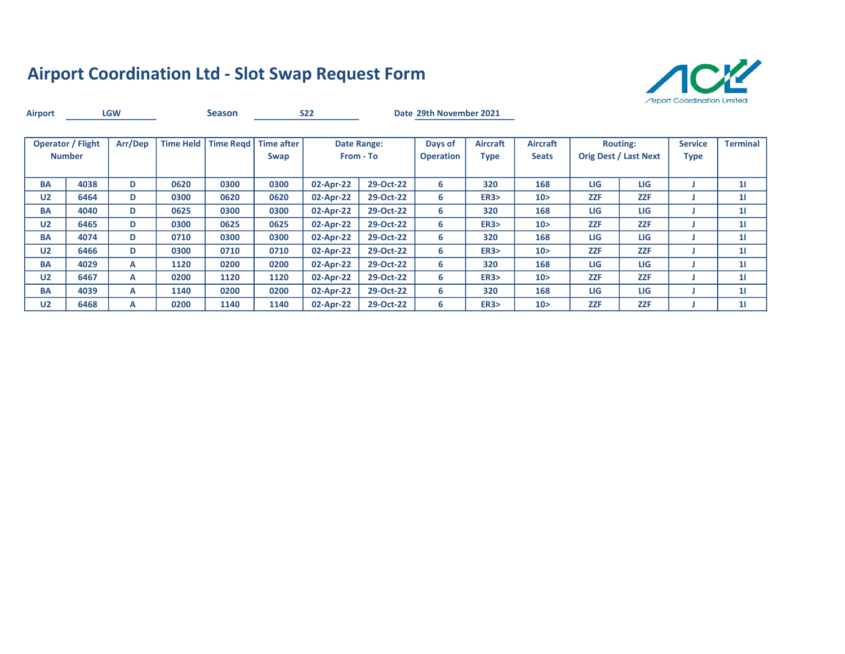

| <b>Airport</b> |                                           | <b>LGW</b> |                  | <b>Season</b> |                           | <b>S22</b> |                                 | Date 29th November 2021     |                                |                                 |            |                                                 |                               |                 |
|----------------|-------------------------------------------|------------|------------------|---------------|---------------------------|------------|---------------------------------|-----------------------------|--------------------------------|---------------------------------|------------|-------------------------------------------------|-------------------------------|-----------------|
|                | <b>Operator / Flight</b><br><b>Number</b> | Arr/Dep    | <b>Time Held</b> | Time Read     | Time after<br><b>Swap</b> |            | <b>Date Range:</b><br>From - To | Days of<br><b>Operation</b> | <b>Aircraft</b><br><b>Type</b> | <b>Aircraft</b><br><b>Seats</b> |            | <b>Routing:</b><br><b>Orig Dest / Last Next</b> | <b>Service</b><br><b>Type</b> | <b>Terminal</b> |
| <b>BA</b>      | 4038                                      | D          | 0620             | 0300          | 0300                      | 02-Apr-22  | 29-Oct-22                       | 6                           | 320                            | 168                             | LIG        | <b>LIG</b>                                      |                               | 11              |
| U <sub>2</sub> | 6464                                      | D          | 0300             | 0620          | 0620                      | 02-Apr-22  | 29-Oct-22                       | 6                           | ER3                            | 10 <sub>2</sub>                 | <b>ZZF</b> | <b>ZZF</b>                                      |                               | 11              |
| <b>BA</b>      | 4040                                      | D          | 0625             | 0300          | 0300                      | 02-Apr-22  | 29-Oct-22                       | 6                           | 320                            | 168                             | LIG        | LIG                                             |                               | 11              |
| U <sub>2</sub> | 6465                                      | D          | 0300             | 0625          | 0625                      | 02-Apr-22  | 29-Oct-22                       | 6                           | ER3                            | 10 <sub>2</sub>                 | <b>ZZF</b> | <b>ZZF</b>                                      |                               | 11              |
| <b>BA</b>      | 4074                                      | D          | 0710             | 0300          | 0300                      | 02-Apr-22  | 29-Oct-22                       | 6                           | 320                            | 168                             | LIG        | <b>LIG</b>                                      |                               | 11              |
| U <sub>2</sub> | 6466                                      | D          | 0300             | 0710          | 0710                      | 02-Apr-22  | 29-Oct-22                       | 6                           | ER3                            | 10 >                            | <b>ZZF</b> | <b>ZZF</b>                                      |                               | 11              |
| <b>BA</b>      | 4029                                      | A          | 1120             | 0200          | 0200                      | 02-Apr-22  | 29-Oct-22                       | 6                           | 320                            | 168                             | LIG        | LIG                                             |                               | 11              |
| U <sub>2</sub> | 6467                                      | A          | 0200             | 1120          | 1120                      | 02-Apr-22  | 29-Oct-22                       | 6                           | <b>ER3&gt;</b>                 | 10 <sub>2</sub>                 | <b>ZZF</b> | <b>ZZF</b>                                      |                               | 11              |
| <b>BA</b>      | 4039                                      | A          | 1140             | 0200          | 0200                      | 02-Apr-22  | 29-Oct-22                       | 6                           | 320                            | 168                             | LIG        | <b>LIG</b>                                      |                               | 11              |
| U <sub>2</sub> | 6468                                      | А          | 0200             | 1140          | 1140                      | 02-Apr-22  | 29-Oct-22                       | 6                           | ER3                            | 10 <sub>2</sub>                 | <b>ZZF</b> | <b>ZZF</b>                                      |                               | 11              |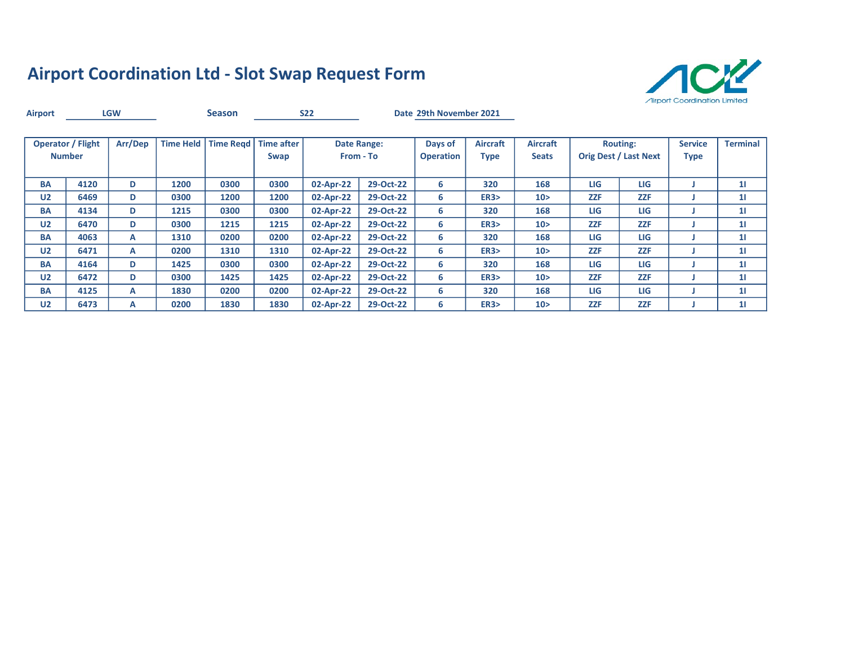

| <b>Airport</b> |                                           | <b>LGW</b> |                  | <b>Season</b>    |                           | <b>S22</b> |                                 | Date 29th November 2021     |                                |                                 |            |                                                 |                               |                 |
|----------------|-------------------------------------------|------------|------------------|------------------|---------------------------|------------|---------------------------------|-----------------------------|--------------------------------|---------------------------------|------------|-------------------------------------------------|-------------------------------|-----------------|
|                | <b>Operator / Flight</b><br><b>Number</b> | Arr/Dep    | <b>Time Held</b> | <b>Time Regd</b> | <b>Time after</b><br>Swap |            | <b>Date Range:</b><br>From - To | Days of<br><b>Operation</b> | <b>Aircraft</b><br><b>Type</b> | <b>Aircraft</b><br><b>Seats</b> |            | <b>Routing:</b><br><b>Orig Dest / Last Next</b> | <b>Service</b><br><b>Type</b> | <b>Terminal</b> |
| <b>BA</b>      | 4120                                      | D          | 1200             | 0300             | 0300                      | 02-Apr-22  | 29-Oct-22                       | 6                           | 320                            | 168                             | LIG        | LIG                                             |                               | 11              |
| U <sub>2</sub> | 6469                                      | D          | 0300             | 1200             | 1200                      | 02-Apr-22  | 29-Oct-22                       | 6                           | ER3                            | 10 <sub>2</sub>                 | <b>ZZF</b> | <b>ZZF</b>                                      |                               | 11              |
| <b>BA</b>      | 4134                                      | D          | 1215             | 0300             | 0300                      | 02-Apr-22  | 29-Oct-22                       | 6                           | 320                            | 168                             | LIG        | <b>LIG</b>                                      |                               | 11              |
| U <sub>2</sub> | 6470                                      | D          | 0300             | 1215             | 1215                      | 02-Apr-22  | 29-Oct-22                       | 6                           | ER3                            | 10 <sub>2</sub>                 | <b>ZZF</b> | <b>ZZF</b>                                      |                               | 11              |
| <b>BA</b>      | 4063                                      | A          | 1310             | 0200             | 0200                      | 02-Apr-22  | 29-Oct-22                       | 6                           | 320                            | 168                             | LIG        | LIG                                             |                               | 11              |
| U <sub>2</sub> | 6471                                      | A          | 0200             | 1310             | 1310                      | 02-Apr-22  | 29-Oct-22                       | 6                           | ER3                            | 10 <sub>2</sub>                 | <b>ZZF</b> | <b>ZZF</b>                                      |                               | 11              |
| <b>BA</b>      | 4164                                      | D          | 1425             | 0300             | 0300                      | 02-Apr-22  | 29-Oct-22                       | 6                           | 320                            | 168                             | LIG        | LIG                                             |                               | 11              |
| U <sub>2</sub> | 6472                                      | D          | 0300             | 1425             | 1425                      | 02-Apr-22  | 29-Oct-22                       | 6                           | ER3                            | 10 >                            | <b>ZZF</b> | <b>ZZF</b>                                      |                               | 11              |
| <b>BA</b>      | 4125                                      | A          | 1830             | 0200             | 0200                      | 02-Apr-22  | 29-Oct-22                       | 6                           | 320                            | 168                             | LIG        | <b>LIG</b>                                      |                               | 11              |
| U <sub>2</sub> | 6473                                      | А          | 0200             | 1830             | 1830                      | 02-Apr-22  | 29-Oct-22                       | 6                           | ER3                            | 10 <sub>2</sub>                 | <b>ZZF</b> | <b>ZZF</b>                                      |                               | 11              |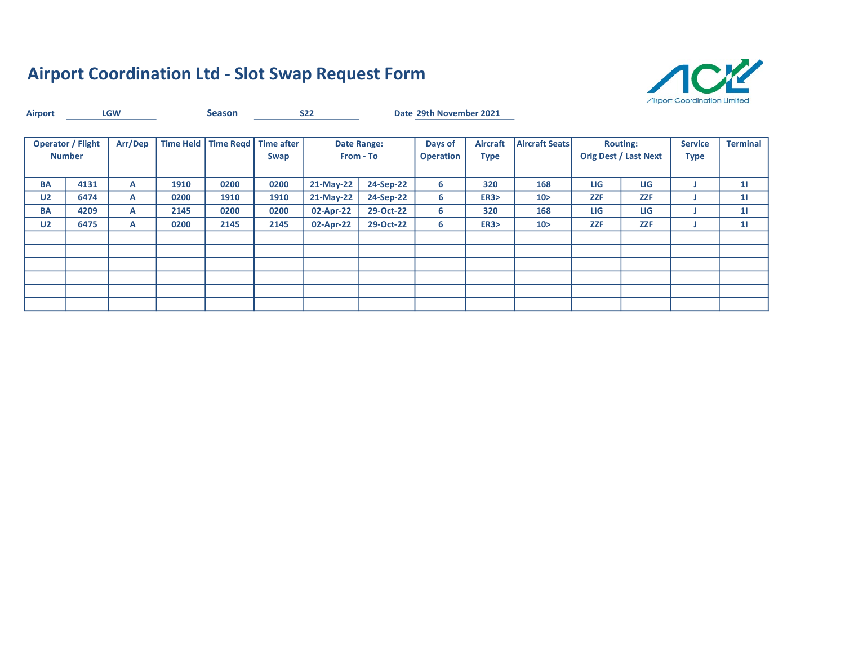

| <b>Airport</b> |                                           | <b>LGW</b> |                  | <b>Season</b> |                           | <b>S22</b> |                                 | Date 29th November 2021     |                                |                       |            |                                                 |                               |                 |
|----------------|-------------------------------------------|------------|------------------|---------------|---------------------------|------------|---------------------------------|-----------------------------|--------------------------------|-----------------------|------------|-------------------------------------------------|-------------------------------|-----------------|
|                | <b>Operator / Flight</b><br><b>Number</b> | Arr/Dep    | <b>Time Held</b> | Time Regd     | <b>Time after</b><br>Swap |            | <b>Date Range:</b><br>From - To | Days of<br><b>Operation</b> | <b>Aircraft</b><br><b>Type</b> | <b>Aircraft Seats</b> |            | <b>Routing:</b><br><b>Orig Dest / Last Next</b> | <b>Service</b><br><b>Type</b> | <b>Terminal</b> |
| <b>BA</b>      | 4131                                      | A          | 1910             | 0200          | 0200                      | 21-May-22  | 24-Sep-22                       | 6                           | 320                            | 168                   | LIG        | LIG                                             |                               | 11              |
| U <sub>2</sub> | 6474                                      | A          | 0200             | 1910          | 1910                      | 21-May-22  | 24-Sep-22                       | 6                           | ER3                            | 10 <sub>2</sub>       | <b>ZZF</b> | <b>ZZF</b>                                      |                               | 11              |
| <b>BA</b>      | 4209                                      | A          | 2145             | 0200          | 0200                      | 02-Apr-22  | 29-Oct-22                       | 6                           | 320                            | 168                   | LIG        | LIG                                             |                               | 11              |
| U <sub>2</sub> | 6475                                      | A          | 0200             | 2145          | 2145                      | 02-Apr-22  | 29-Oct-22                       | 6                           | ER3                            | 10 <sub>2</sub>       | <b>ZZF</b> | <b>ZZF</b>                                      |                               | 11              |
|                |                                           |            |                  |               |                           |            |                                 |                             |                                |                       |            |                                                 |                               |                 |
|                |                                           |            |                  |               |                           |            |                                 |                             |                                |                       |            |                                                 |                               |                 |
|                |                                           |            |                  |               |                           |            |                                 |                             |                                |                       |            |                                                 |                               |                 |
|                |                                           |            |                  |               |                           |            |                                 |                             |                                |                       |            |                                                 |                               |                 |
|                |                                           |            |                  |               |                           |            |                                 |                             |                                |                       |            |                                                 |                               |                 |
|                |                                           |            |                  |               |                           |            |                                 |                             |                                |                       |            |                                                 |                               |                 |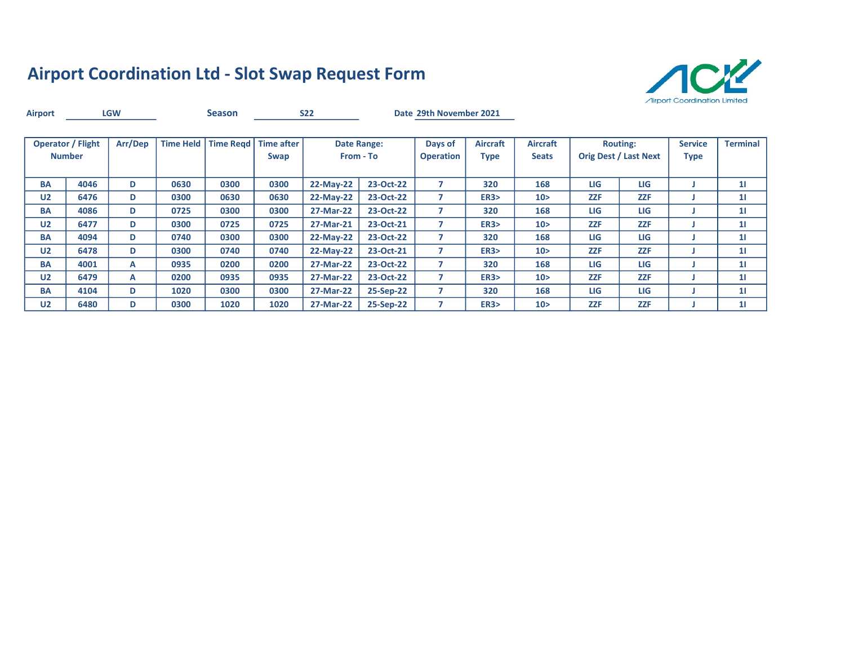

| <b>Airport</b> |                                           | <b>LGW</b> |                  | <b>Season</b>    |                           | <b>S22</b> |                                 | Date 29th November 2021     |                                |                                 |            |                                                 |                               |                 |
|----------------|-------------------------------------------|------------|------------------|------------------|---------------------------|------------|---------------------------------|-----------------------------|--------------------------------|---------------------------------|------------|-------------------------------------------------|-------------------------------|-----------------|
|                | <b>Operator / Flight</b><br><b>Number</b> | Arr/Dep    | <b>Time Held</b> | <b>Time Regd</b> | <b>Time after</b><br>Swap |            | <b>Date Range:</b><br>From - To | Days of<br><b>Operation</b> | <b>Aircraft</b><br><b>Type</b> | <b>Aircraft</b><br><b>Seats</b> |            | <b>Routing:</b><br><b>Orig Dest / Last Next</b> | <b>Service</b><br><b>Type</b> | <b>Terminal</b> |
| <b>BA</b>      | 4046                                      | D          | 0630             | 0300             | 0300                      | 22-May-22  | 23-Oct-22                       | 7                           | 320                            | 168                             | <b>LIG</b> | LIG                                             |                               | 11              |
| U <sub>2</sub> | 6476                                      | D          | 0300             | 0630             | 0630                      | 22-May-22  | 23-Oct-22                       | 7                           | ER3                            | 10 <sub>2</sub>                 | <b>ZZF</b> | <b>ZZF</b>                                      |                               | 11              |
| <b>BA</b>      | 4086                                      | D          | 0725             | 0300             | 0300                      | 27-Mar-22  | 23-Oct-22                       |                             | 320                            | 168                             | LIG        | <b>LIG</b>                                      |                               | 11              |
| U <sub>2</sub> | 6477                                      | D          | 0300             | 0725             | 0725                      | 27-Mar-21  | 23-Oct-21                       | 7                           | ER3                            | 10 <sub>2</sub>                 | <b>ZZF</b> | <b>ZZF</b>                                      |                               | 11              |
| <b>BA</b>      | 4094                                      | D          | 0740             | 0300             | 0300                      | 22-May-22  | 23-Oct-22                       | 7                           | 320                            | 168                             | <b>LIG</b> | LIG                                             |                               | 11              |
| U <sub>2</sub> | 6478                                      | D          | 0300             | 0740             | 0740                      | 22-May-22  | 23-Oct-21                       | $\mathbf{z}$                | ER3                            | 10 <sub>2</sub>                 | <b>ZZF</b> | <b>ZZF</b>                                      |                               | 11              |
| <b>BA</b>      | 4001                                      | A          | 0935             | 0200             | 0200                      | 27-Mar-22  | 23-Oct-22                       | 7                           | 320                            | 168                             | LIG        | LIG                                             |                               | 11              |
| U <sub>2</sub> | 6479                                      | A          | 0200             | 0935             | 0935                      | 27-Mar-22  | 23-Oct-22                       | 7                           | ER3                            | 10 >                            | <b>ZZF</b> | <b>ZZF</b>                                      |                               | 11              |
| <b>BA</b>      | 4104                                      | D          | 1020             | 0300             | 0300                      | 27-Mar-22  | 25-Sep-22                       | $\overline{7}$              | 320                            | 168                             | LIG        | <b>LIG</b>                                      |                               | 11              |
| U <sub>2</sub> | 6480                                      | D          | 0300             | 1020             | 1020                      | 27-Mar-22  | 25-Sep-22                       | $\overline{ }$              | ER3                            | 10 <sub>2</sub>                 | <b>ZZF</b> | <b>ZZF</b>                                      |                               | 11              |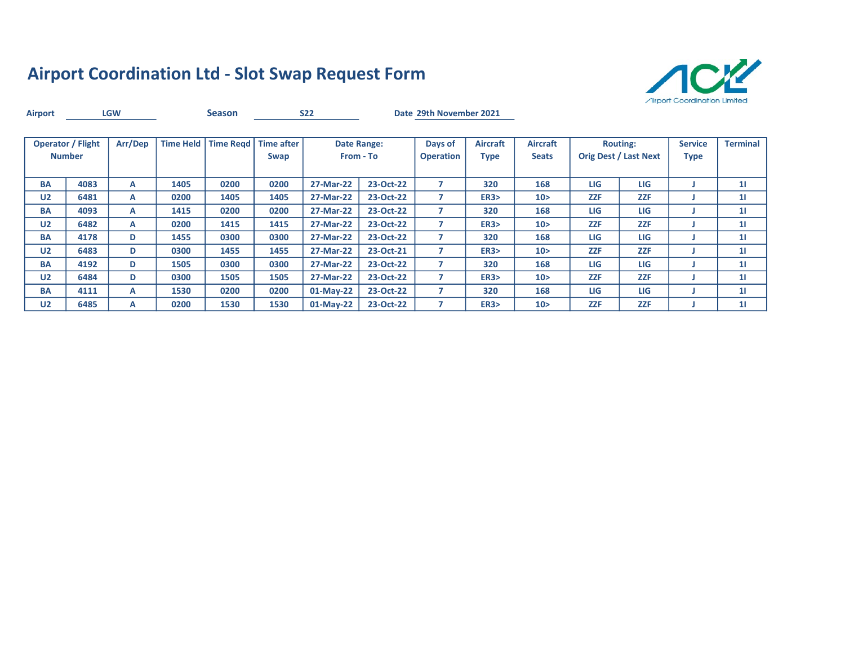

| <b>Airport</b> |                                           | <b>LGW</b> |                  | <b>Season</b>    |                           | <b>S22</b>  |                                 | Date 29th November 2021     |                                |                                 |            |                                                 |                               |                 |
|----------------|-------------------------------------------|------------|------------------|------------------|---------------------------|-------------|---------------------------------|-----------------------------|--------------------------------|---------------------------------|------------|-------------------------------------------------|-------------------------------|-----------------|
|                | <b>Operator / Flight</b><br><b>Number</b> | Arr/Dep    | <b>Time Held</b> | <b>Time Regd</b> | <b>Time after</b><br>Swap |             | <b>Date Range:</b><br>From - To | Days of<br><b>Operation</b> | <b>Aircraft</b><br><b>Type</b> | <b>Aircraft</b><br><b>Seats</b> |            | <b>Routing:</b><br><b>Orig Dest / Last Next</b> | <b>Service</b><br><b>Type</b> | <b>Terminal</b> |
| <b>BA</b>      | 4083                                      | A          | 1405             | 0200             | 0200                      | 27-Mar-22   | 23-Oct-22                       | $\overline{ }$              | 320                            | 168                             | LIG        | LIG                                             |                               | 11              |
| U <sub>2</sub> | 6481                                      | A          | 0200             | 1405             | 1405                      | 27-Mar-22   | 23-Oct-22                       | 7                           | ER3                            | 10 <sub>2</sub>                 | <b>ZZF</b> | <b>ZZF</b>                                      |                               | 11              |
| <b>BA</b>      | 4093                                      | A          | 1415             | 0200             | 0200                      | 27-Mar-22   | 23-Oct-22                       | 7                           | 320                            | 168                             | LIG        | <b>LIG</b>                                      |                               | 11              |
| U <sub>2</sub> | 6482                                      | A          | 0200             | 1415             | 1415                      | 27-Mar-22   | 23-Oct-22                       | 7                           | ER3                            | 10 >                            | <b>ZZF</b> | <b>ZZF</b>                                      |                               | 11              |
| <b>BA</b>      | 4178                                      | D          | 1455             | 0300             | 0300                      | 27-Mar-22   | 23-Oct-22                       | 7                           | 320                            | 168                             | LIG        | LIG                                             |                               | 11              |
| U <sub>2</sub> | 6483                                      | D          | 0300             | 1455             | 1455                      | 27-Mar-22   | 23-Oct-21                       | $\mathbf{z}$                | ER3                            | 10 <sub>2</sub>                 | <b>ZZF</b> | <b>ZZF</b>                                      |                               | 11              |
| <b>BA</b>      | 4192                                      | D          | 1505             | 0300             | 0300                      | 27-Mar-22   | 23-Oct-22                       | 7                           | 320                            | 168                             | LIG        | LIG                                             |                               | 11              |
| U <sub>2</sub> | 6484                                      | D          | 0300             | 1505             | 1505                      | 27-Mar-22   | 23-Oct-22                       | 7                           | ER3                            | 10 <sub>2</sub>                 | <b>ZZF</b> | <b>ZZF</b>                                      |                               | 11              |
| <b>BA</b>      | 4111                                      | A          | 1530             | 0200             | 0200                      | $01-May-22$ | 23-Oct-22                       | $\overline{7}$              | 320                            | 168                             | <b>LIG</b> | <b>LIG</b>                                      |                               | 11              |
| U <sub>2</sub> | 6485                                      | A          | 0200             | 1530             | 1530                      | $01-Mav-22$ | 23-Oct-22                       | $\overline{ }$              | ER3                            | 10 <sub>2</sub>                 | <b>ZZF</b> | <b>ZZF</b>                                      |                               | 11              |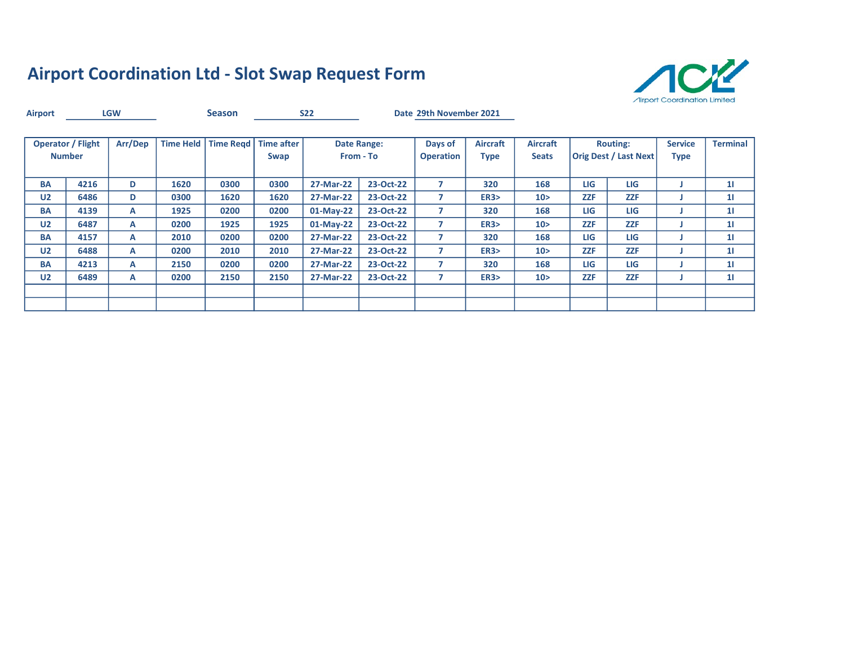

| <b>Airport</b> |                                           | <b>LGW</b> |                  | <b>Season</b> |                           | <b>S22</b>  |                                 | Date 29th November 2021     |                                |                                 |            |                                                 |                               |                 |
|----------------|-------------------------------------------|------------|------------------|---------------|---------------------------|-------------|---------------------------------|-----------------------------|--------------------------------|---------------------------------|------------|-------------------------------------------------|-------------------------------|-----------------|
|                | <b>Operator / Flight</b><br><b>Number</b> | Arr/Dep    | <b>Time Held</b> | Time Read     | <b>Time after</b><br>Swap |             | <b>Date Range:</b><br>From - To | Days of<br><b>Operation</b> | <b>Aircraft</b><br><b>Type</b> | <b>Aircraft</b><br><b>Seats</b> |            | <b>Routing:</b><br><b>Orig Dest / Last Next</b> | <b>Service</b><br><b>Type</b> | <b>Terminal</b> |
| <b>BA</b>      | 4216                                      | D          | 1620             | 0300          | 0300                      | 27-Mar-22   | 23-Oct-22                       | 7                           | 320                            | 168                             | <b>LIG</b> | LIG                                             |                               | 11              |
| U <sub>2</sub> | 6486                                      | D          | 0300             | 1620          | 1620                      | 27-Mar-22   | 23-Oct-22                       | 7                           | ER3                            | 10 <sub>2</sub>                 | <b>ZZF</b> | <b>ZZF</b>                                      |                               | 11              |
| <b>BA</b>      | 4139                                      | A          | 1925             | 0200          | 0200                      | $01-May-22$ | 23-Oct-22                       |                             | 320                            | 168                             | <b>LIG</b> | LIG                                             |                               | 11              |
| U <sub>2</sub> | 6487                                      | A          | 0200             | 1925          | 1925                      | $01-May-22$ | 23-Oct-22                       |                             | ER3                            | 10 <sub>2</sub>                 | <b>ZZF</b> | <b>ZZF</b>                                      |                               | 11              |
| <b>BA</b>      | 4157                                      | A          | 2010             | 0200          | 0200                      | 27-Mar-22   | 23-Oct-22                       | 7                           | 320                            | 168                             | <b>LIG</b> | LIG                                             |                               | 11              |
| U <sub>2</sub> | 6488                                      | A          | 0200             | 2010          | 2010                      | 27-Mar-22   | 23-Oct-22                       | $\mathbf{z}$                | <b>ER3&gt;</b>                 | 10 <sub>2</sub>                 | <b>ZZF</b> | <b>ZZF</b>                                      |                               | 11              |
| <b>BA</b>      | 4213                                      | A          | 2150             | 0200          | 0200                      | 27-Mar-22   | 23-Oct-22                       |                             | 320                            | 168                             | <b>LIG</b> | LIG                                             |                               | 11              |
| U <sub>2</sub> | 6489                                      | A          | 0200             | 2150          | 2150                      | 27-Mar-22   | 23-Oct-22                       | 7                           | <b>ER3&gt;</b>                 | 10 <sub>2</sub>                 | <b>ZZF</b> | <b>ZZF</b>                                      |                               | 11              |
|                |                                           |            |                  |               |                           |             |                                 |                             |                                |                                 |            |                                                 |                               |                 |
|                |                                           |            |                  |               |                           |             |                                 |                             |                                |                                 |            |                                                 |                               |                 |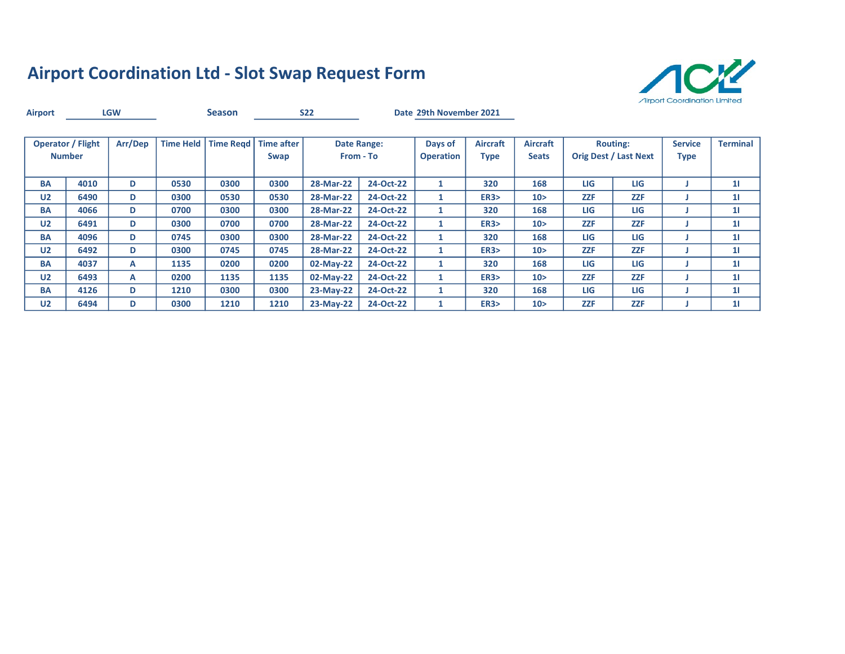

| <b>Airport</b> |                                           | <b>LGW</b> |                  | <b>Season</b> |                           | <b>S22</b> |                          | Date 29th November 2021     |                         |                                 |            |                                                 |                               |                 |
|----------------|-------------------------------------------|------------|------------------|---------------|---------------------------|------------|--------------------------|-----------------------------|-------------------------|---------------------------------|------------|-------------------------------------------------|-------------------------------|-----------------|
|                | <b>Operator / Flight</b><br><b>Number</b> | Arr/Dep    | <b>Time Held</b> | Time Read     | <b>Time after</b><br>Swap |            | Date Range:<br>From - To | Days of<br><b>Operation</b> | Aircraft<br><b>Type</b> | <b>Aircraft</b><br><b>Seats</b> |            | <b>Routing:</b><br><b>Orig Dest / Last Next</b> | <b>Service</b><br><b>Type</b> | <b>Terminal</b> |
| <b>BA</b>      | 4010                                      | D          | 0530             | 0300          | 0300                      | 28-Mar-22  | 24-Oct-22                | 1                           | 320                     | 168                             | <b>LIG</b> | LIG                                             |                               | 11              |
| U <sub>2</sub> | 6490                                      | D          | 0300             | 0530          | 0530                      | 28-Mar-22  | 24-Oct-22                | 1                           | ER3                     | 10 >                            | <b>ZZF</b> | <b>ZZF</b>                                      |                               | 11              |
| <b>BA</b>      | 4066                                      | D          | 0700             | 0300          | 0300                      | 28-Mar-22  | 24-Oct-22                |                             | 320                     | 168                             | LIG        | LIG                                             |                               | 11              |
| U <sub>2</sub> | 6491                                      | D          | 0300             | 0700          | 0700                      | 28-Mar-22  | 24-Oct-22                | $\mathbf{1}$                | ER3                     | 10 >                            | <b>ZZF</b> | <b>ZZF</b>                                      |                               | 11              |
| BA             | 4096                                      | D          | 0745             | 0300          | 0300                      | 28-Mar-22  | 24-Oct-22                | 1                           | 320                     | 168                             | LIG        | LIG                                             |                               | 11              |
| U <sub>2</sub> | 6492                                      | D          | 0300             | 0745          | 0745                      | 28-Mar-22  | 24-Oct-22                | 1                           | <b>ER3&gt;</b>          | 10 <sub>2</sub>                 | <b>ZZF</b> | <b>ZZF</b>                                      |                               | 11              |
| <b>BA</b>      | 4037                                      | A          | 1135             | 0200          | 0200                      | 02-May-22  | 24-Oct-22                | $\mathbf{1}$                | 320                     | 168                             | <b>LIG</b> | LIG                                             |                               | 11              |
| U <sub>2</sub> | 6493                                      | А          | 0200             | 1135          | 1135                      | 02-May-22  | 24-Oct-22                | $\mathbf{1}$                | <b>ER3&gt;</b>          | 10 <sub>2</sub>                 | <b>ZZF</b> | <b>ZZF</b>                                      |                               | 11              |
| <b>BA</b>      | 4126                                      | D          | 1210             | 0300          | 0300                      | 23-May-22  | 24-Oct-22                | 1                           | 320                     | 168                             | <b>LIG</b> | LIG                                             |                               | 11              |
| U <sub>2</sub> | 6494                                      | D          | 0300             | 1210          | 1210                      | 23-May-22  | 24-Oct-22                | 1                           | <b>ER3&gt;</b>          | 10 <sub>2</sub>                 | <b>ZZF</b> | <b>ZZF</b>                                      |                               | 11              |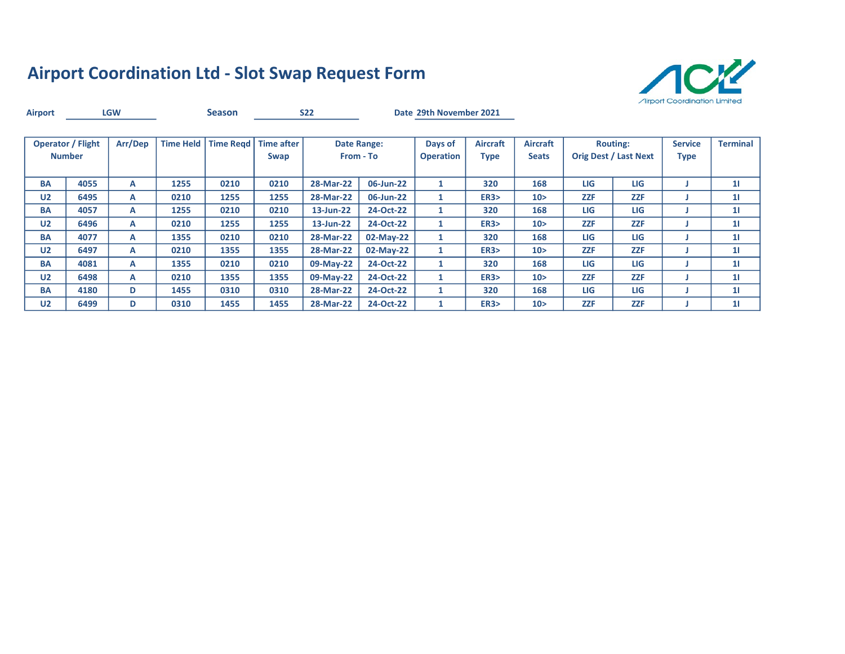

| <b>Airport</b> |                                           | <b>LGW</b> |                  | <b>Season</b>          |      | <b>S22</b> |                                 | Date 29th November 2021     |                         |                                 |            |                                                 |                               |                 |
|----------------|-------------------------------------------|------------|------------------|------------------------|------|------------|---------------------------------|-----------------------------|-------------------------|---------------------------------|------------|-------------------------------------------------|-------------------------------|-----------------|
|                | <b>Operator / Flight</b><br><b>Number</b> | Arr/Dep    | <b>Time Held</b> | Time Regd   Time after | Swap |            | <b>Date Range:</b><br>From - To | Days of<br><b>Operation</b> | Aircraft<br><b>Type</b> | <b>Aircraft</b><br><b>Seats</b> |            | <b>Routing:</b><br><b>Orig Dest / Last Next</b> | <b>Service</b><br><b>Type</b> | <b>Terminal</b> |
| <b>BA</b>      | 4055                                      | A          | 1255             | 0210                   | 0210 | 28-Mar-22  | 06-Jun-22                       | $\mathbf{1}$                | 320                     | 168                             | LIG        | LIG                                             |                               | 11              |
| U <sub>2</sub> | 6495                                      | A          | 0210             | 1255                   | 1255 | 28-Mar-22  | 06-Jun-22                       | $\mathbf{1}$                | ER3                     | 10 <sub>2</sub>                 | <b>ZZF</b> | <b>ZZF</b>                                      |                               | 11              |
| <b>BA</b>      | 4057                                      | A          | 1255             | 0210                   | 0210 | 13-Jun-22  | 24-Oct-22                       | 1                           | 320                     | 168                             | LIG        | LIG                                             |                               | 11              |
| U <sub>2</sub> | 6496                                      | A          | 0210             | 1255                   | 1255 | 13-Jun-22  | 24-Oct-22                       | $\mathbf{1}$                | ER3                     | 10 <sub>2</sub>                 | <b>ZZF</b> | <b>ZZF</b>                                      |                               | 11              |
| <b>BA</b>      | 4077                                      | A          | 1355             | 0210                   | 0210 | 28-Mar-22  | 02-May-22                       | 1                           | 320                     | 168                             | LIG        | LIG                                             |                               | 11              |
| U <sub>2</sub> | 6497                                      | A          | 0210             | 1355                   | 1355 | 28-Mar-22  | 02-May-22                       | $\mathbf{1}$                | ER3                     | 10 <sub>2</sub>                 | <b>ZZF</b> | <b>ZZF</b>                                      |                               | 11              |
| <b>BA</b>      | 4081                                      | A          | 1355             | 0210                   | 0210 | 09-May-22  | 24-Oct-22                       | $\mathbf{1}$                | 320                     | 168                             | LIG        | LIG                                             |                               | 11              |
| U <sub>2</sub> | 6498                                      | A          | 0210             | 1355                   | 1355 | 09-May-22  | 24-Oct-22                       | $\mathbf{1}$                | ER3                     | 10 <sub>2</sub>                 | <b>ZZF</b> | <b>ZZF</b>                                      |                               | 11              |
| <b>BA</b>      | 4180                                      | D          | 1455             | 0310                   | 0310 | 28-Mar-22  | 24-Oct-22                       | $\mathbf{1}$                | 320                     | 168                             | LIG        | <b>LIG</b>                                      |                               | 11              |
| U <sub>2</sub> | 6499                                      | D          | 0310             | 1455                   | 1455 | 28-Mar-22  | 24-Oct-22                       | 1                           | ER3                     | 10 >                            | <b>ZZF</b> | <b>ZZF</b>                                      |                               | 11              |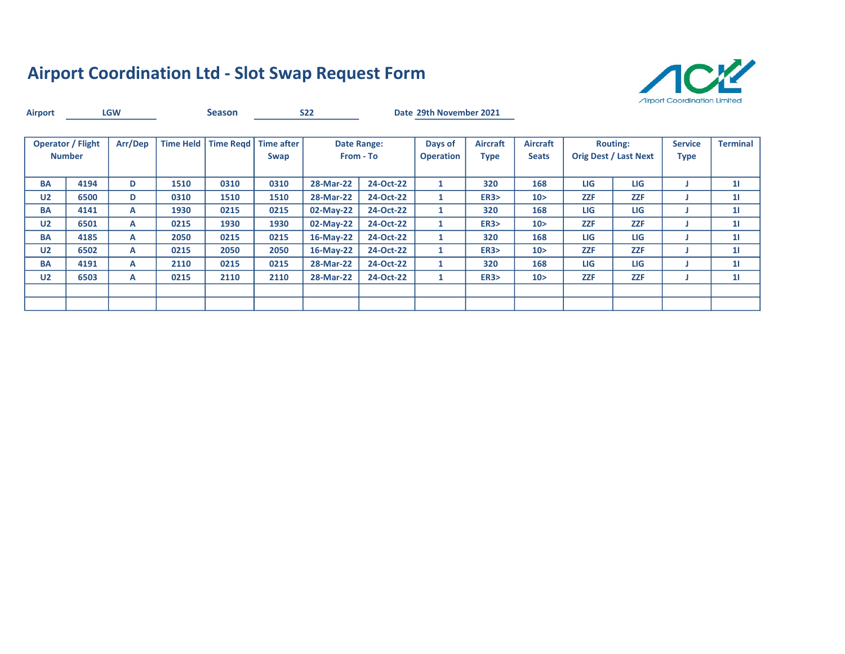

| <b>Airport</b> |                                           | <b>LGW</b> |                  | <b>Season</b> |                    | <b>S22</b> |                                 | Date 29th November 2021     |                                |                                 |            |                                                 |                        |                 |
|----------------|-------------------------------------------|------------|------------------|---------------|--------------------|------------|---------------------------------|-----------------------------|--------------------------------|---------------------------------|------------|-------------------------------------------------|------------------------|-----------------|
|                | <b>Operator / Flight</b><br><b>Number</b> | Arr/Dep    | <b>Time Held</b> | Time Read     | Time after<br>Swap |            | <b>Date Range:</b><br>From - To | Days of<br><b>Operation</b> | <b>Aircraft</b><br><b>Type</b> | <b>Aircraft</b><br><b>Seats</b> |            | <b>Routing:</b><br><b>Orig Dest / Last Next</b> | <b>Service</b><br>Type | <b>Terminal</b> |
| <b>BA</b>      | 4194                                      | D          | 1510             | 0310          | 0310               | 28-Mar-22  | 24-Oct-22                       | 1                           | 320                            | 168                             | <b>LIG</b> | LIG                                             |                        | 11              |
| U <sub>2</sub> | 6500                                      | D          | 0310             | 1510          | 1510               | 28-Mar-22  | 24-Oct-22                       | $\mathbf{1}$                | <b>ER3&gt;</b>                 | 10 <sub>2</sub>                 | <b>ZZF</b> | <b>ZZF</b>                                      |                        | 11              |
| <b>BA</b>      | 4141                                      | A          | 1930             | 0215          | 0215               | 02-May-22  | 24-Oct-22                       | 1                           | 320                            | 168                             | <b>LIG</b> | LIG                                             |                        | 11              |
| U <sub>2</sub> | 6501                                      | A          | 0215             | 1930          | 1930               | 02-May-22  | 24-Oct-22                       | 1                           | ER3                            | 10 <sub>2</sub>                 | <b>ZZF</b> | <b>ZZF</b>                                      |                        | 11              |
| <b>BA</b>      | 4185                                      | A          | 2050             | 0215          | 0215               | 16-May-22  | 24-Oct-22                       | 1                           | 320                            | 168                             | LIG        | LIG                                             |                        | 11              |
| U <sub>2</sub> | 6502                                      | A          | 0215             | 2050          | 2050               | 16-May-22  | 24-Oct-22                       | 1                           | <b>ER3&gt;</b>                 | 10 <sub>2</sub>                 | <b>ZZF</b> | <b>ZZF</b>                                      |                        | 11              |
| <b>BA</b>      | 4191                                      | A          | 2110             | 0215          | 0215               | 28-Mar-22  | 24-Oct-22                       | 1                           | 320                            | 168                             | <b>LIG</b> | LIG                                             |                        | 11              |
| U <sub>2</sub> | 6503                                      | A          | 0215             | 2110          | 2110               | 28-Mar-22  | 24-Oct-22                       | $\mathbf{1}$                | ER3                            | 10 <sub>2</sub>                 | <b>ZZF</b> | <b>ZZF</b>                                      |                        | 11              |
|                |                                           |            |                  |               |                    |            |                                 |                             |                                |                                 |            |                                                 |                        |                 |
|                |                                           |            |                  |               |                    |            |                                 |                             |                                |                                 |            |                                                 |                        |                 |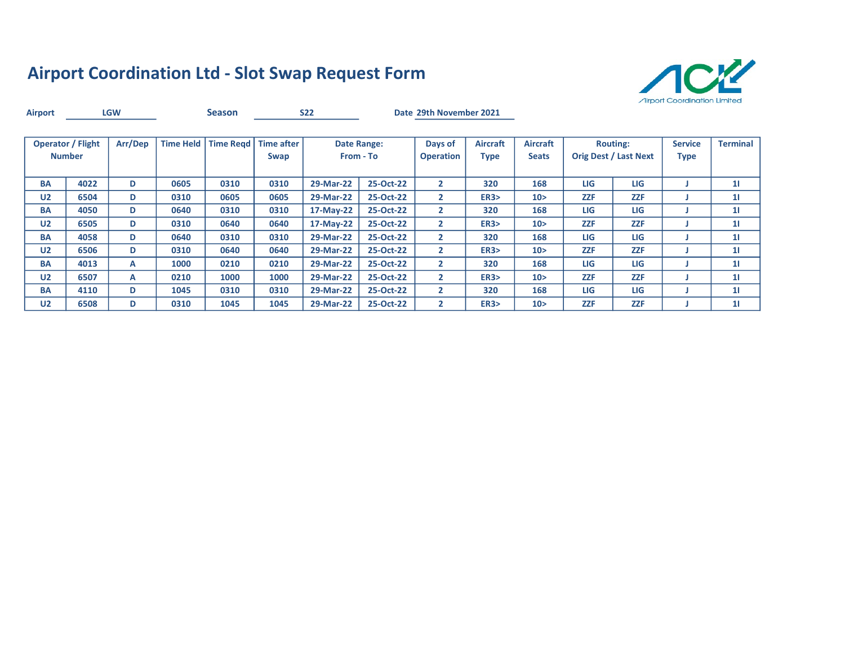

| <b>Airport</b> |                                           | <b>LGW</b> |                  | <b>Season</b> |                           | <b>S22</b> |                          | Date 29th November 2021     |                                |                                 |            |                                                 |                               |                 |
|----------------|-------------------------------------------|------------|------------------|---------------|---------------------------|------------|--------------------------|-----------------------------|--------------------------------|---------------------------------|------------|-------------------------------------------------|-------------------------------|-----------------|
|                | <b>Operator / Flight</b><br><b>Number</b> | Arr/Dep    | <b>Time Held</b> | Time Read     | <b>Time after</b><br>Swap |            | Date Range:<br>From - To | Days of<br><b>Operation</b> | <b>Aircraft</b><br><b>Type</b> | <b>Aircraft</b><br><b>Seats</b> |            | <b>Routing:</b><br><b>Orig Dest / Last Next</b> | <b>Service</b><br><b>Type</b> | <b>Terminal</b> |
| <b>BA</b>      | 4022                                      | D          | 0605             | 0310          | 0310                      | 29-Mar-22  | 25-Oct-22                | $\mathbf{2}$                | 320                            | 168                             | <b>LIG</b> | LIG                                             |                               | 11              |
| U <sub>2</sub> | 6504                                      | D          | 0310             | 0605          | 0605                      | 29-Mar-22  | 25-Oct-22                | $\mathbf{2}$                | <b>ER3&gt;</b>                 | 10 >                            | <b>ZZF</b> | <b>ZZF</b>                                      |                               | 11              |
| <b>BA</b>      | 4050                                      | D          | 0640             | 0310          | 0310                      | 17-May-22  | 25-Oct-22                | $\mathbf{2}$                | 320                            | 168                             | LIG        | LIG                                             |                               | 11              |
| U <sub>2</sub> | 6505                                      | D          | 0310             | 0640          | 0640                      | 17-May-22  | 25-Oct-22                | $\mathbf{2}$                | <b>ER3&gt;</b>                 | 10 <sub>2</sub>                 | <b>ZZF</b> | <b>ZZF</b>                                      |                               | 11              |
| <b>BA</b>      | 4058                                      | D          | 0640             | 0310          | 0310                      | 29-Mar-22  | 25-Oct-22                | $\mathbf{2}$                | 320                            | 168                             | LIG        | LIG                                             |                               | 11              |
| U <sub>2</sub> | 6506                                      | D          | 0310             | 0640          | 0640                      | 29-Mar-22  | 25-Oct-22                | $\mathbf{2}$                | ER3                            | 10 <sub>2</sub>                 | <b>ZZF</b> | <b>ZZF</b>                                      |                               | 11              |
| <b>BA</b>      | 4013                                      | A          | 1000             | 0210          | 0210                      | 29-Mar-22  | 25-Oct-22                | $\mathbf{2}$                | 320                            | 168                             | <b>LIG</b> | LIG                                             |                               | 11              |
| U <sub>2</sub> | 6507                                      | A          | 0210             | 1000          | 1000                      | 29-Mar-22  | 25-Oct-22                | $\mathbf{2}$                | ER3                            | 10 <sub>2</sub>                 | <b>ZZF</b> | <b>ZZF</b>                                      |                               | 11              |
| <b>BA</b>      | 4110                                      | D          | 1045             | 0310          | 0310                      | 29-Mar-22  | 25-Oct-22                | $\mathbf{2}$                | 320                            | 168                             | <b>LIG</b> | LIG                                             |                               | 11              |
| U <sub>2</sub> | 6508                                      | D          | 0310             | 1045          | 1045                      | 29-Mar-22  | 25-Oct-22                | $\mathbf{2}$                | <b>ER3&gt;</b>                 | 10 <sub>2</sub>                 | <b>ZZF</b> | <b>ZZF</b>                                      |                               | 11              |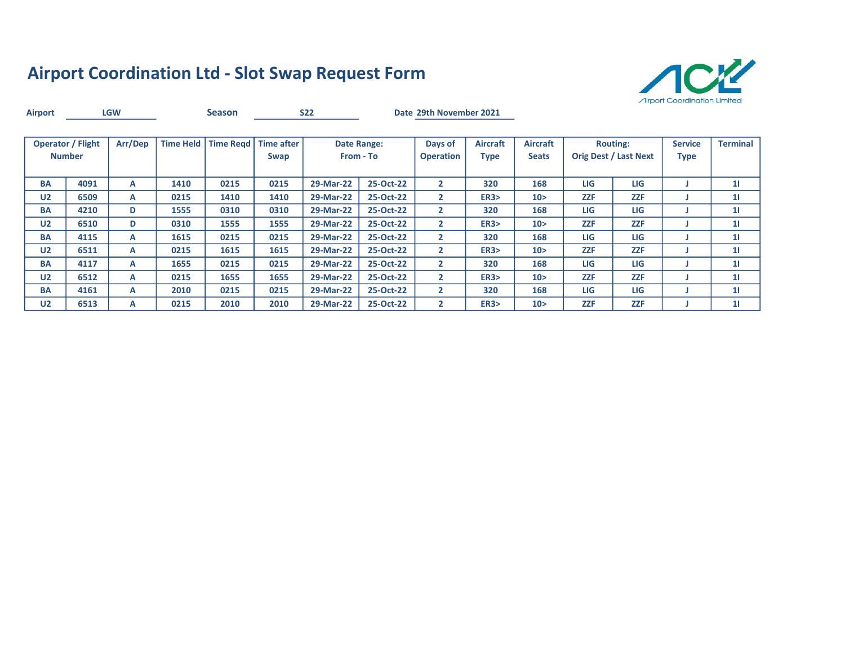

| <b>Airport</b> |                                           | <b>LGW</b> |                  | <b>Season</b> |                           | <b>S22</b> |                          | Date 29th November 2021     |                                |                                 |            |                                                 |                               |                 |
|----------------|-------------------------------------------|------------|------------------|---------------|---------------------------|------------|--------------------------|-----------------------------|--------------------------------|---------------------------------|------------|-------------------------------------------------|-------------------------------|-----------------|
|                | <b>Operator / Flight</b><br><b>Number</b> | Arr/Dep    | <b>Time Held</b> | Time Read     | <b>Time after</b><br>Swap |            | Date Range:<br>From - To | Days of<br><b>Operation</b> | <b>Aircraft</b><br><b>Type</b> | <b>Aircraft</b><br><b>Seats</b> |            | <b>Routing:</b><br><b>Orig Dest / Last Next</b> | <b>Service</b><br><b>Type</b> | <b>Terminal</b> |
| <b>BA</b>      | 4091                                      | A          | 1410             | 0215          | 0215                      | 29-Mar-22  | 25-Oct-22                | $\mathbf{2}$                | 320                            | 168                             | <b>LIG</b> | LIG                                             |                               | 11              |
| U <sub>2</sub> | 6509                                      | A          | 0215             | 1410          | 1410                      | 29-Mar-22  | 25-Oct-22                | $\mathbf{2}$                | <b>ER3&gt;</b>                 | 10 >                            | <b>ZZF</b> | <b>ZZF</b>                                      |                               | 11              |
| <b>BA</b>      | 4210                                      | D          | 1555             | 0310          | 0310                      | 29-Mar-22  | 25-Oct-22                | $\mathbf{2}$                | 320                            | 168                             | LIG        | LIG                                             |                               | 11              |
| U <sub>2</sub> | 6510                                      | D          | 0310             | 1555          | 1555                      | 29-Mar-22  | 25-Oct-22                | $\mathbf{2}$                | ER3                            | 10 >                            | <b>ZZF</b> | <b>ZZF</b>                                      |                               | 11              |
| <b>BA</b>      | 4115                                      | А          | 1615             | 0215          | 0215                      | 29-Mar-22  | 25-Oct-22                | $\mathbf{2}$                | 320                            | 168                             | LIG        | LIG                                             |                               | 11              |
| U <sub>2</sub> | 6511                                      | А          | 0215             | 1615          | 1615                      | 29-Mar-22  | 25-Oct-22                | $\mathbf{2}$                | ER3                            | 10 <sub>2</sub>                 | <b>ZZF</b> | <b>ZZF</b>                                      |                               | 11              |
| <b>BA</b>      | 4117                                      | A          | 1655             | 0215          | 0215                      | 29-Mar-22  | 25-Oct-22                | $\mathbf{2}$                | 320                            | 168                             | LIG        | LIG                                             |                               | 11              |
| U <sub>2</sub> | 6512                                      | A          | 0215             | 1655          | 1655                      | 29-Mar-22  | 25-Oct-22                | $\mathbf{2}$                | ER3                            | 10 <sub>2</sub>                 | <b>ZZF</b> | <b>ZZF</b>                                      |                               | 11              |
| <b>BA</b>      | 4161                                      | A          | 2010             | 0215          | 0215                      | 29-Mar-22  | 25-Oct-22                | $\mathbf{2}$                | 320                            | 168                             | <b>LIG</b> | LIG                                             |                               | 11              |
| U <sub>2</sub> | 6513                                      | А          | 0215             | 2010          | 2010                      | 29-Mar-22  | 25-Oct-22                | $\mathbf{2}$                | ER3                            | 10 <sub>2</sub>                 | <b>ZZF</b> | <b>ZZF</b>                                      |                               | 11              |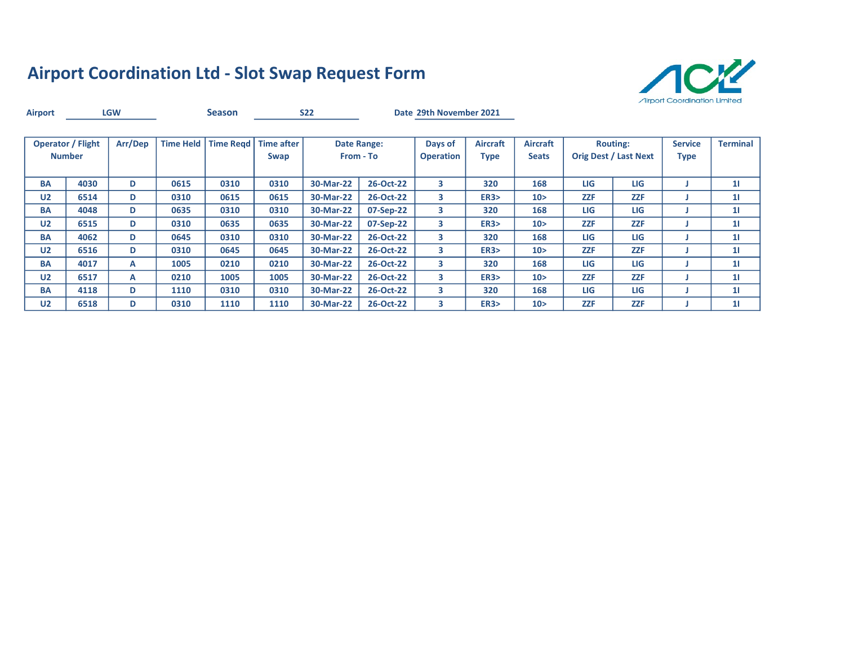

| <b>Airport</b> |                                           | <b>LGW</b> |                  | <b>Season</b> |                           | <b>S22</b> |                          | Date 29th November 2021     |                                |                                 |            |                                                 |                               |                 |
|----------------|-------------------------------------------|------------|------------------|---------------|---------------------------|------------|--------------------------|-----------------------------|--------------------------------|---------------------------------|------------|-------------------------------------------------|-------------------------------|-----------------|
|                | <b>Operator / Flight</b><br><b>Number</b> | Arr/Dep    | <b>Time Held</b> | Time Read     | <b>Time after</b><br>Swap |            | Date Range:<br>From - To | Days of<br><b>Operation</b> | <b>Aircraft</b><br><b>Type</b> | <b>Aircraft</b><br><b>Seats</b> |            | <b>Routing:</b><br><b>Orig Dest / Last Next</b> | <b>Service</b><br><b>Type</b> | <b>Terminal</b> |
| <b>BA</b>      | 4030                                      | D          | 0615             | 0310          | 0310                      | 30-Mar-22  | 26-Oct-22                | 3                           | 320                            | 168                             | <b>LIG</b> | LIG                                             |                               | 11              |
| U <sub>2</sub> | 6514                                      | D          | 0310             | 0615          | 0615                      | 30-Mar-22  | 26-Oct-22                | 3                           | <b>ER3&gt;</b>                 | 10 >                            | <b>ZZF</b> | <b>ZZF</b>                                      |                               | 11              |
| <b>BA</b>      | 4048                                      | D          | 0635             | 0310          | 0310                      | 30-Mar-22  | 07-Sep-22                | 3                           | 320                            | 168                             | LIG        | LIG                                             |                               | 11              |
| U <sub>2</sub> | 6515                                      | D          | 0310             | 0635          | 0635                      | 30-Mar-22  | 07-Sep-22                | 3                           | ER3                            | 10 <sub>2</sub>                 | <b>ZZF</b> | <b>ZZF</b>                                      |                               | 11              |
| <b>BA</b>      | 4062                                      | D          | 0645             | 0310          | 0310                      | 30-Mar-22  | 26-Oct-22                | 3                           | 320                            | 168                             | LIG        | LIG                                             |                               | 11              |
| U <sub>2</sub> | 6516                                      | D          | 0310             | 0645          | 0645                      | 30-Mar-22  | 26-Oct-22                | 3                           | ER3                            | 10 <sub>2</sub>                 | <b>ZZF</b> | <b>ZZF</b>                                      |                               | 11              |
| <b>BA</b>      | 4017                                      | A          | 1005             | 0210          | 0210                      | 30-Mar-22  | 26-Oct-22                | 3                           | 320                            | 168                             | LIG        | LIG                                             |                               | 11              |
| U <sub>2</sub> | 6517                                      | A          | 0210             | 1005          | 1005                      | 30-Mar-22  | 26-Oct-22                | 3                           | ER3                            | 10 <sub>2</sub>                 | <b>ZZF</b> | <b>ZZF</b>                                      |                               | 11              |
| <b>BA</b>      | 4118                                      | D          | 1110             | 0310          | 0310                      | 30-Mar-22  | 26-Oct-22                | 3                           | 320                            | 168                             | <b>LIG</b> | LIG                                             |                               | 11              |
| U <sub>2</sub> | 6518                                      | D          | 0310             | 1110          | 1110                      | 30-Mar-22  | 26-Oct-22                | 3                           | ER3                            | 10 <sub>2</sub>                 | <b>ZZF</b> | <b>ZZF</b>                                      |                               | 11              |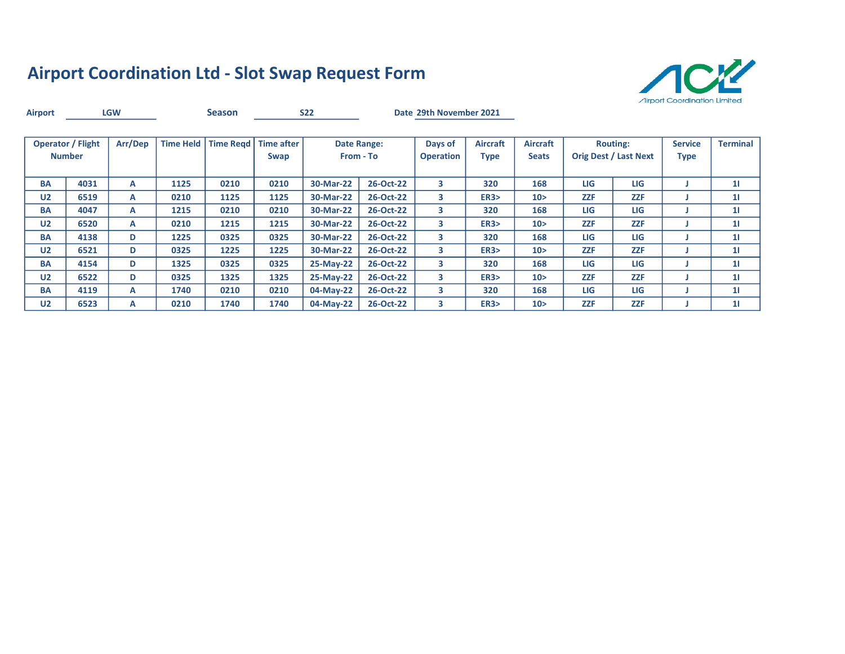

| <b>Airport</b> |                                           | <b>LGW</b> |                  | <b>Season</b>          |      | <b>S22</b> |                                 | Date 29th November 2021     |                                |                                 |            |                                                 |                               |                 |
|----------------|-------------------------------------------|------------|------------------|------------------------|------|------------|---------------------------------|-----------------------------|--------------------------------|---------------------------------|------------|-------------------------------------------------|-------------------------------|-----------------|
|                | <b>Operator / Flight</b><br><b>Number</b> | Arr/Dep    | <b>Time Held</b> | Time Regd   Time after | Swap |            | <b>Date Range:</b><br>From - To | Days of<br><b>Operation</b> | <b>Aircraft</b><br><b>Type</b> | <b>Aircraft</b><br><b>Seats</b> |            | <b>Routing:</b><br><b>Orig Dest / Last Next</b> | <b>Service</b><br><b>Type</b> | <b>Terminal</b> |
| <b>BA</b>      | 4031                                      | A          | 1125             | 0210                   | 0210 | 30-Mar-22  | 26-Oct-22                       | 3                           | 320                            | 168                             | <b>LIG</b> | LIG                                             |                               | 11              |
| U <sub>2</sub> | 6519                                      | A          | 0210             | 1125                   | 1125 | 30-Mar-22  | 26-Oct-22                       | 3                           | ER3                            | 10 >                            | <b>ZZF</b> | <b>ZZF</b>                                      |                               | 11              |
| <b>BA</b>      | 4047                                      | A          | 1215             | 0210                   | 0210 | 30-Mar-22  | 26-Oct-22                       | 3                           | 320                            | 168                             | LIG        | LIG                                             |                               | 11              |
| U <sub>2</sub> | 6520                                      | A          | 0210             | 1215                   | 1215 | 30-Mar-22  | 26-Oct-22                       | 3                           | ER3                            | 10 <sub>2</sub>                 | <b>ZZF</b> | <b>ZZF</b>                                      |                               | 11              |
| <b>BA</b>      | 4138                                      | D          | 1225             | 0325                   | 0325 | 30-Mar-22  | 26-Oct-22                       | 3                           | 320                            | 168                             | LIG        | LIG                                             |                               | 11              |
| U <sub>2</sub> | 6521                                      | D          | 0325             | 1225                   | 1225 | 30-Mar-22  | 26-Oct-22                       | 3                           | ER3                            | 10 <sub>2</sub>                 | <b>ZZF</b> | <b>ZZF</b>                                      |                               | 11              |
| <b>BA</b>      | 4154                                      | D          | 1325             | 0325                   | 0325 | 25-May-22  | 26-Oct-22                       | 3                           | 320                            | 168                             | LIG        | LIG                                             |                               | 11              |
| U <sub>2</sub> | 6522                                      | D          | 0325             | 1325                   | 1325 | 25-May-22  | 26-Oct-22                       | 3                           | ER3                            | 10 <sub>2</sub>                 | <b>ZZF</b> | <b>ZZF</b>                                      |                               | 11              |
| <b>BA</b>      | 4119                                      | A          | 1740             | 0210                   | 0210 | 04-May-22  | 26-Oct-22                       | 3                           | 320                            | 168                             | LIG        | <b>LIG</b>                                      |                               | 11              |
| U <sub>2</sub> | 6523                                      | A          | 0210             | 1740                   | 1740 | 04-May-22  | 26-Oct-22                       | 3                           | ER3                            | 10 <sub>2</sub>                 | <b>ZZF</b> | <b>ZZF</b>                                      |                               | 11              |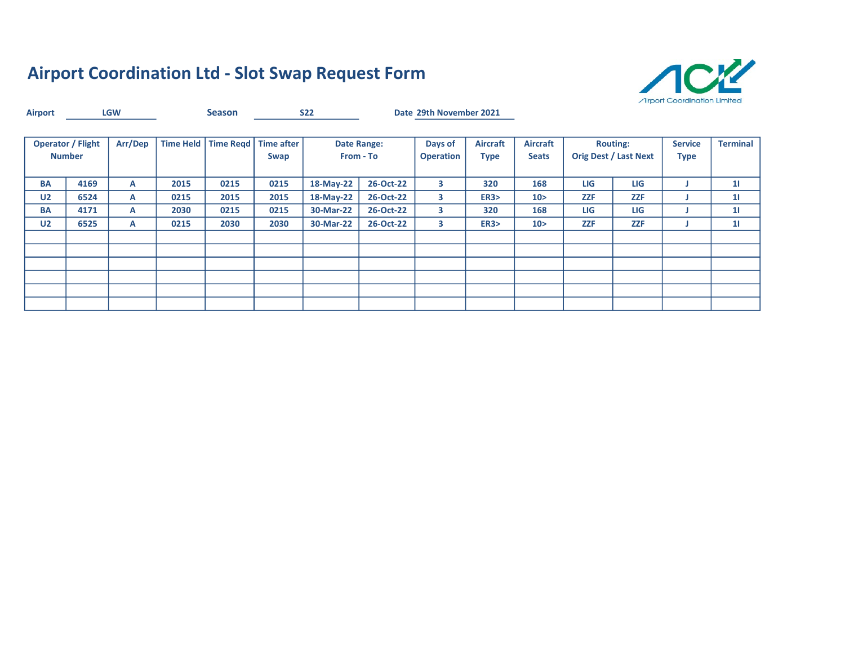

| <b>Airport</b> |                                           | <b>LGW</b> |                  | <b>Season</b> |                                | <b>S22</b>             |                                 | Date 29th November 2021     |                                |                                 |            |                                                 |                               |                 |
|----------------|-------------------------------------------|------------|------------------|---------------|--------------------------------|------------------------|---------------------------------|-----------------------------|--------------------------------|---------------------------------|------------|-------------------------------------------------|-------------------------------|-----------------|
|                | <b>Operator / Flight</b><br><b>Number</b> | Arr/Dep    | <b>Time Held</b> |               | Time Regd   Time after<br>Swap |                        | <b>Date Range:</b><br>From - To | Days of<br><b>Operation</b> | <b>Aircraft</b><br><b>Type</b> | <b>Aircraft</b><br><b>Seats</b> |            | <b>Routing:</b><br><b>Orig Dest / Last Next</b> | <b>Service</b><br><b>Type</b> | <b>Terminal</b> |
| <b>BA</b>      | 4169                                      | A          | 2015             | 0215          | 0215                           | 18-May-22              | 26-Oct-22                       | $\overline{\mathbf{3}}$     | 320                            | 168                             | LIG        | LIG                                             |                               | 11              |
| U <sub>2</sub> | 6524                                      | А          | 0215             | 2015          | 2015                           | 18-May-22<br>26-Oct-22 |                                 | 3                           | <b>ER3&gt;</b>                 | 10 <sub>2</sub>                 | <b>ZZF</b> | <b>ZZF</b>                                      |                               | 11              |
| BA             | 4171                                      | A          | 2030             | 0215          | 0215                           | 30-Mar-22              | 26-Oct-22                       | 3                           | 320                            | 168                             | <b>LIG</b> | LIG                                             |                               | 11              |
| U <sub>2</sub> | 6525                                      | А          | 0215             | 2030          | 2030                           | 30-Mar-22              | 26-Oct-22                       | 3                           | ER3                            | 10 <sub>2</sub>                 | <b>ZZF</b> | <b>ZZF</b>                                      |                               | 11              |
|                |                                           |            |                  |               |                                |                        |                                 |                             |                                |                                 |            |                                                 |                               |                 |
|                |                                           |            |                  |               |                                |                        |                                 |                             |                                |                                 |            |                                                 |                               |                 |
|                |                                           |            |                  |               |                                |                        |                                 |                             |                                |                                 |            |                                                 |                               |                 |
|                |                                           |            |                  |               |                                |                        |                                 |                             |                                |                                 |            |                                                 |                               |                 |
|                |                                           |            |                  |               |                                |                        |                                 |                             |                                |                                 |            |                                                 |                               |                 |
|                |                                           |            |                  |               |                                |                        |                                 |                             |                                |                                 |            |                                                 |                               |                 |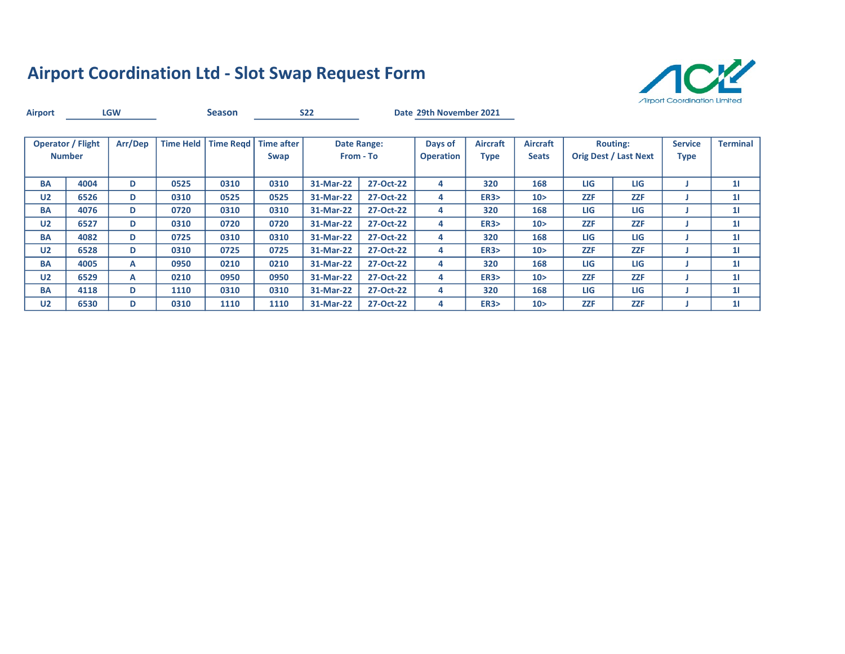

| <b>Airport</b> |                                           | <b>LGW</b> |                  | <b>Season</b> |                           | <b>S22</b> |                          | Date 29th November 2021     |                                |                                 |            |                                                 |                               |                 |
|----------------|-------------------------------------------|------------|------------------|---------------|---------------------------|------------|--------------------------|-----------------------------|--------------------------------|---------------------------------|------------|-------------------------------------------------|-------------------------------|-----------------|
|                | <b>Operator / Flight</b><br><b>Number</b> | Arr/Dep    | <b>Time Held</b> | Time Read     | <b>Time after</b><br>Swap |            | Date Range:<br>From - To | Days of<br><b>Operation</b> | <b>Aircraft</b><br><b>Type</b> | <b>Aircraft</b><br><b>Seats</b> |            | <b>Routing:</b><br><b>Orig Dest / Last Next</b> | <b>Service</b><br><b>Type</b> | <b>Terminal</b> |
| <b>BA</b>      | 4004                                      | D          | 0525             | 0310          | 0310                      | 31-Mar-22  | 27-Oct-22                | 4                           | 320                            | 168                             | <b>LIG</b> | LIG                                             |                               | 11              |
| U <sub>2</sub> | 6526                                      | D          | 0310             | 0525          | 0525                      | 31-Mar-22  | 27-Oct-22                | 4                           | <b>ER3&gt;</b>                 | 10 >                            | <b>ZZF</b> | <b>ZZF</b>                                      |                               | 11              |
| <b>BA</b>      | 4076                                      | D          | 0720             | 0310          | 0310                      | 31-Mar-22  | 27-Oct-22                | 4                           | 320                            | 168                             | LIG        | LIG                                             |                               | 11              |
| U <sub>2</sub> | 6527                                      | D          | 0310             | 0720          | 0720                      | 31-Mar-22  | 27-Oct-22                | 4                           | ER3                            | 10 >                            | <b>ZZF</b> | <b>ZZF</b>                                      |                               | 11              |
| <b>BA</b>      | 4082                                      | D          | 0725             | 0310          | 0310                      | 31-Mar-22  | 27-Oct-22                | 4                           | 320                            | 168                             | LIG        | LIG                                             |                               | 11              |
| U <sub>2</sub> | 6528                                      | D          | 0310             | 0725          | 0725                      | 31-Mar-22  | 27-Oct-22                | 4                           | ER3                            | 10 <sub>2</sub>                 | <b>ZZF</b> | <b>ZZF</b>                                      |                               | 11              |
| <b>BA</b>      | 4005                                      | A          | 0950             | 0210          | 0210                      | 31-Mar-22  | 27-Oct-22                | 4                           | 320                            | 168                             | LIG        | LIG                                             |                               | 11              |
| U <sub>2</sub> | 6529                                      | A          | 0210             | 0950          | 0950                      | 31-Mar-22  | 27-Oct-22                | 4                           | ER3                            | 10 <sub>2</sub>                 | <b>ZZF</b> | <b>ZZF</b>                                      |                               | 11              |
| <b>BA</b>      | 4118                                      | D          | 1110             | 0310          | 0310                      | 31-Mar-22  | 27-Oct-22                | 4                           | 320                            | 168                             | <b>LIG</b> | LIG                                             |                               | 11              |
| U <sub>2</sub> | 6530                                      | D          | 0310             | 1110          | 1110                      | 31-Mar-22  | 27-Oct-22                | 4                           | <b>ER3&gt;</b>                 | 10 <sub>2</sub>                 | <b>ZZF</b> | <b>ZZF</b>                                      |                               | 11              |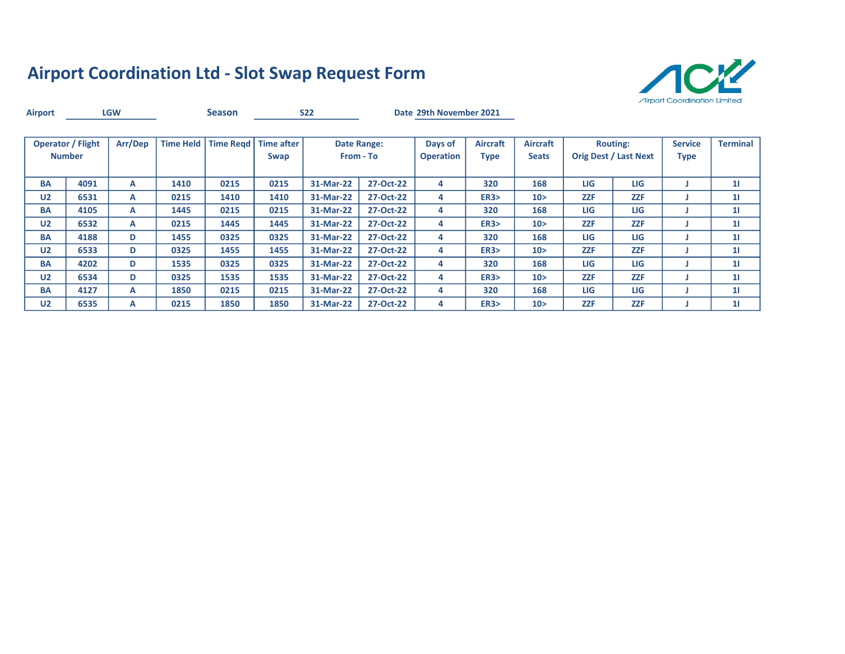

| <b>Airport</b> |                                           | <b>LGW</b> |                  | <b>Season</b>          |      | <b>S22</b> |                                 | Date 29th November 2021     |                         |                                 |            |                                                 |                               |                 |
|----------------|-------------------------------------------|------------|------------------|------------------------|------|------------|---------------------------------|-----------------------------|-------------------------|---------------------------------|------------|-------------------------------------------------|-------------------------------|-----------------|
|                | <b>Operator / Flight</b><br><b>Number</b> | Arr/Dep    | <b>Time Held</b> | Time Regd   Time after | Swap |            | <b>Date Range:</b><br>From - To | Days of<br><b>Operation</b> | Aircraft<br><b>Type</b> | <b>Aircraft</b><br><b>Seats</b> |            | <b>Routing:</b><br><b>Orig Dest / Last Next</b> | <b>Service</b><br><b>Type</b> | <b>Terminal</b> |
| <b>BA</b>      | 4091                                      | A          | 1410             | 0215                   | 0215 | 31-Mar-22  | 27-Oct-22                       | 4                           | 320                     | 168                             | <b>LIG</b> | LIG                                             |                               | 11              |
| U <sub>2</sub> | 6531                                      | A          | 0215             | 1410                   | 1410 | 31-Mar-22  | 27-Oct-22                       | 4                           | ER3                     | 10 >                            | <b>ZZF</b> | <b>ZZF</b>                                      |                               | 11              |
| <b>BA</b>      | 4105                                      | A          | 1445             | 0215                   | 0215 | 31-Mar-22  | 27-Oct-22                       | 4                           | 320                     | 168                             | LIG        | LIG                                             |                               | 11              |
| U <sub>2</sub> | 6532                                      | A          | 0215             | 1445                   | 1445 | 31-Mar-22  | 27-Oct-22                       | 4                           | ER3                     | 10 <sub>2</sub>                 | <b>ZZF</b> | <b>ZZF</b>                                      |                               | 11              |
| <b>BA</b>      | 4188                                      | D          | 1455             | 0325                   | 0325 | 31-Mar-22  | 27-Oct-22                       | 4                           | 320                     | 168                             | LIG        | LIG                                             |                               | 11              |
| U <sub>2</sub> | 6533                                      | D          | 0325             | 1455                   | 1455 | 31-Mar-22  | 27-Oct-22                       | 4                           | ER3                     | 10 <sub>2</sub>                 | <b>ZZF</b> | <b>ZZF</b>                                      |                               | 11              |
| <b>BA</b>      | 4202                                      | D          | 1535             | 0325                   | 0325 | 31-Mar-22  | 27-Oct-22                       | 4                           | 320                     | 168                             | <b>LIG</b> | LIG                                             |                               | 11              |
| U <sub>2</sub> | 6534                                      | D          | 0325             | 1535                   | 1535 | 31-Mar-22  | 27-Oct-22                       | 4                           | ER3                     | 10 <sub>2</sub>                 | <b>ZZF</b> | <b>ZZF</b>                                      |                               | 11              |
| <b>BA</b>      | 4127                                      | A          | 1850             | 0215                   | 0215 | 31-Mar-22  | 27-Oct-22                       | 4                           | 320                     | 168                             | LIG        | <b>LIG</b>                                      |                               | 11              |
| U <sub>2</sub> | 6535                                      | A          | 0215             | 1850                   | 1850 | 31-Mar-22  | 27-Oct-22                       | 4                           | ER3                     | 10 >                            | <b>ZZF</b> | <b>ZZF</b>                                      |                               | 11              |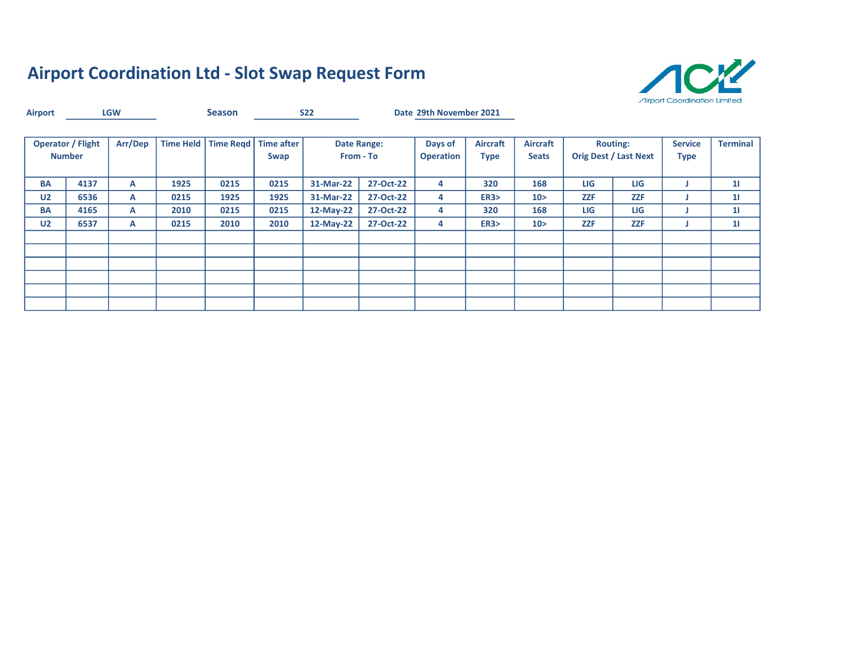

| <b>Airport</b> |                                           | <b>LGW</b> |                  | <b>Season</b> |                                | <b>S22</b> |                                 | Date 29th November 2021     |                                |                          |            |                                                 |                               |                 |
|----------------|-------------------------------------------|------------|------------------|---------------|--------------------------------|------------|---------------------------------|-----------------------------|--------------------------------|--------------------------|------------|-------------------------------------------------|-------------------------------|-----------------|
|                | <b>Operator / Flight</b><br><b>Number</b> | Arr/Dep    | <b>Time Held</b> |               | Time Regd   Time after<br>Swap |            | <b>Date Range:</b><br>From - To | Days of<br><b>Operation</b> | <b>Aircraft</b><br><b>Type</b> | Aircraft<br><b>Seats</b> |            | <b>Routing:</b><br><b>Orig Dest / Last Next</b> | <b>Service</b><br><b>Type</b> | <b>Terminal</b> |
| <b>BA</b>      | 4137                                      | A          | 1925             | 0215          | 0215                           | 31-Mar-22  | 27-Oct-22                       | 4                           | 320                            | 168                      | <b>LIG</b> | LIG                                             |                               | 11              |
| U <sub>2</sub> | 6536                                      | A          | 0215             | 1925          | 1925                           | 31-Mar-22  | 27-Oct-22                       | 4                           | <b>ER3&gt;</b>                 | 10 <sub>2</sub>          | <b>ZZF</b> | <b>ZZF</b>                                      |                               | 11              |
| <b>BA</b>      | 4165                                      | А          | 2010             | 0215          | 0215                           | 12-May-22  | 27-Oct-22                       | 4                           | 320                            | 168                      | LIG        | LIG                                             |                               | 11              |
| U <sub>2</sub> | 6537                                      | A          | 0215             | 2010          | 2010                           | 12-May-22  | 27-Oct-22                       | 4                           | <b>ER3&gt;</b>                 | 10 <sub>2</sub>          | <b>ZZF</b> | <b>ZZF</b>                                      |                               | 11              |
|                |                                           |            |                  |               |                                |            |                                 |                             |                                |                          |            |                                                 |                               |                 |
|                |                                           |            |                  |               |                                |            |                                 |                             |                                |                          |            |                                                 |                               |                 |
|                |                                           |            |                  |               |                                |            |                                 |                             |                                |                          |            |                                                 |                               |                 |
|                |                                           |            |                  |               |                                |            |                                 |                             |                                |                          |            |                                                 |                               |                 |
|                |                                           |            |                  |               |                                |            |                                 |                             |                                |                          |            |                                                 |                               |                 |
|                |                                           |            |                  |               |                                |            |                                 |                             |                                |                          |            |                                                 |                               |                 |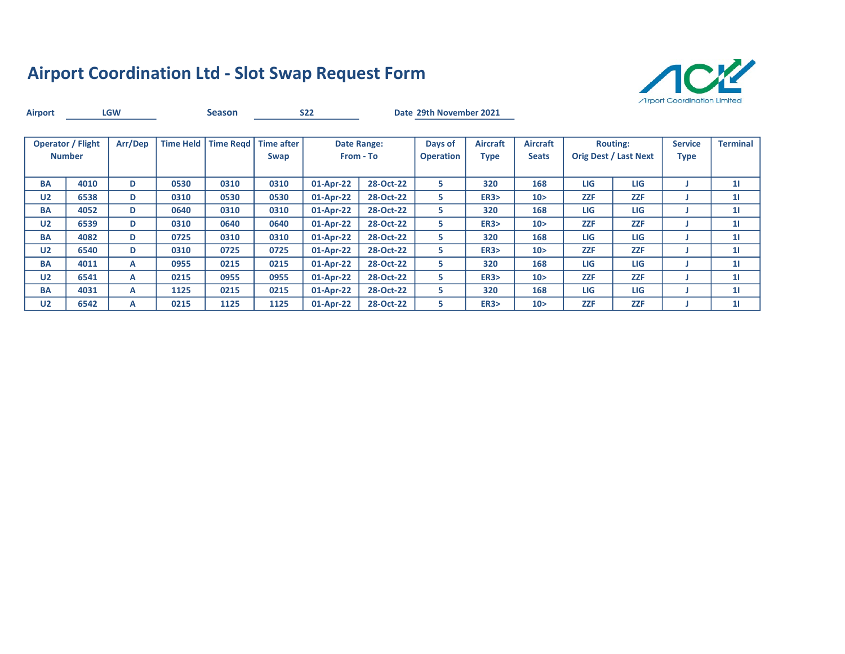

| <b>Airport</b> |                                           | <b>LGW</b> |                  | <b>Season</b>          |      | <b>S22</b> |                                 | Date 29th November 2021     |                                |                                 |            |                                                 |                               |                 |
|----------------|-------------------------------------------|------------|------------------|------------------------|------|------------|---------------------------------|-----------------------------|--------------------------------|---------------------------------|------------|-------------------------------------------------|-------------------------------|-----------------|
|                | <b>Operator / Flight</b><br><b>Number</b> | Arr/Dep    | <b>Time Held</b> | Time Regd   Time after | Swap |            | <b>Date Range:</b><br>From - To | Days of<br><b>Operation</b> | <b>Aircraft</b><br><b>Type</b> | <b>Aircraft</b><br><b>Seats</b> |            | <b>Routing:</b><br><b>Orig Dest / Last Next</b> | <b>Service</b><br><b>Type</b> | <b>Terminal</b> |
| <b>BA</b>      | 4010                                      | D          | 0530             | 0310                   | 0310 | 01-Apr-22  | 28-Oct-22                       | 5.                          | 320                            | 168                             | LIG        | LIG                                             |                               | 11              |
| U <sub>2</sub> | 6538                                      | D          | 0310             | 0530                   | 0530 | 01-Apr-22  | 28-Oct-22                       | 5.                          | ER3                            | 10 >                            | <b>ZZF</b> | <b>ZZF</b>                                      |                               | 11              |
| <b>BA</b>      | 4052                                      | D          | 0640             | 0310                   | 0310 | 01-Apr-22  | 28-Oct-22                       | 5.                          | 320                            | 168                             | LIG        | LIG                                             |                               | 11              |
| U <sub>2</sub> | 6539                                      | D          | 0310             | 0640                   | 0640 | 01-Apr-22  | 28-Oct-22                       | 5.                          | <b>ER3&gt;</b>                 | 10 <sub>2</sub>                 | <b>ZZF</b> | <b>ZZF</b>                                      |                               | 11              |
| <b>BA</b>      | 4082                                      | D          | 0725             | 0310                   | 0310 | 01-Apr-22  | 28-Oct-22                       | 5.                          | 320                            | 168                             | LIG        | LIG                                             |                               | 11              |
| U <sub>2</sub> | 6540                                      | D          | 0310             | 0725                   | 0725 | 01-Apr-22  | 28-Oct-22                       | 5.                          | ER3                            | 10 <sub>2</sub>                 | <b>ZZF</b> | <b>ZZF</b>                                      |                               | 11              |
| <b>BA</b>      | 4011                                      | A          | 0955             | 0215                   | 0215 | 01-Apr-22  | 28-Oct-22                       | 5.                          | 320                            | 168                             | LIG        | LIG                                             |                               | 11              |
| U <sub>2</sub> | 6541                                      | A          | 0215             | 0955                   | 0955 | 01-Apr-22  | 28-Oct-22                       | 5.                          | ER3                            | 10 <sub>2</sub>                 | <b>ZZF</b> | <b>ZZF</b>                                      |                               | 11              |
| <b>BA</b>      | 4031                                      | A          | 1125             | 0215                   | 0215 | 01-Apr-22  | 28-Oct-22                       | 5.                          | 320                            | 168                             | LIG        | <b>LIG</b>                                      |                               | 11              |
| U <sub>2</sub> | 6542                                      | A          | 0215             | 1125                   | 1125 | 01-Apr-22  | 28-Oct-22                       | 5.                          | ER3                            | 10 >                            | <b>ZZF</b> | <b>ZZF</b>                                      |                               | 11              |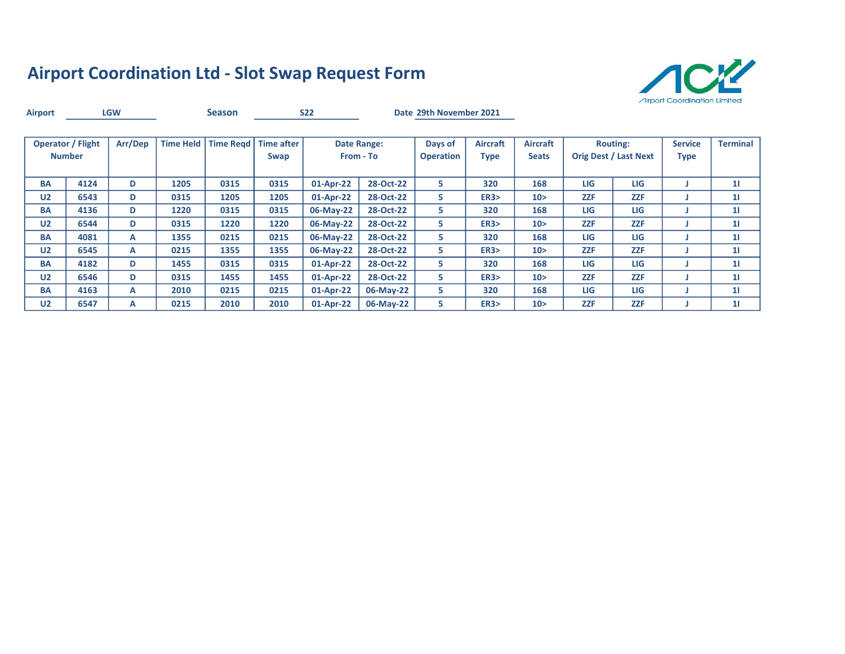

| <b>Airport</b> |                                           | <b>LGW</b> |                  | <b>Season</b>          |      | <b>S22</b> |                                 | Date 29th November 2021     |                                |                                 |            |                                                 |                               |                 |
|----------------|-------------------------------------------|------------|------------------|------------------------|------|------------|---------------------------------|-----------------------------|--------------------------------|---------------------------------|------------|-------------------------------------------------|-------------------------------|-----------------|
|                | <b>Operator / Flight</b><br><b>Number</b> | Arr/Dep    | <b>Time Held</b> | Time Regd   Time after | Swap |            | <b>Date Range:</b><br>From - To | Days of<br><b>Operation</b> | <b>Aircraft</b><br><b>Type</b> | <b>Aircraft</b><br><b>Seats</b> |            | <b>Routing:</b><br><b>Orig Dest / Last Next</b> | <b>Service</b><br><b>Type</b> | <b>Terminal</b> |
| <b>BA</b>      | 4124                                      | D          | 1205             | 0315                   | 0315 | 01-Apr-22  | 28-Oct-22                       | 5.                          | 320                            | 168                             | LIG        | LIG                                             |                               | 11              |
| U <sub>2</sub> | 6543                                      | D          | 0315             | 1205                   | 1205 | 01-Apr-22  | 28-Oct-22                       | 5.                          | ER3                            | 10 >                            | <b>ZZF</b> | <b>ZZF</b>                                      |                               | 11              |
| <b>BA</b>      | 4136                                      | D          | 1220             | 0315                   | 0315 | 06-May-22  | 28-Oct-22                       | 5.                          | 320                            | 168                             | LIG        | LIG                                             |                               | 11              |
| U <sub>2</sub> | 6544                                      | D          | 0315             | 1220                   | 1220 | 06-May-22  | 28-Oct-22                       | 5.                          | <b>ER3&gt;</b>                 | 10 <sub>2</sub>                 | <b>ZZF</b> | <b>ZZF</b>                                      |                               | 11              |
| <b>BA</b>      | 4081                                      | A          | 1355             | 0215                   | 0215 | 06-May-22  | 28-Oct-22                       | 5.                          | 320                            | 168                             | LIG        | LIG                                             |                               | 11              |
| U <sub>2</sub> | 6545                                      | A          | 0215             | 1355                   | 1355 | 06-May-22  | 28-Oct-22                       | 5.                          | ER3                            | 10 <sub>2</sub>                 | <b>ZZF</b> | <b>ZZF</b>                                      |                               | 11              |
| <b>BA</b>      | 4182                                      | D          | 1455             | 0315                   | 0315 | 01-Apr-22  | 28-Oct-22                       | 5.                          | 320                            | 168                             | LIG        | LIG                                             |                               | 11              |
| U <sub>2</sub> | 6546                                      | D          | 0315             | 1455                   | 1455 | 01-Apr-22  | 28-Oct-22                       | 5.                          | ER3                            | 10 <sub>2</sub>                 | <b>ZZF</b> | <b>ZZF</b>                                      |                               | 11              |
| <b>BA</b>      | 4163                                      | A          | 2010             | 0215                   | 0215 | 01-Apr-22  | 06-May-22                       | 5.                          | 320                            | 168                             | LIG        | <b>LIG</b>                                      |                               | 11              |
| U <sub>2</sub> | 6547                                      | A          | 0215             | 2010                   | 2010 | 01-Apr-22  | 06-May-22                       | 5.                          | ER3                            | 10 <sub>2</sub>                 | <b>ZZF</b> | <b>ZZF</b>                                      |                               | 11              |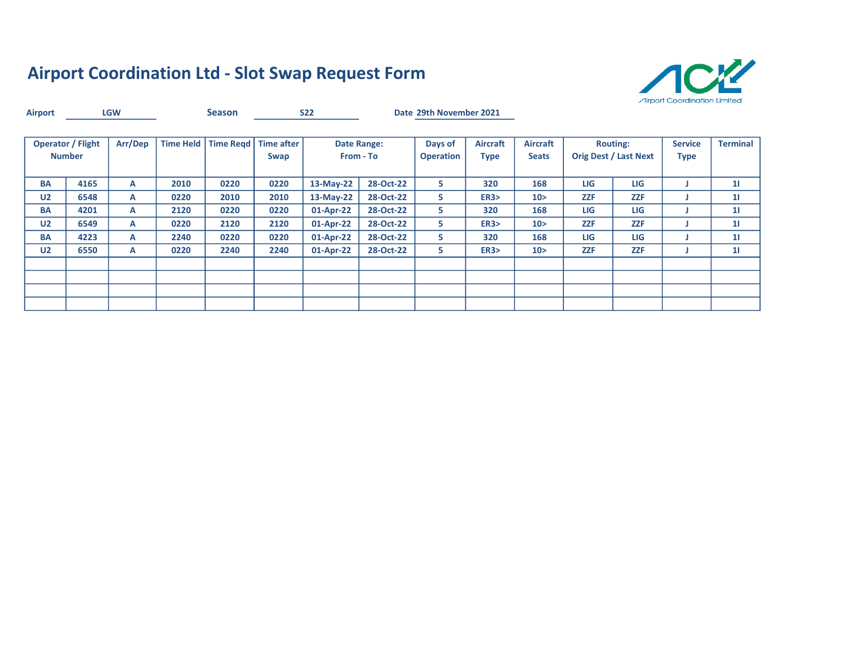

| <b>Airport</b> | <b>Season</b><br><b>LGW</b>               |         |                  |      | <b>S22</b>                     |           | Date 29th November 2021         |                             |                                |                                 |            |                                                 |                               |                 |
|----------------|-------------------------------------------|---------|------------------|------|--------------------------------|-----------|---------------------------------|-----------------------------|--------------------------------|---------------------------------|------------|-------------------------------------------------|-------------------------------|-----------------|
|                | <b>Operator / Flight</b><br><b>Number</b> | Arr/Dep | <b>Time Held</b> |      | Time Regd   Time after<br>Swap |           | <b>Date Range:</b><br>From - To | Days of<br><b>Operation</b> | <b>Aircraft</b><br><b>Type</b> | <b>Aircraft</b><br><b>Seats</b> |            | <b>Routing:</b><br><b>Orig Dest / Last Next</b> | <b>Service</b><br><b>Type</b> | <b>Terminal</b> |
| <b>BA</b>      | 4165                                      | A       | 2010             | 0220 | 0220                           | 13-May-22 | 28-Oct-22                       | 5.                          | 320                            | 168                             | LIG        | LIG                                             |                               | 11              |
| U <sub>2</sub> | 6548                                      | А       | 0220             | 2010 | 2010                           | 13-May-22 | 28-Oct-22                       | 5.                          | <b>ER3&gt;</b>                 | 10 <sub>2</sub>                 | <b>ZZF</b> | <b>ZZF</b>                                      |                               | 11              |
| <b>BA</b>      | 4201                                      | А       | 2120             | 0220 | 0220                           | 01-Apr-22 | 28-Oct-22                       | 5.                          | 320                            | 168                             | <b>LIG</b> | LIG                                             |                               | 11              |
| U <sub>2</sub> | 6549                                      | А       | 0220             | 2120 | 2120                           | 01-Apr-22 | 28-Oct-22                       | 5.                          | <b>ER3&gt;</b>                 | 10 <sub>2</sub>                 | <b>ZZF</b> | <b>ZZF</b>                                      |                               | 11              |
| BA             | 4223                                      | А       | 2240             | 0220 | 0220                           | 01-Apr-22 | 28-Oct-22                       | 5.                          | 320                            | 168                             | LIG        | LIG                                             |                               | 11              |
| U <sub>2</sub> | 6550                                      | А       | 0220             | 2240 | 2240                           | 01-Apr-22 | 28-Oct-22                       | 5.                          | ER3                            | 10 >                            | <b>ZZF</b> | <b>ZZF</b>                                      |                               | 11              |
|                |                                           |         |                  |      |                                |           |                                 |                             |                                |                                 |            |                                                 |                               |                 |
|                |                                           |         |                  |      |                                |           |                                 |                             |                                |                                 |            |                                                 |                               |                 |
|                |                                           |         |                  |      |                                |           |                                 |                             |                                |                                 |            |                                                 |                               |                 |
|                |                                           |         |                  |      |                                |           |                                 |                             |                                |                                 |            |                                                 |                               |                 |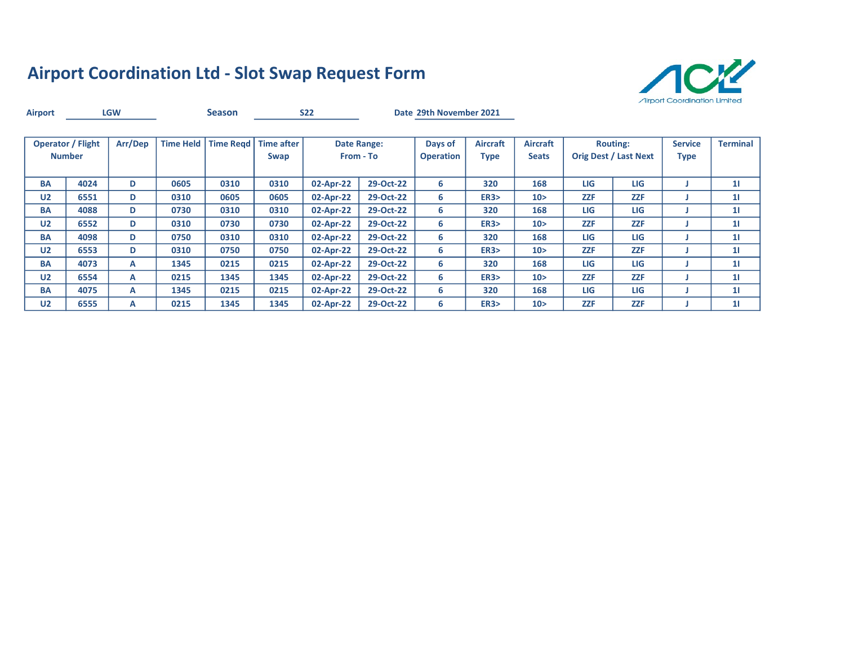

| <b>Airport</b> |                                           | <b>LGW</b> |                  | <b>Season</b> |                           | <b>S22</b> |                          | Date 29th November 2021     |                                |                                 |            |                                                 |                               |                 |
|----------------|-------------------------------------------|------------|------------------|---------------|---------------------------|------------|--------------------------|-----------------------------|--------------------------------|---------------------------------|------------|-------------------------------------------------|-------------------------------|-----------------|
|                | <b>Operator / Flight</b><br><b>Number</b> | Arr/Dep    | <b>Time Held</b> | Time Read     | <b>Time after</b><br>Swap |            | Date Range:<br>From - To | Days of<br><b>Operation</b> | <b>Aircraft</b><br><b>Type</b> | <b>Aircraft</b><br><b>Seats</b> |            | <b>Routing:</b><br><b>Orig Dest / Last Next</b> | <b>Service</b><br><b>Type</b> | <b>Terminal</b> |
| <b>BA</b>      | 4024                                      | D          | 0605             | 0310          | 0310                      | 02-Apr-22  | 29-Oct-22                | 6                           | 320                            | 168                             | <b>LIG</b> | LIG                                             |                               | 11              |
| U <sub>2</sub> | 6551                                      | D          | 0310             | 0605          | 0605                      | 02-Apr-22  | 29-Oct-22                | 6                           | <b>ER3&gt;</b>                 | 10 >                            | <b>ZZF</b> | <b>ZZF</b>                                      |                               | 11              |
| <b>BA</b>      | 4088                                      | D          | 0730             | 0310          | 0310                      | 02-Apr-22  | 29-Oct-22                | 6                           | 320                            | 168                             | LIG        | LIG                                             |                               | 11              |
| U <sub>2</sub> | 6552                                      | D          | 0310             | 0730          | 0730                      | 02-Apr-22  | 29-Oct-22                | 6                           | ER3                            | 10 >                            | <b>ZZF</b> | <b>ZZF</b>                                      |                               | 11              |
| <b>BA</b>      | 4098                                      | D          | 0750             | 0310          | 0310                      | 02-Apr-22  | 29-Oct-22                | 6                           | 320                            | 168                             | LIG        | LIG                                             |                               | 11              |
| U <sub>2</sub> | 6553                                      | D          | 0310             | 0750          | 0750                      | 02-Apr-22  | 29-Oct-22                | 6                           | <b>ER3&gt;</b>                 | 10 <sub>2</sub>                 | <b>ZZF</b> | <b>ZZF</b>                                      |                               | 11              |
| <b>BA</b>      | 4073                                      | A          | 1345             | 0215          | 0215                      | 02-Apr-22  | 29-Oct-22                | 6                           | 320                            | 168                             | LIG        | LIG                                             |                               | 11              |
| U <sub>2</sub> | 6554                                      | A          | 0215             | 1345          | 1345                      | 02-Apr-22  | 29-Oct-22                | 6                           | ER3                            | 10 <sub>2</sub>                 | <b>ZZF</b> | <b>ZZF</b>                                      |                               | 11              |
| <b>BA</b>      | 4075                                      | A          | 1345             | 0215          | 0215                      | 02-Apr-22  | 29-Oct-22                | 6                           | 320                            | 168                             | <b>LIG</b> | LIG                                             |                               | 11              |
| U <sub>2</sub> | 6555                                      | А          | 0215             | 1345          | 1345                      | 02-Apr-22  | 29-Oct-22                | 6                           | <b>ER3&gt;</b>                 | 10 <sub>2</sub>                 | <b>ZZF</b> | <b>ZZF</b>                                      |                               | 11              |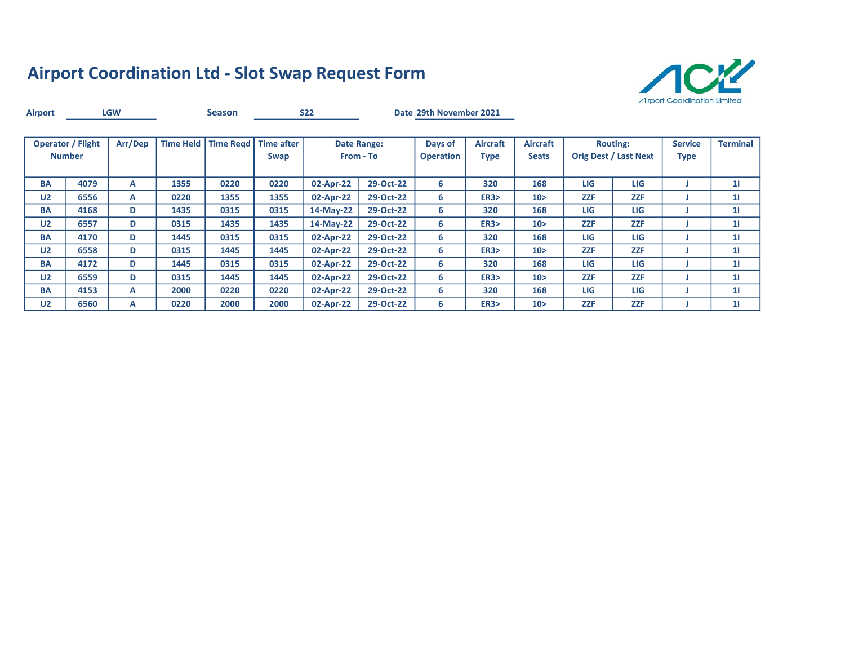

| <b>Airport</b> |                                           | <b>LGW</b> |                  | <b>Season</b>          |      | <b>S22</b> |                                 | Date 29th November 2021     |                                |                                 |            |                                                 |                               |                 |
|----------------|-------------------------------------------|------------|------------------|------------------------|------|------------|---------------------------------|-----------------------------|--------------------------------|---------------------------------|------------|-------------------------------------------------|-------------------------------|-----------------|
|                | <b>Operator / Flight</b><br><b>Number</b> | Arr/Dep    | <b>Time Held</b> | Time Regd   Time after | Swap |            | <b>Date Range:</b><br>From - To | Days of<br><b>Operation</b> | <b>Aircraft</b><br><b>Type</b> | <b>Aircraft</b><br><b>Seats</b> |            | <b>Routing:</b><br><b>Orig Dest / Last Next</b> | <b>Service</b><br><b>Type</b> | <b>Terminal</b> |
| <b>BA</b>      | 4079                                      | A          | 1355             | 0220                   | 0220 | 02-Apr-22  | 29-Oct-22                       | 6                           | 320                            | 168                             | LIG        | LIG                                             |                               | 11              |
| U <sub>2</sub> | 6556                                      | A          | 0220             | 1355                   | 1355 | 02-Apr-22  | 29-Oct-22                       | 6                           | ER3                            | 10 >                            | <b>ZZF</b> | <b>ZZF</b>                                      |                               | 11              |
| <b>BA</b>      | 4168                                      | D          | 1435             | 0315                   | 0315 | 14-May-22  | 29-Oct-22                       | 6                           | 320                            | 168                             | LIG        | LIG                                             |                               | 11              |
| U <sub>2</sub> | 6557                                      | D          | 0315             | 1435                   | 1435 | 14-May-22  | 29-Oct-22                       | 6                           | ER3                            | 10 <sub>2</sub>                 | <b>ZZF</b> | <b>ZZF</b>                                      |                               | 11              |
| <b>BA</b>      | 4170                                      | D          | 1445             | 0315                   | 0315 | 02-Apr-22  | 29-Oct-22                       | 6                           | 320                            | 168                             | LIG        | LIG                                             |                               | 11              |
| U <sub>2</sub> | 6558                                      | D          | 0315             | 1445                   | 1445 | 02-Apr-22  | 29-Oct-22                       | 6                           | ER3                            | 10 <sub>2</sub>                 | <b>ZZF</b> | <b>ZZF</b>                                      |                               | 11              |
| <b>BA</b>      | 4172                                      | D          | 1445             | 0315                   | 0315 | 02-Apr-22  | 29-Oct-22                       | 6                           | 320                            | 168                             | LIG        | LIG                                             |                               | 11              |
| U <sub>2</sub> | 6559                                      | D          | 0315             | 1445                   | 1445 | 02-Apr-22  | 29-Oct-22                       | 6                           | ER3                            | 10 <sub>2</sub>                 | <b>ZZF</b> | <b>ZZF</b>                                      |                               | 11              |
| <b>BA</b>      | 4153                                      | A          | 2000             | 0220                   | 0220 | 02-Apr-22  | 29-Oct-22                       | 6                           | 320                            | 168                             | LIG        | <b>LIG</b>                                      |                               | 11              |
| U <sub>2</sub> | 6560                                      | A          | 0220             | 2000                   | 2000 | 02-Apr-22  | 29-Oct-22                       | 6                           | ER3                            | 10 >                            | <b>ZZF</b> | <b>ZZF</b>                                      |                               | 11              |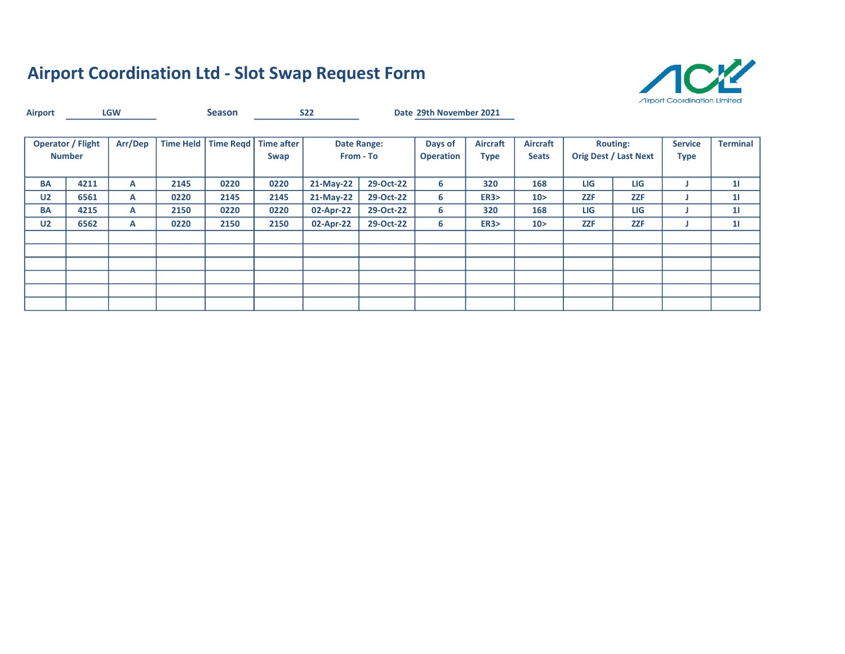

| <b>Airport</b> |                                           | <b>LGW</b> |                  | <b>Season</b> |                                | <b>S22</b>  |                                 | Date 29th November 2021     |                                |                                 |            |                                                 |                               |                 |
|----------------|-------------------------------------------|------------|------------------|---------------|--------------------------------|-------------|---------------------------------|-----------------------------|--------------------------------|---------------------------------|------------|-------------------------------------------------|-------------------------------|-----------------|
|                | <b>Operator / Flight</b><br><b>Number</b> | Arr/Dep    | <b>Time Held</b> |               | Time Regd   Time after<br>Swap |             | <b>Date Range:</b><br>From - To | Days of<br><b>Operation</b> | <b>Aircraft</b><br><b>Type</b> | <b>Aircraft</b><br><b>Seats</b> |            | <b>Routing:</b><br><b>Orig Dest / Last Next</b> | <b>Service</b><br><b>Type</b> | <b>Terminal</b> |
| <b>BA</b>      | 4211                                      | A          | 2145             | 0220          | 0220                           | 21-May-22   | 29-Oct-22                       | 6                           | 320                            | 168                             | LIG        | LIG                                             |                               | 11              |
| U <sub>2</sub> | 6561                                      | А          | 0220             | 2145          | 2145                           | $21-May-22$ | 29-Oct-22                       | 6                           | <b>ER3&gt;</b>                 | 10 <sub>2</sub>                 | <b>ZZF</b> | <b>ZZF</b>                                      |                               | 11              |
| <b>BA</b>      | 4215                                      | A          | 2150             | 0220          | 0220                           | 02-Apr-22   | 29-Oct-22                       | 6                           | 320                            | 168                             | LIG        | LIG                                             |                               | 11              |
| U <sub>2</sub> | 6562                                      | А          | 0220             | 2150          | 2150                           | 02-Apr-22   | 29-Oct-22                       | 6                           | ER3                            | 10 <sub>2</sub>                 | <b>ZZF</b> | <b>ZZF</b>                                      |                               | 11              |
|                |                                           |            |                  |               |                                |             |                                 |                             |                                |                                 |            |                                                 |                               |                 |
|                |                                           |            |                  |               |                                |             |                                 |                             |                                |                                 |            |                                                 |                               |                 |
|                |                                           |            |                  |               |                                |             |                                 |                             |                                |                                 |            |                                                 |                               |                 |
|                |                                           |            |                  |               |                                |             |                                 |                             |                                |                                 |            |                                                 |                               |                 |
|                |                                           |            |                  |               |                                |             |                                 |                             |                                |                                 |            |                                                 |                               |                 |
|                |                                           |            |                  |               |                                |             |                                 |                             |                                |                                 |            |                                                 |                               |                 |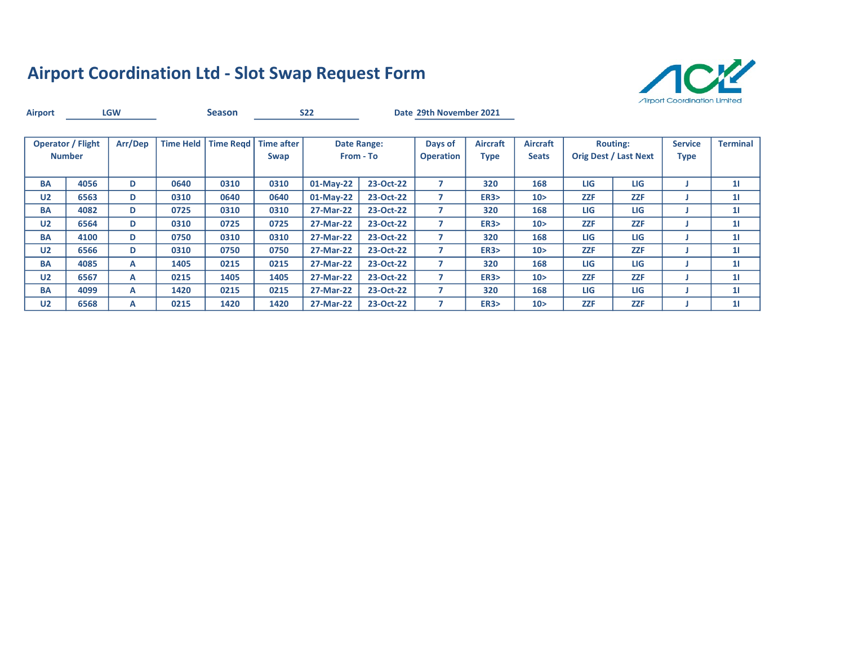

| <b>Airport</b> |                                           | <b>LGW</b> |                  | <b>Season</b> |                           | <b>S22</b>  |                          | Date 29th November 2021     |                                |                                 |            |                                                 |                               |                 |
|----------------|-------------------------------------------|------------|------------------|---------------|---------------------------|-------------|--------------------------|-----------------------------|--------------------------------|---------------------------------|------------|-------------------------------------------------|-------------------------------|-----------------|
|                | <b>Operator / Flight</b><br><b>Number</b> | Arr/Dep    | <b>Time Held</b> | Time Read     | <b>Time after</b><br>Swap |             | Date Range:<br>From - To | Days of<br><b>Operation</b> | <b>Aircraft</b><br><b>Type</b> | <b>Aircraft</b><br><b>Seats</b> |            | <b>Routing:</b><br><b>Orig Dest / Last Next</b> | <b>Service</b><br><b>Type</b> | <b>Terminal</b> |
| <b>BA</b>      | 4056                                      | D          | 0640             | 0310          | 0310                      | $01-May-22$ | 23-Oct-22                | 7                           | 320                            | 168                             | <b>LIG</b> | LIG                                             |                               | 11              |
| U <sub>2</sub> | 6563                                      | D          | 0310             | 0640          | 0640                      | $01-May-22$ | 23-Oct-22                | 7                           | <b>ER3&gt;</b>                 | 10 <sub>2</sub>                 | <b>ZZF</b> | <b>ZZF</b>                                      |                               | 11              |
| <b>BA</b>      | 4082                                      | D          | 0725             | 0310          | 0310                      | 27-Mar-22   | 23-Oct-22                | 7                           | 320                            | 168                             | LIG        | LIG                                             |                               | 11              |
| U <sub>2</sub> | 6564                                      | D          | 0310             | 0725          | 0725                      | 27-Mar-22   | 23-Oct-22                | 7                           | ER3                            | 10 >                            | <b>ZZF</b> | <b>ZZF</b>                                      |                               | 11              |
| <b>BA</b>      | 4100                                      | D          | 0750             | 0310          | 0310                      | 27-Mar-22   | 23-Oct-22                |                             | 320                            | 168                             | LIG        | LIG                                             |                               | 11              |
| U <sub>2</sub> | 6566                                      | D          | 0310             | 0750          | 0750                      | 27-Mar-22   | 23-Oct-22                |                             | ER3                            | 10 <sub>2</sub>                 | <b>ZZF</b> | <b>ZZF</b>                                      |                               | 11              |
| <b>BA</b>      | 4085                                      | A          | 1405             | 0215          | 0215                      | 27-Mar-22   | 23-Oct-22                |                             | 320                            | 168                             | LIG        | LIG                                             |                               | 11              |
| U <sub>2</sub> | 6567                                      | A          | 0215             | 1405          | 1405                      | 27-Mar-22   | 23-Oct-22                | 7                           | ER3                            | 10 <sub>2</sub>                 | <b>ZZF</b> | <b>ZZF</b>                                      |                               | 11              |
| <b>BA</b>      | 4099                                      | A          | 1420             | 0215          | 0215                      | 27-Mar-22   | 23-Oct-22                | 7                           | 320                            | 168                             | <b>LIG</b> | LIG                                             |                               | 11              |
| U <sub>2</sub> | 6568                                      | А          | 0215             | 1420          | 1420                      | 27-Mar-22   | 23-Oct-22                |                             | ER3                            | 10 <sub>2</sub>                 | <b>ZZF</b> | <b>ZZF</b>                                      |                               | 11              |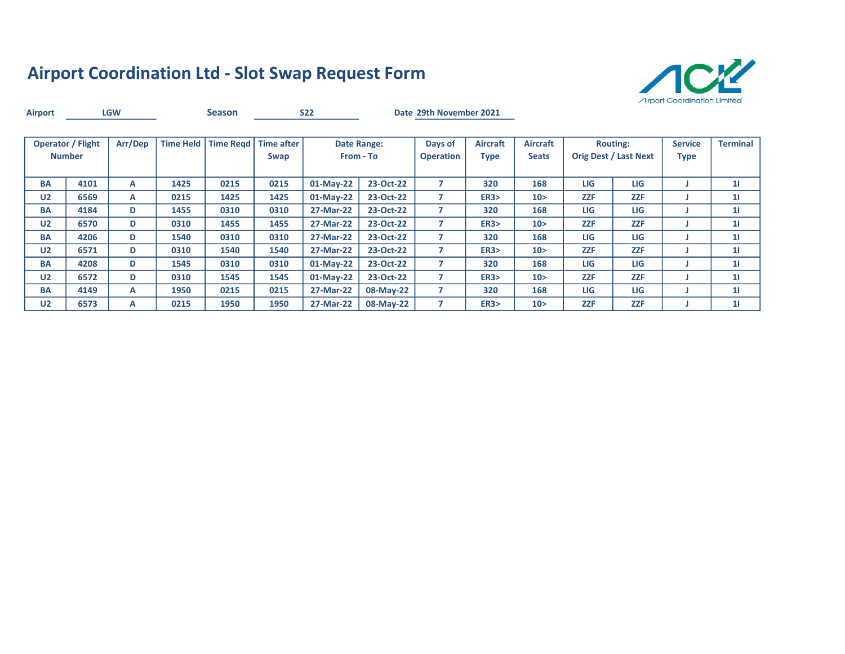

| <b>Airport</b> |                                           | <b>LGW</b> |                  | <b>Season</b> |                           | <b>S22</b>  |                          | Date 29th November 2021     |                                |                                 |            |                                                 |                               |                 |
|----------------|-------------------------------------------|------------|------------------|---------------|---------------------------|-------------|--------------------------|-----------------------------|--------------------------------|---------------------------------|------------|-------------------------------------------------|-------------------------------|-----------------|
|                | <b>Operator / Flight</b><br><b>Number</b> | Arr/Dep    | <b>Time Held</b> | Time Read     | <b>Time after</b><br>Swap |             | Date Range:<br>From - To | Days of<br><b>Operation</b> | <b>Aircraft</b><br><b>Type</b> | <b>Aircraft</b><br><b>Seats</b> |            | <b>Routing:</b><br><b>Orig Dest / Last Next</b> | <b>Service</b><br><b>Type</b> | <b>Terminal</b> |
| <b>BA</b>      | 4101                                      | A          | 1425             | 0215          | 0215                      | $01-May-22$ | 23-Oct-22                | 7                           | 320                            | 168                             | <b>LIG</b> | LIG                                             |                               | 11              |
| U <sub>2</sub> | 6569                                      | A          | 0215             | 1425          | 1425                      | $01-May-22$ | 23-Oct-22                | 7                           | <b>ER3&gt;</b>                 | 10 <sub>2</sub>                 | <b>ZZF</b> | <b>ZZF</b>                                      |                               | 11              |
| <b>BA</b>      | 4184                                      | D          | 1455             | 0310          | 0310                      | 27-Mar-22   | 23-Oct-22                | 7                           | 320                            | 168                             | LIG        | LIG                                             |                               | 11              |
| U <sub>2</sub> | 6570                                      | D          | 0310             | 1455          | 1455                      | 27-Mar-22   | 23-Oct-22                | 7                           | ER3                            | 10 >                            | <b>ZZF</b> | <b>ZZF</b>                                      |                               | 11              |
| <b>BA</b>      | 4206                                      | D          | 1540             | 0310          | 0310                      | 27-Mar-22   | 23-Oct-22                |                             | 320                            | 168                             | LIG        | LIG                                             |                               | 11              |
| U <sub>2</sub> | 6571                                      | D          | 0310             | 1540          | 1540                      | 27-Mar-22   | 23-Oct-22                |                             | ER3                            | 10 <sub>2</sub>                 | <b>ZZF</b> | <b>ZZF</b>                                      |                               | 11              |
| <b>BA</b>      | 4208                                      | D          | 1545             | 0310          | 0310                      | 01-May-22   | 23-Oct-22                |                             | 320                            | 168                             | <b>LIG</b> | LIG                                             |                               | 11              |
| U <sub>2</sub> | 6572                                      | D          | 0310             | 1545          | 1545                      | $01-May-22$ | 23-Oct-22                | 7                           | <b>ER3&gt;</b>                 | 10 <sub>2</sub>                 | <b>ZZF</b> | <b>ZZF</b>                                      |                               | 11              |
| <b>BA</b>      | 4149                                      | A          | 1950             | 0215          | 0215                      | 27-Mar-22   | 08-May-22                | 7                           | 320                            | 168                             | <b>LIG</b> | LIG                                             |                               | 11              |
| U <sub>2</sub> | 6573                                      | А          | 0215             | 1950          | 1950                      | 27-Mar-22   | 08-May-22                |                             | <b>ER3&gt;</b>                 | 10 <sub>2</sub>                 | <b>ZZF</b> | <b>ZZF</b>                                      |                               | 11              |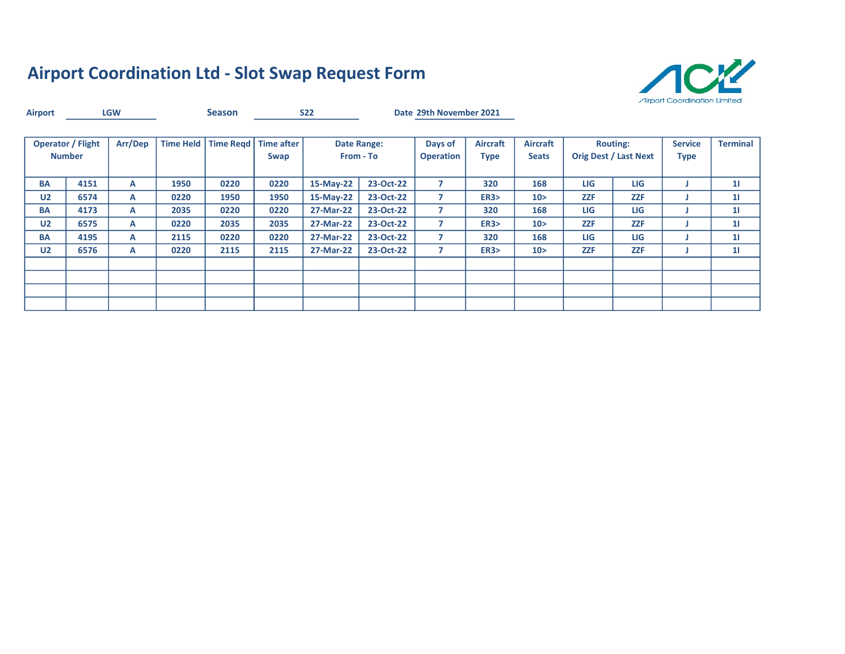

| <b>Airport</b> |                                           | <b>LGW</b> |                  | <b>Season</b> |                                | <b>S22</b> |                                 | Date 29th November 2021     |                                |                                 |            |                                                 |                               |                 |
|----------------|-------------------------------------------|------------|------------------|---------------|--------------------------------|------------|---------------------------------|-----------------------------|--------------------------------|---------------------------------|------------|-------------------------------------------------|-------------------------------|-----------------|
|                | <b>Operator / Flight</b><br><b>Number</b> | Arr/Dep    | <b>Time Held</b> |               | Time Regd   Time after<br>Swap |            | <b>Date Range:</b><br>From - To | Days of<br><b>Operation</b> | <b>Aircraft</b><br><b>Type</b> | <b>Aircraft</b><br><b>Seats</b> |            | <b>Routing:</b><br><b>Orig Dest / Last Next</b> | <b>Service</b><br><b>Type</b> | <b>Terminal</b> |
| <b>BA</b>      | 4151                                      | A          | 1950             | 0220          | 0220                           | 15-May-22  | 23-Oct-22                       | 7                           | 320                            | 168                             | LIG        | LIG                                             |                               | 11              |
| U <sub>2</sub> | 6574                                      | A          | 0220             | 1950          | 1950                           | 15-May-22  | 23-Oct-22                       | $\overline{7}$              | <b>ER3&gt;</b>                 | 10 <sub>2</sub>                 | <b>ZZF</b> | <b>ZZF</b>                                      |                               | 11              |
| <b>BA</b>      | 4173                                      | A          | 2035             | 0220          | 0220                           | 27-Mar-22  | 23-Oct-22                       | 7                           | 320                            | 168                             | LIG        | LIG                                             |                               | 11              |
| U <sub>2</sub> | 6575                                      | A          | 0220             | 2035          | 2035                           | 27-Mar-22  | 23-Oct-22                       | 7                           | <b>ER3&gt;</b>                 | 10 <sub>2</sub>                 | <b>ZZF</b> | <b>ZZF</b>                                      |                               | 11              |
| <b>BA</b>      | 4195                                      | A          | 2115             | 0220          | 0220                           | 27-Mar-22  | 23-Oct-22                       | 7                           | 320                            | 168                             | LIG        | LIG                                             |                               | 11              |
| U <sub>2</sub> | 6576                                      | A          | 0220             | 2115          | 2115                           | 27-Mar-22  | 23-Oct-22                       | 7                           | <b>ER3&gt;</b>                 | 10 <sub>2</sub>                 | <b>ZZF</b> | <b>ZZF</b>                                      |                               | 11              |
|                |                                           |            |                  |               |                                |            |                                 |                             |                                |                                 |            |                                                 |                               |                 |
|                |                                           |            |                  |               |                                |            |                                 |                             |                                |                                 |            |                                                 |                               |                 |
|                |                                           |            |                  |               |                                |            |                                 |                             |                                |                                 |            |                                                 |                               |                 |
|                |                                           |            |                  |               |                                |            |                                 |                             |                                |                                 |            |                                                 |                               |                 |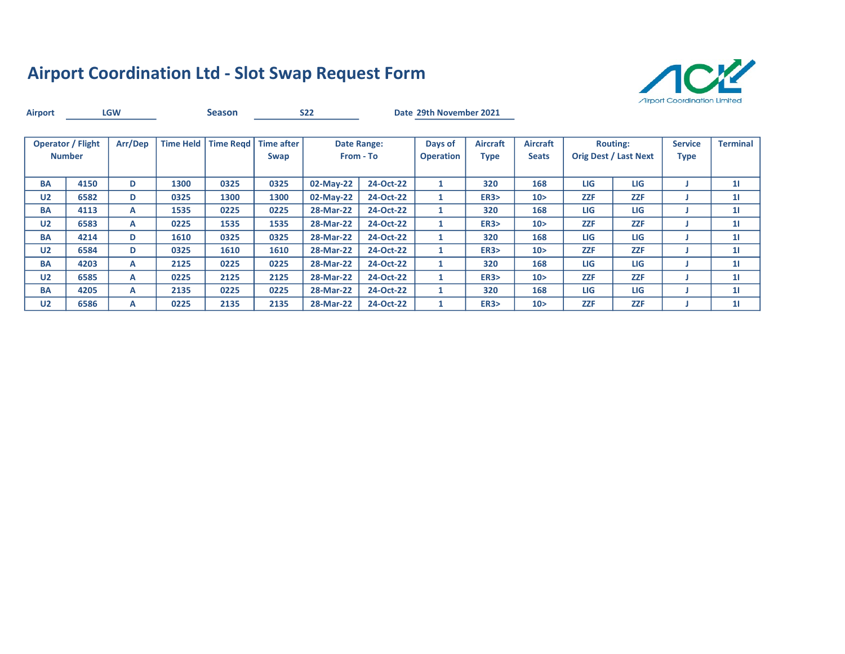

| <b>Airport</b> |                                           | <b>LGW</b> |                  | <b>Season</b> |                           | <b>S22</b> |                          | Date 29th November 2021     |                                |                                 |            |                                                 |                               |                 |
|----------------|-------------------------------------------|------------|------------------|---------------|---------------------------|------------|--------------------------|-----------------------------|--------------------------------|---------------------------------|------------|-------------------------------------------------|-------------------------------|-----------------|
|                | <b>Operator / Flight</b><br><b>Number</b> | Arr/Dep    | <b>Time Held</b> | Time Read     | <b>Time after</b><br>Swap |            | Date Range:<br>From - To | Days of<br><b>Operation</b> | <b>Aircraft</b><br><b>Type</b> | <b>Aircraft</b><br><b>Seats</b> |            | <b>Routing:</b><br><b>Orig Dest / Last Next</b> | <b>Service</b><br><b>Type</b> | <b>Terminal</b> |
| <b>BA</b>      | 4150                                      | D          | 1300             | 0325          | 0325                      | 02-May-22  | 24-Oct-22                | 1                           | 320                            | 168                             | <b>LIG</b> | LIG                                             |                               | 11              |
| U <sub>2</sub> | 6582                                      | D          | 0325             | 1300          | 1300                      | 02-May-22  | 24-Oct-22                | $\mathbf{1}$                | <b>ER3&gt;</b>                 | 10 <sub>2</sub>                 | <b>ZZF</b> | <b>ZZF</b>                                      |                               | 11              |
| <b>BA</b>      | 4113                                      | А          | 1535             | 0225          | 0225                      | 28-Mar-22  | 24-Oct-22                | 1                           | 320                            | 168                             | LIG        | LIG                                             |                               | 11              |
| U <sub>2</sub> | 6583                                      | А          | 0225             | 1535          | 1535                      | 28-Mar-22  | 24-Oct-22                | 1                           | ER3                            | 10 >                            | <b>ZZF</b> | <b>ZZF</b>                                      |                               | 11              |
| <b>BA</b>      | 4214                                      | D          | 1610             | 0325          | 0325                      | 28-Mar-22  | 24-Oct-22                | 1                           | 320                            | 168                             | LIG        | LIG                                             |                               | 11              |
| U <sub>2</sub> | 6584                                      | D          | 0325             | 1610          | 1610                      | 28-Mar-22  | 24-Oct-22                | $\mathbf{1}$                | ER3                            | 10 <sub>2</sub>                 | <b>ZZF</b> | <b>ZZF</b>                                      |                               | 11              |
| <b>BA</b>      | 4203                                      | A          | 2125             | 0225          | 0225                      | 28-Mar-22  | 24-Oct-22                | 1                           | 320                            | 168                             | LIG        | LIG                                             |                               | 11              |
| U <sub>2</sub> | 6585                                      | A          | 0225             | 2125          | 2125                      | 28-Mar-22  | 24-Oct-22                | 1                           | ER3                            | 10 <sub>2</sub>                 | <b>ZZF</b> | <b>ZZF</b>                                      |                               | 11              |
| <b>BA</b>      | 4205                                      | A          | 2135             | 0225          | 0225                      | 28-Mar-22  | 24-Oct-22                | 1                           | 320                            | 168                             | <b>LIG</b> | LIG                                             |                               | 11              |
| U <sub>2</sub> | 6586                                      | А          | 0225             | 2135          | 2135                      | 28-Mar-22  | 24-Oct-22                | 1                           | <b>ER3&gt;</b>                 | 10 <sub>2</sub>                 | <b>ZZF</b> | <b>ZZF</b>                                      |                               | 11              |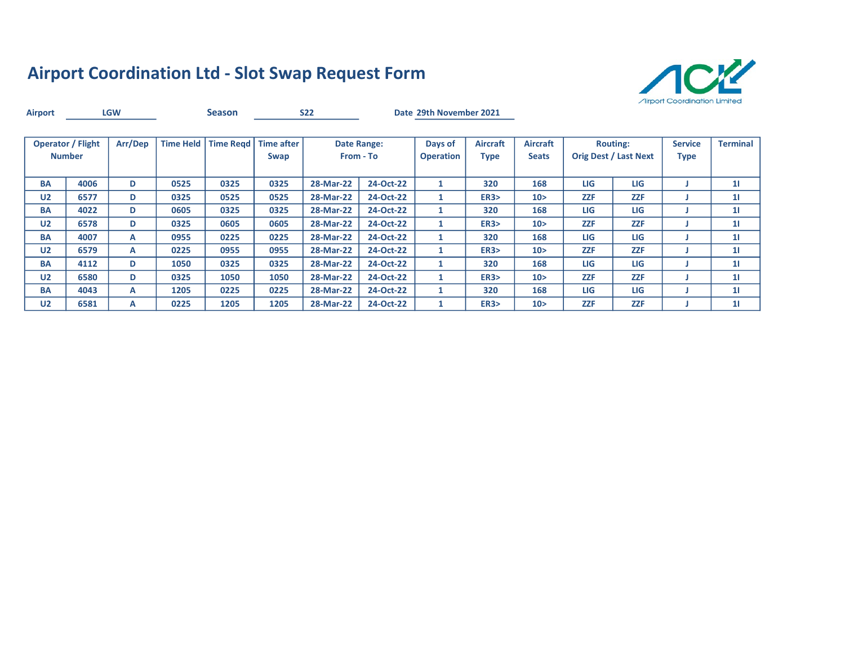

| <b>Airport</b> |                                           | <b>LGW</b> |                  | <b>Season</b> |                           | <b>S22</b> |                          | Date 29th November 2021     |                                |                                 |            |                                                 |                               |                 |
|----------------|-------------------------------------------|------------|------------------|---------------|---------------------------|------------|--------------------------|-----------------------------|--------------------------------|---------------------------------|------------|-------------------------------------------------|-------------------------------|-----------------|
|                | <b>Operator / Flight</b><br><b>Number</b> | Arr/Dep    | <b>Time Held</b> | Time Read     | <b>Time after</b><br>Swap |            | Date Range:<br>From - To | Days of<br><b>Operation</b> | <b>Aircraft</b><br><b>Type</b> | <b>Aircraft</b><br><b>Seats</b> |            | <b>Routing:</b><br><b>Orig Dest / Last Next</b> | <b>Service</b><br><b>Type</b> | <b>Terminal</b> |
| <b>BA</b>      | 4006                                      | D          | 0525             | 0325          | 0325                      | 28-Mar-22  | 24-Oct-22                | 1                           | 320                            | 168                             | <b>LIG</b> | LIG                                             |                               | 11              |
| U <sub>2</sub> | 6577                                      | D          | 0325             | 0525          | 0525                      | 28-Mar-22  | 24-Oct-22                | $\mathbf{1}$                | <b>ER3&gt;</b>                 | 10 >                            | <b>ZZF</b> | <b>ZZF</b>                                      |                               | 11              |
| <b>BA</b>      | 4022                                      | D          | 0605             | 0325          | 0325                      | 28-Mar-22  | 24-Oct-22                | 1                           | 320                            | 168                             | LIG        | LIG                                             |                               | 11              |
| U <sub>2</sub> | 6578                                      | D          | 0325             | 0605          | 0605                      | 28-Mar-22  | 24-Oct-22                | $\mathbf{1}$                | ER3                            | 10 >                            | <b>ZZF</b> | <b>ZZF</b>                                      |                               | 11              |
| <b>BA</b>      | 4007                                      | А          | 0955             | 0225          | 0225                      | 28-Mar-22  | 24-Oct-22                | 1                           | 320                            | 168                             | LIG        | LIG                                             |                               | 11              |
| U <sub>2</sub> | 6579                                      | А          | 0225             | 0955          | 0955                      | 28-Mar-22  | 24-Oct-22                | $\mathbf{1}$                | ER3                            | 10 <sub>2</sub>                 | <b>ZZF</b> | <b>ZZF</b>                                      |                               | 11              |
| <b>BA</b>      | 4112                                      | D          | 1050             | 0325          | 0325                      | 28-Mar-22  | 24-Oct-22                | 1                           | 320                            | 168                             | LIG        | LIG                                             |                               | 11              |
| U <sub>2</sub> | 6580                                      | D          | 0325             | 1050          | 1050                      | 28-Mar-22  | 24-Oct-22                | 1                           | ER3                            | 10 <sub>2</sub>                 | <b>ZZF</b> | <b>ZZF</b>                                      |                               | 11              |
| <b>BA</b>      | 4043                                      | A          | 1205             | 0225          | 0225                      | 28-Mar-22  | 24-Oct-22                | 1                           | 320                            | 168                             | <b>LIG</b> | LIG                                             |                               | 11              |
| U <sub>2</sub> | 6581                                      | А          | 0225             | 1205          | 1205                      | 28-Mar-22  | 24-Oct-22                | 1                           | <b>ER3&gt;</b>                 | 10 <sub>2</sub>                 | <b>ZZF</b> | <b>ZZF</b>                                      |                               | 11              |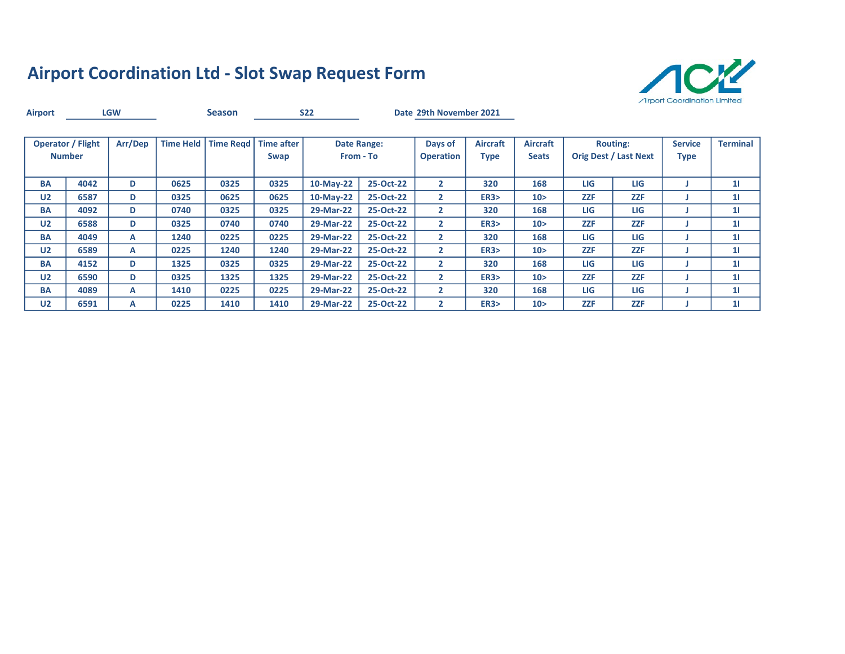

| <b>Airport</b> |                                           | <b>LGW</b> |                  | <b>Season</b> |                           | <b>S22</b> |                          | Date 29th November 2021     |                                |                                 |            |                                                 |                               |                 |
|----------------|-------------------------------------------|------------|------------------|---------------|---------------------------|------------|--------------------------|-----------------------------|--------------------------------|---------------------------------|------------|-------------------------------------------------|-------------------------------|-----------------|
|                | <b>Operator / Flight</b><br><b>Number</b> | Arr/Dep    | <b>Time Held</b> | Time Read     | <b>Time after</b><br>Swap |            | Date Range:<br>From - To | Days of<br><b>Operation</b> | <b>Aircraft</b><br><b>Type</b> | <b>Aircraft</b><br><b>Seats</b> |            | <b>Routing:</b><br><b>Orig Dest / Last Next</b> | <b>Service</b><br><b>Type</b> | <b>Terminal</b> |
| <b>BA</b>      | 4042                                      | D          | 0625             | 0325          | 0325                      | 10-May-22  | 25-Oct-22                | $\mathbf{2}$                | 320                            | 168                             | <b>LIG</b> | LIG                                             |                               | 11              |
| U <sub>2</sub> | 6587                                      | D          | 0325             | 0625          | 0625                      | 10-May-22  | 25-Oct-22                | $\mathbf{2}$                | <b>ER3&gt;</b>                 | 10 <sub>2</sub>                 | <b>ZZF</b> | <b>ZZF</b>                                      |                               | 11              |
| <b>BA</b>      | 4092                                      | D          | 0740             | 0325          | 0325                      | 29-Mar-22  | 25-Oct-22                | $\mathbf{2}$                | 320                            | 168                             | LIG        | LIG                                             |                               | 11              |
| U <sub>2</sub> | 6588                                      | D          | 0325             | 0740          | 0740                      | 29-Mar-22  | 25-Oct-22                | $\overline{2}$              | ER3                            | 10 >                            | <b>ZZF</b> | <b>ZZF</b>                                      |                               | 11              |
| <b>BA</b>      | 4049                                      | А          | 1240             | 0225          | 0225                      | 29-Mar-22  | 25-Oct-22                | $\mathbf{2}$                | 320                            | 168                             | LIG        | LIG                                             |                               | 11              |
| U <sub>2</sub> | 6589                                      | А          | 0225             | 1240          | 1240                      | 29-Mar-22  | 25-Oct-22                | $\overline{2}$              | ER3                            | 10 <sub>2</sub>                 | <b>ZZF</b> | <b>ZZF</b>                                      |                               | 11              |
| <b>BA</b>      | 4152                                      | D          | 1325             | 0325          | 0325                      | 29-Mar-22  | 25-Oct-22                | $\mathbf{2}$                | 320                            | 168                             | <b>LIG</b> | LIG                                             |                               | 11              |
| U <sub>2</sub> | 6590                                      | D          | 0325             | 1325          | 1325                      | 29-Mar-22  | 25-Oct-22                | $\overline{2}$              | ER3                            | 10 <sub>2</sub>                 | <b>ZZF</b> | <b>ZZF</b>                                      |                               | 11              |
| <b>BA</b>      | 4089                                      | A          | 1410             | 0225          | 0225                      | 29-Mar-22  | 25-Oct-22                | $\mathbf{2}$                | 320                            | 168                             | <b>LIG</b> | LIG                                             |                               | 11              |
| U <sub>2</sub> | 6591                                      | А          | 0225             | 1410          | 1410                      | 29-Mar-22  | 25-Oct-22                | $\overline{2}$              | ER3                            | 10 <sub>2</sub>                 | <b>ZZF</b> | <b>ZZF</b>                                      |                               | 11              |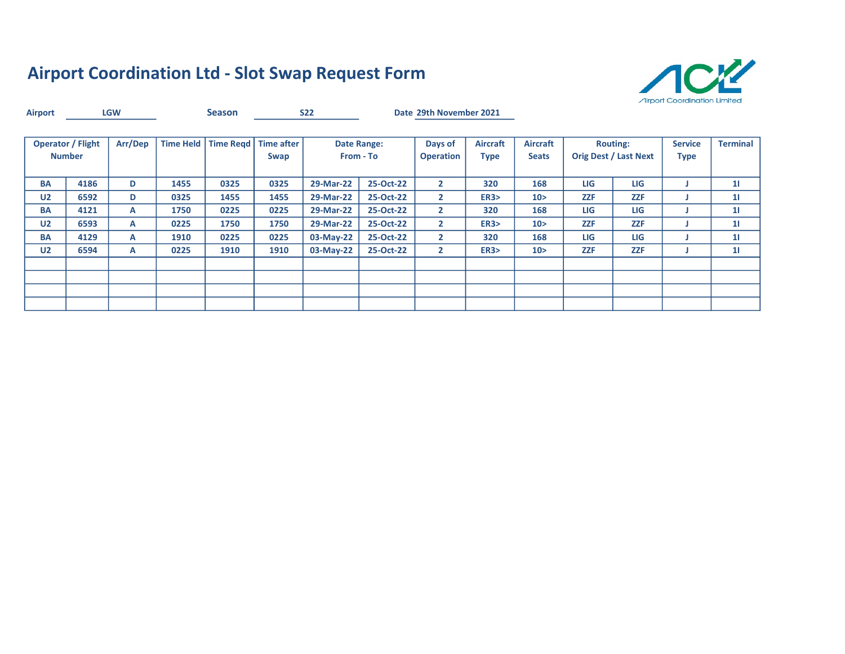

| <b>Airport</b> |                                           | <b>LGW</b> |                  | <b>Season</b> |                                | <b>S22</b> |                                 | Date 29th November 2021     |                                |                                 |            |                                                 |                               |                 |
|----------------|-------------------------------------------|------------|------------------|---------------|--------------------------------|------------|---------------------------------|-----------------------------|--------------------------------|---------------------------------|------------|-------------------------------------------------|-------------------------------|-----------------|
|                | <b>Operator / Flight</b><br><b>Number</b> | Arr/Dep    | <b>Time Held</b> |               | Time Regd   Time after<br>Swap |            | <b>Date Range:</b><br>From - To | Days of<br><b>Operation</b> | <b>Aircraft</b><br><b>Type</b> | <b>Aircraft</b><br><b>Seats</b> |            | <b>Routing:</b><br><b>Orig Dest / Last Next</b> | <b>Service</b><br><b>Type</b> | <b>Terminal</b> |
| <b>BA</b>      | 4186                                      | D          | 1455             | 0325          | 0325                           | 29-Mar-22  | 25-Oct-22                       | $\mathbf{2}$                | 320                            | 168                             | <b>LIG</b> | LIG                                             |                               | 11              |
| U <sub>2</sub> | 6592                                      | D          | 0325             | 1455          | 1455                           | 29-Mar-22  | 25-Oct-22                       | $\mathbf{2}$                | <b>ER3&gt;</b>                 | 10 <sub>2</sub>                 | <b>ZZF</b> | <b>ZZF</b>                                      |                               | 11              |
| <b>BA</b>      | 4121                                      | А          | 1750             | 0225          | 0225                           | 29-Mar-22  | 25-Oct-22                       | $\mathbf{2}$                | 320                            | 168                             | <b>LIG</b> | LIG                                             |                               | 11              |
| U <sub>2</sub> | 6593                                      | A          | 0225             | 1750          | 1750                           | 29-Mar-22  | 25-Oct-22                       | $\mathbf{2}$                | <b>ER3&gt;</b>                 | 10 <sub>2</sub>                 | <b>ZZF</b> | <b>ZZF</b>                                      |                               | 11              |
| <b>BA</b>      | 4129                                      | A          | 1910             | 0225          | 0225                           | 03-May-22  | 25-Oct-22                       | $\mathbf{2}$                | 320                            | 168                             | LIG        | LIG                                             |                               | 11              |
| U <sub>2</sub> | 6594                                      | A          | 0225             | 1910          | 1910                           | 03-May-22  | 25-Oct-22                       | $\mathbf{2}$                | <b>ER3&gt;</b>                 | 10 <sub>2</sub>                 | <b>ZZF</b> | <b>ZZF</b>                                      |                               | 11              |
|                |                                           |            |                  |               |                                |            |                                 |                             |                                |                                 |            |                                                 |                               |                 |
|                |                                           |            |                  |               |                                |            |                                 |                             |                                |                                 |            |                                                 |                               |                 |
|                |                                           |            |                  |               |                                |            |                                 |                             |                                |                                 |            |                                                 |                               |                 |
|                |                                           |            |                  |               |                                |            |                                 |                             |                                |                                 |            |                                                 |                               |                 |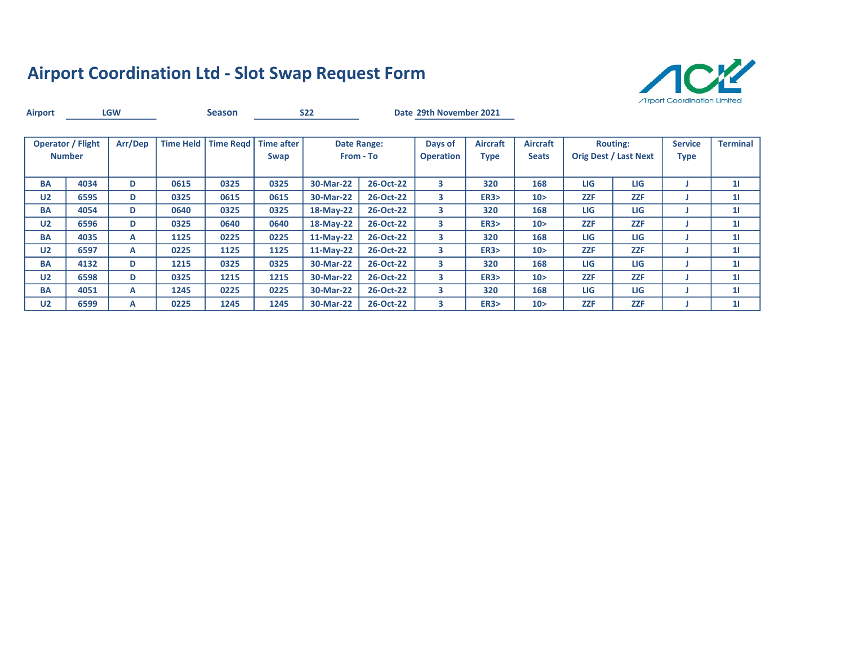

| <b>Airport</b> |                                           | <b>LGW</b> |                  | <b>Season</b> |                           | <b>S22</b> |                          | Date 29th November 2021     |                                |                                 |            |                                                 |                               |                 |
|----------------|-------------------------------------------|------------|------------------|---------------|---------------------------|------------|--------------------------|-----------------------------|--------------------------------|---------------------------------|------------|-------------------------------------------------|-------------------------------|-----------------|
|                | <b>Operator / Flight</b><br><b>Number</b> | Arr/Dep    | <b>Time Held</b> | Time Read     | <b>Time after</b><br>Swap |            | Date Range:<br>From - To | Days of<br><b>Operation</b> | <b>Aircraft</b><br><b>Type</b> | <b>Aircraft</b><br><b>Seats</b> |            | <b>Routing:</b><br><b>Orig Dest / Last Next</b> | <b>Service</b><br><b>Type</b> | <b>Terminal</b> |
| <b>BA</b>      | 4034                                      | D          | 0615             | 0325          | 0325                      | 30-Mar-22  | 26-Oct-22                | 3                           | 320                            | 168                             | <b>LIG</b> | LIG                                             |                               | 11              |
| U <sub>2</sub> | 6595                                      | D          | 0325             | 0615          | 0615                      | 30-Mar-22  | 26-Oct-22                | 3                           | <b>ER3&gt;</b>                 | 10 >                            | <b>ZZF</b> | <b>ZZF</b>                                      |                               | 11              |
| <b>BA</b>      | 4054                                      | D          | 0640             | 0325          | 0325                      | 18-May-22  | 26-Oct-22                | 3                           | 320                            | 168                             | LIG        | LIG                                             |                               | 11              |
| U <sub>2</sub> | 6596                                      | D          | 0325             | 0640          | 0640                      | 18-May-22  | 26-Oct-22                | 3                           | <b>ER3&gt;</b>                 | 10 <sub>2</sub>                 | <b>ZZF</b> | <b>ZZF</b>                                      |                               | 11              |
| <b>BA</b>      | 4035                                      | А          | 1125             | 0225          | 0225                      | 11-May-22  | 26-Oct-22                | 3                           | 320                            | 168                             | LIG        | LIG                                             |                               | 11              |
| U <sub>2</sub> | 6597                                      | А          | 0225             | 1125          | 1125                      | 11-May-22  | 26-Oct-22                | 3                           | <b>ER3&gt;</b>                 | 10 <sub>2</sub>                 | <b>ZZF</b> | <b>ZZF</b>                                      |                               | 11              |
| <b>BA</b>      | 4132                                      | D          | 1215             | 0325          | 0325                      | 30-Mar-22  | 26-Oct-22                | 3                           | 320                            | 168                             | LIG        | LIG                                             |                               | 11              |
| U <sub>2</sub> | 6598                                      | D          | 0325             | 1215          | 1215                      | 30-Mar-22  | 26-Oct-22                | 3                           | ER3                            | 10 <sub>2</sub>                 | <b>ZZF</b> | <b>ZZF</b>                                      |                               | 11              |
| <b>BA</b>      | 4051                                      | A          | 1245             | 0225          | 0225                      | 30-Mar-22  | 26-Oct-22                | 3                           | 320                            | 168                             | <b>LIG</b> | LIG                                             |                               | 11              |
| U <sub>2</sub> | 6599                                      | А          | 0225             | 1245          | 1245                      | 30-Mar-22  | 26-Oct-22                | 3                           | ER3                            | 10 <sub>2</sub>                 | <b>ZZF</b> | <b>ZZF</b>                                      |                               | 11              |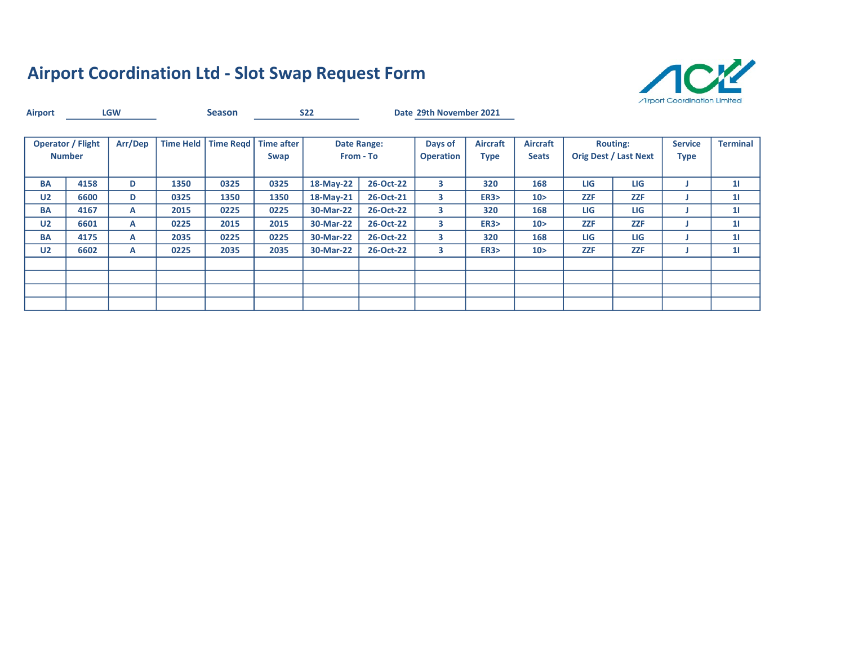

| <b>Airport</b> |                                           | <b>LGW</b> |                  | <b>Season</b> |                                | <b>S22</b> |                                 | Date 29th November 2021     |                                |                                 |            |                                                 |                               |                 |
|----------------|-------------------------------------------|------------|------------------|---------------|--------------------------------|------------|---------------------------------|-----------------------------|--------------------------------|---------------------------------|------------|-------------------------------------------------|-------------------------------|-----------------|
|                | <b>Operator / Flight</b><br><b>Number</b> | Arr/Dep    | <b>Time Held</b> |               | Time Regd   Time after<br>Swap |            | <b>Date Range:</b><br>From - To | Days of<br><b>Operation</b> | <b>Aircraft</b><br><b>Type</b> | <b>Aircraft</b><br><b>Seats</b> |            | <b>Routing:</b><br><b>Orig Dest / Last Next</b> | <b>Service</b><br><b>Type</b> | <b>Terminal</b> |
| <b>BA</b>      | 4158                                      | D          | 1350             | 0325          | 0325                           | 18-May-22  | 26-Oct-22                       | 3                           | 320                            | 168                             | <b>LIG</b> | LIG                                             |                               | 11              |
| U <sub>2</sub> | 6600                                      | D          | 0325             | 1350          | 1350                           | 18-May-21  | 26-Oct-21                       | 3                           | <b>ER3&gt;</b>                 | 10 <sub>2</sub>                 | <b>ZZF</b> | <b>ZZF</b>                                      |                               | 11              |
| <b>BA</b>      | 4167                                      | A          | 2015             | 0225          | 0225                           | 30-Mar-22  | 26-Oct-22                       | 3                           | 320                            | 168                             | <b>LIG</b> | LIG                                             |                               | 11              |
| U <sub>2</sub> | 6601                                      | A          | 0225             | 2015          | 2015                           | 30-Mar-22  | 26-Oct-22                       | 3                           | <b>ER3&gt;</b>                 | 10 <sub>2</sub>                 | <b>ZZF</b> | <b>ZZF</b>                                      |                               | 11              |
| <b>BA</b>      | 4175                                      | A          | 2035             | 0225          | 0225                           | 30-Mar-22  | 26-Oct-22                       | 3                           | 320                            | 168                             | <b>LIG</b> | LIG                                             |                               | 11              |
| U <sub>2</sub> | 6602                                      | A          | 0225             | 2035          | 2035                           | 30-Mar-22  | 26-Oct-22                       | 3                           | <b>ER3&gt;</b>                 | 10 <sub>2</sub>                 | <b>ZZF</b> | <b>ZZF</b>                                      |                               | 11              |
|                |                                           |            |                  |               |                                |            |                                 |                             |                                |                                 |            |                                                 |                               |                 |
|                |                                           |            |                  |               |                                |            |                                 |                             |                                |                                 |            |                                                 |                               |                 |
|                |                                           |            |                  |               |                                |            |                                 |                             |                                |                                 |            |                                                 |                               |                 |
|                |                                           |            |                  |               |                                |            |                                 |                             |                                |                                 |            |                                                 |                               |                 |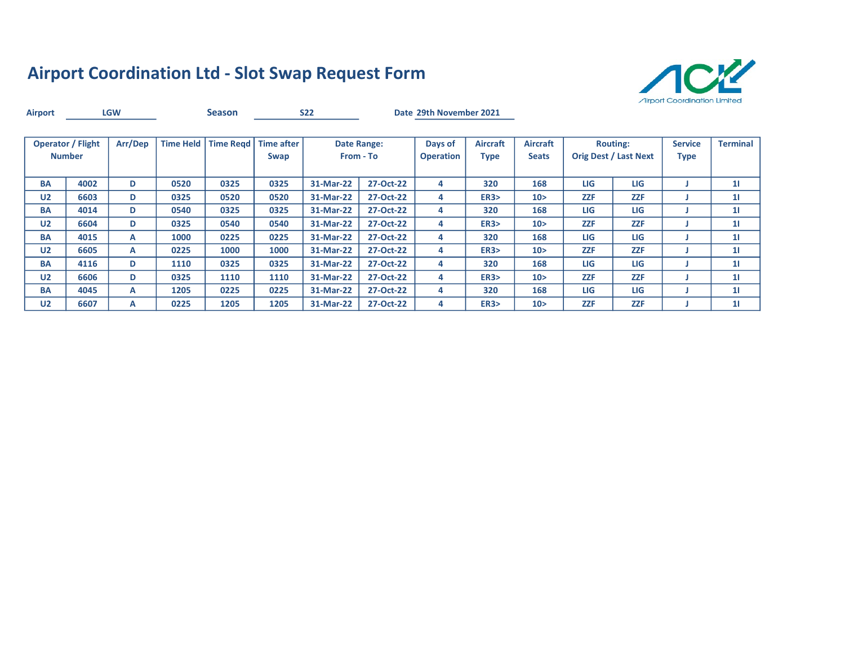

| <b>Airport</b> |                                           | <b>LGW</b> |                  | <b>Season</b>          |      | <b>S22</b> |                                 | Date 29th November 2021     |                         |                                 |            |                                                 |                               |                 |
|----------------|-------------------------------------------|------------|------------------|------------------------|------|------------|---------------------------------|-----------------------------|-------------------------|---------------------------------|------------|-------------------------------------------------|-------------------------------|-----------------|
|                | <b>Operator / Flight</b><br><b>Number</b> | Arr/Dep    | <b>Time Held</b> | Time Regd   Time after | Swap |            | <b>Date Range:</b><br>From - To | Days of<br><b>Operation</b> | Aircraft<br><b>Type</b> | <b>Aircraft</b><br><b>Seats</b> |            | <b>Routing:</b><br><b>Orig Dest / Last Next</b> | <b>Service</b><br><b>Type</b> | <b>Terminal</b> |
| <b>BA</b>      | 4002                                      | D          | 0520             | 0325                   | 0325 | 31-Mar-22  | 27-Oct-22                       | 4                           | 320                     | 168                             | <b>LIG</b> | LIG                                             |                               | 11              |
| U <sub>2</sub> | 6603                                      | D          | 0325             | 0520                   | 0520 | 31-Mar-22  | 27-Oct-22                       | 4                           | ER3                     | 10 >                            | <b>ZZF</b> | <b>ZZF</b>                                      |                               | 11              |
| <b>BA</b>      | 4014                                      | D          | 0540             | 0325                   | 0325 | 31-Mar-22  | 27-Oct-22                       | 4                           | 320                     | 168                             | LIG        | LIG                                             |                               | 11              |
| U <sub>2</sub> | 6604                                      | D          | 0325             | 0540                   | 0540 | 31-Mar-22  | 27-Oct-22                       | 4                           | ER3                     | 10 <sub>2</sub>                 | <b>ZZF</b> | <b>ZZF</b>                                      |                               | 11              |
| <b>BA</b>      | 4015                                      | A          | 1000             | 0225                   | 0225 | 31-Mar-22  | 27-Oct-22                       | 4                           | 320                     | 168                             | LIG        | LIG                                             |                               | 11              |
| U <sub>2</sub> | 6605                                      | A          | 0225             | 1000                   | 1000 | 31-Mar-22  | 27-Oct-22                       | 4                           | ER3                     | 10 <sub>2</sub>                 | <b>ZZF</b> | <b>ZZF</b>                                      |                               | 11              |
| <b>BA</b>      | 4116                                      | D          | 1110             | 0325                   | 0325 | 31-Mar-22  | 27-Oct-22                       | 4                           | 320                     | 168                             | <b>LIG</b> | LIG                                             |                               | 11              |
| U <sub>2</sub> | 6606                                      | D          | 0325             | 1110                   | 1110 | 31-Mar-22  | 27-Oct-22                       | 4                           | ER3                     | 10 <sub>2</sub>                 | <b>ZZF</b> | <b>ZZF</b>                                      |                               | 11              |
| <b>BA</b>      | 4045                                      | A          | 1205             | 0225                   | 0225 | 31-Mar-22  | 27-Oct-22                       | 4                           | 320                     | 168                             | <b>LIG</b> | <b>LIG</b>                                      |                               | 11              |
| U <sub>2</sub> | 6607                                      | A          | 0225             | 1205                   | 1205 | 31-Mar-22  | 27-Oct-22                       | 4                           | ER3                     | 10 >                            | <b>ZZF</b> | <b>ZZF</b>                                      |                               | 11              |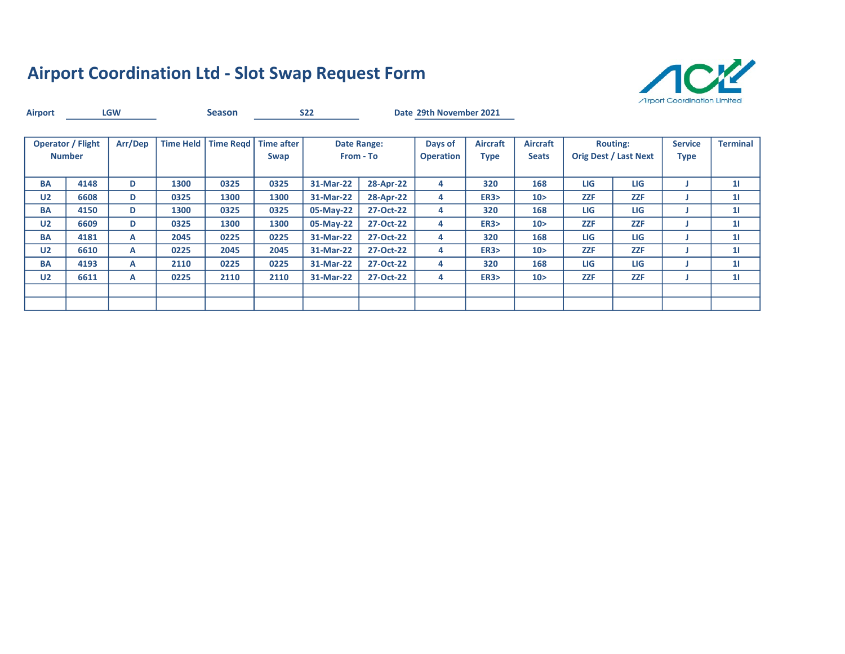

| <b>Airport</b>                            | <b>LGW</b> |         | <b>Season</b>                 |      | <b>S22</b>                                     |           | Date 29th November 2021 |                             |                                |                                 |                                                 |            |                               |                 |
|-------------------------------------------|------------|---------|-------------------------------|------|------------------------------------------------|-----------|-------------------------|-----------------------------|--------------------------------|---------------------------------|-------------------------------------------------|------------|-------------------------------|-----------------|
| <b>Operator / Flight</b><br><b>Number</b> |            | Arr/Dep | <b>Time Held</b><br>Time Read |      | Time after<br>Date Range:<br>From - To<br>Swap |           |                         | Days of<br><b>Operation</b> | <b>Aircraft</b><br><b>Type</b> | <b>Aircraft</b><br><b>Seats</b> | <b>Routing:</b><br><b>Orig Dest / Last Next</b> |            | <b>Service</b><br><b>Type</b> | <b>Terminal</b> |
| <b>BA</b>                                 | 4148       | D       | 1300                          | 0325 | 0325                                           | 31-Mar-22 | 28-Apr-22               | 4                           | 320                            | 168                             | <b>LIG</b>                                      | LIG        |                               | 11              |
| U <sub>2</sub>                            | 6608       | D       | 0325                          | 1300 | 1300                                           | 31-Mar-22 | 28-Apr-22               | 4                           | <b>ER3&gt;</b>                 | 10 <sub>2</sub>                 | <b>ZZF</b>                                      | <b>ZZF</b> |                               | 11              |
| <b>BA</b>                                 | 4150       | D       | 1300                          | 0325 | 0325                                           | 05-May-22 | 27-Oct-22               | 4                           | 320                            | 168                             | LIG                                             | LIG        |                               | 11              |
| U <sub>2</sub>                            | 6609       | D       | 0325                          | 1300 | 1300                                           | 05-May-22 | 27-Oct-22               | 4                           | ER3                            | 10 <sub>2</sub>                 | <b>ZZF</b>                                      | <b>ZZF</b> |                               | 11              |
| <b>BA</b>                                 | 4181       | А       | 2045                          | 0225 | 0225                                           | 31-Mar-22 | 27-Oct-22               | 4                           | 320                            | 168                             | LIG                                             | LIG        |                               | 11              |
| U <sub>2</sub>                            | 6610       | A       | 0225                          | 2045 | 2045                                           | 31-Mar-22 | 27-Oct-22               | 4                           | ER3                            | 10 <sub>2</sub>                 | <b>ZZF</b>                                      | <b>ZZF</b> |                               | 11              |
| <b>BA</b>                                 | 4193       | A       | 2110                          | 0225 | 0225                                           | 31-Mar-22 | 27-Oct-22               | 4                           | 320                            | 168                             | LIG                                             | LIG        |                               | 11              |
| U <sub>2</sub>                            | 6611       | A       | 0225                          | 2110 | 2110                                           | 31-Mar-22 | 27-Oct-22               | 4                           | ER3                            | 10 <sub>2</sub>                 | <b>ZZF</b>                                      | <b>ZZF</b> |                               | 11              |
|                                           |            |         |                               |      |                                                |           |                         |                             |                                |                                 |                                                 |            |                               |                 |
|                                           |            |         |                               |      |                                                |           |                         |                             |                                |                                 |                                                 |            |                               |                 |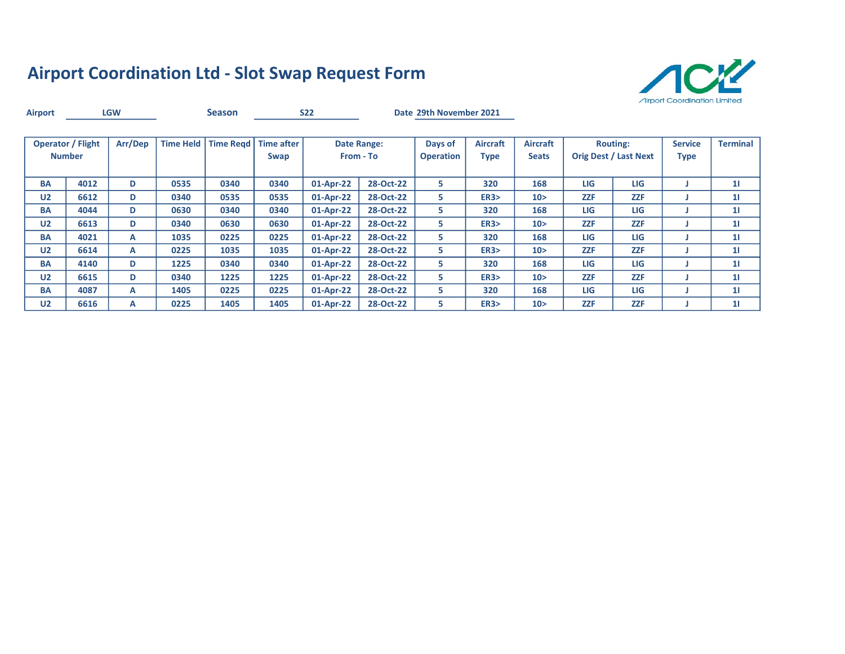

| <b>Airport</b>                            | <b>LGW</b> |         |                               | <b>Season</b> |                                                       | <b>S22</b> |                             | Date 29th November 2021 |                                |                                 |                                                 |            |                               |                 |
|-------------------------------------------|------------|---------|-------------------------------|---------------|-------------------------------------------------------|------------|-----------------------------|-------------------------|--------------------------------|---------------------------------|-------------------------------------------------|------------|-------------------------------|-----------------|
| <b>Operator / Flight</b><br><b>Number</b> |            | Arr/Dep | Time Read<br><b>Time Held</b> |               | <b>Time after</b><br>Date Range:<br>From - To<br>Swap |            | Days of<br><b>Operation</b> |                         | <b>Aircraft</b><br><b>Type</b> | <b>Aircraft</b><br><b>Seats</b> | <b>Routing:</b><br><b>Orig Dest / Last Next</b> |            | <b>Service</b><br><b>Type</b> | <b>Terminal</b> |
| <b>BA</b>                                 | 4012       | D       | 0535                          | 0340          | 0340                                                  | 01-Apr-22  | 28-Oct-22                   | 5.                      | 320                            | 168                             | <b>LIG</b>                                      | LIG        |                               | 11              |
| U <sub>2</sub>                            | 6612       | D       | 0340                          | 0535          | 0535                                                  | 01-Apr-22  | 28-Oct-22                   | 5.                      | <b>ER3&gt;</b>                 | 10 >                            | <b>ZZF</b>                                      | <b>ZZF</b> |                               | 11              |
| <b>BA</b>                                 | 4044       | D       | 0630                          | 0340          | 0340                                                  | 01-Apr-22  | 28-Oct-22                   | 5.                      | 320                            | 168                             | LIG                                             | LIG        |                               | 11              |
| U <sub>2</sub>                            | 6613       | D       | 0340                          | 0630          | 0630                                                  | 01-Apr-22  | 28-Oct-22                   | 5.                      | ER3                            | 10 >                            | <b>ZZF</b>                                      | <b>ZZF</b> |                               | 11              |
| <b>BA</b>                                 | 4021       | А       | 1035                          | 0225          | 0225                                                  | 01-Apr-22  | 28-Oct-22                   | 5.                      | 320                            | 168                             | LIG                                             | LIG        |                               | 11              |
| U <sub>2</sub>                            | 6614       | А       | 0225                          | 1035          | 1035                                                  | 01-Apr-22  | 28-Oct-22                   | 5.                      | ER3                            | 10 <sub>2</sub>                 | <b>ZZF</b>                                      | <b>ZZF</b> |                               | 11              |
| <b>BA</b>                                 | 4140       | D       | 1225                          | 0340          | 0340                                                  | 01-Apr-22  | 28-Oct-22                   | 5.                      | 320                            | 168                             | LIG                                             | LIG        |                               | 11              |
| U <sub>2</sub>                            | 6615       | D       | 0340                          | 1225          | 1225                                                  | 01-Apr-22  | 28-Oct-22                   | 5.                      | ER3                            | 10 <sub>2</sub>                 | <b>ZZF</b>                                      | <b>ZZF</b> |                               | 11              |
| <b>BA</b>                                 | 4087       | A       | 1405                          | 0225          | 0225                                                  | 01-Apr-22  | 28-Oct-22                   | 5.                      | 320                            | 168                             | <b>LIG</b>                                      | LIG        |                               | 11              |
| U <sub>2</sub>                            | 6616       | А       | 0225                          | 1405          | 1405                                                  | 01-Apr-22  | 28-Oct-22                   | 5.                      | ER3                            | 10 <sub>2</sub>                 | <b>ZZF</b>                                      | <b>ZZF</b> |                               | 11              |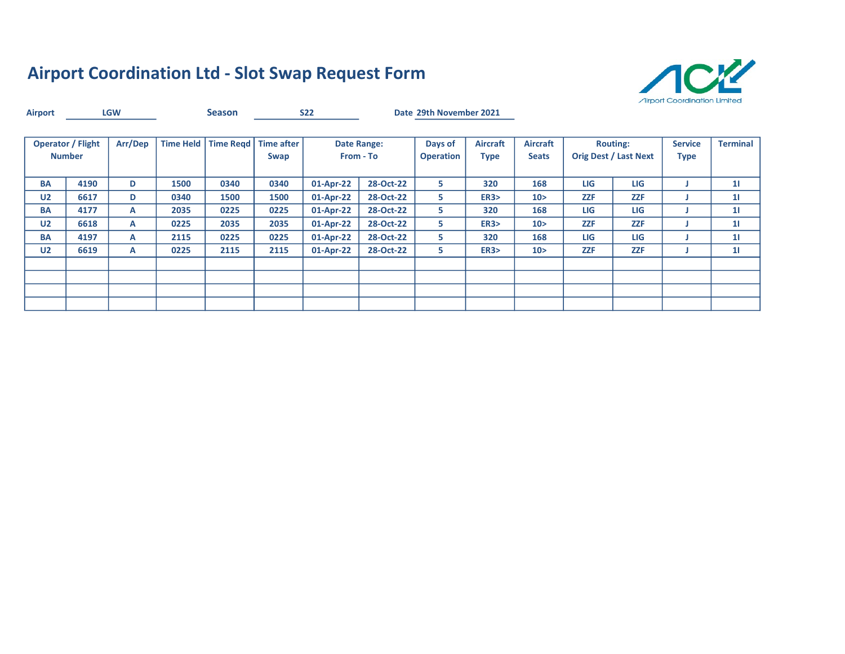

| <b>Airport</b>                            | <b>LGW</b> |         |                  | <b>Season</b>          | <b>S22</b> |           |                                 | Date 29th November 2021 |                                |                                 |            |                                                 |                               |                 |
|-------------------------------------------|------------|---------|------------------|------------------------|------------|-----------|---------------------------------|-------------------------|--------------------------------|---------------------------------|------------|-------------------------------------------------|-------------------------------|-----------------|
| <b>Operator / Flight</b><br><b>Number</b> |            | Arr/Dep | <b>Time Held</b> | Time Regd   Time after | Swap       |           | <b>Date Range:</b><br>From - To |                         | <b>Aircraft</b><br><b>Type</b> | <b>Aircraft</b><br><b>Seats</b> |            | <b>Routing:</b><br><b>Orig Dest / Last Next</b> | <b>Service</b><br><b>Type</b> | <b>Terminal</b> |
| <b>BA</b>                                 | 4190       | D       | 1500             | 0340                   | 0340       | 01-Apr-22 | 28-Oct-22                       | 5.                      | 320                            | 168                             | LIG        | LIG                                             |                               | 11              |
| U <sub>2</sub>                            | 6617       | D       | 0340             | 1500                   | 1500       | 01-Apr-22 | 28-Oct-22                       | 5.                      | <b>ER3&gt;</b>                 | 10 <sub>2</sub>                 | <b>ZZF</b> | <b>ZZF</b>                                      |                               | 11              |
| <b>BA</b>                                 | 4177       | A       | 2035             | 0225                   | 0225       | 01-Apr-22 | 28-Oct-22                       | 5.                      | 320                            | 168                             | LIG        | LIG                                             |                               | 11              |
| U <sub>2</sub>                            | 6618       | A       | 0225             | 2035                   | 2035       | 01-Apr-22 | 28-Oct-22                       | 5.                      | <b>ER3&gt;</b>                 | 10 <sub>2</sub>                 | <b>ZZF</b> | <b>ZZF</b>                                      |                               | 11              |
| <b>BA</b>                                 | 4197       | A       | 2115             | 0225                   | 0225       | 01-Apr-22 | 28-Oct-22                       | 5.                      | 320                            | 168                             | LIG        | LIG                                             |                               | 11              |
| U <sub>2</sub>                            | 6619       | A       | 0225             | 2115                   | 2115       | 01-Apr-22 | 28-Oct-22                       | 5.                      | <b>ER3&gt;</b>                 | 10 <sub>2</sub>                 | <b>ZZF</b> | <b>ZZF</b>                                      |                               | 11              |
|                                           |            |         |                  |                        |            |           |                                 |                         |                                |                                 |            |                                                 |                               |                 |
|                                           |            |         |                  |                        |            |           |                                 |                         |                                |                                 |            |                                                 |                               |                 |
|                                           |            |         |                  |                        |            |           |                                 |                         |                                |                                 |            |                                                 |                               |                 |
|                                           |            |         |                  |                        |            |           |                                 |                         |                                |                                 |            |                                                 |                               |                 |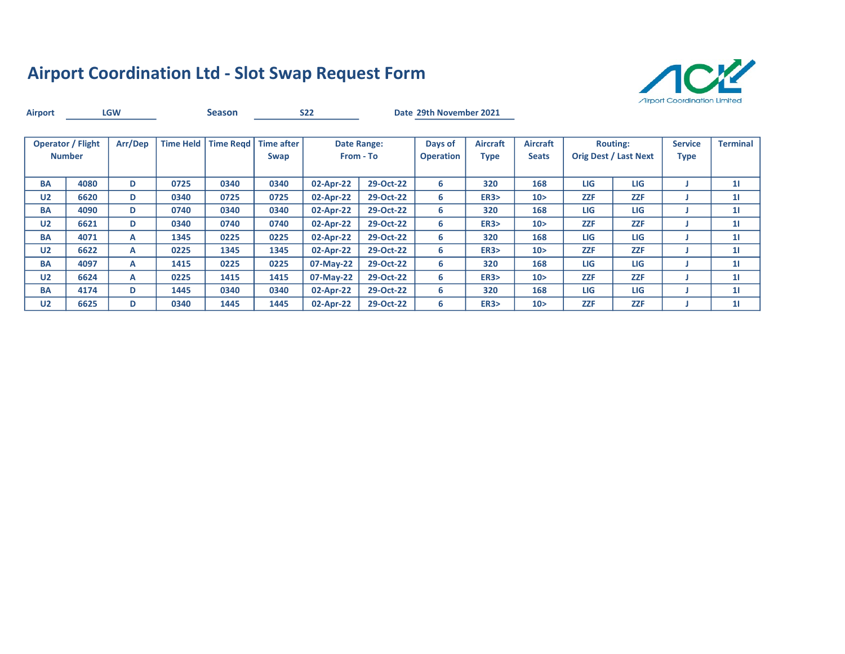

| <b>Airport</b>                            | <b>LGW</b> |         | <b>Season</b>                 |      | <b>S22</b>                                            |           |                             | Date 29th November 2021 |                                |                                 |                                                 |            |                               |                 |
|-------------------------------------------|------------|---------|-------------------------------|------|-------------------------------------------------------|-----------|-----------------------------|-------------------------|--------------------------------|---------------------------------|-------------------------------------------------|------------|-------------------------------|-----------------|
| <b>Operator / Flight</b><br><b>Number</b> |            | Arr/Dep | Time Read<br><b>Time Held</b> |      | <b>Time after</b><br>Date Range:<br>From - To<br>Swap |           | Days of<br><b>Operation</b> |                         | <b>Aircraft</b><br><b>Type</b> | <b>Aircraft</b><br><b>Seats</b> | <b>Routing:</b><br><b>Orig Dest / Last Next</b> |            | <b>Service</b><br><b>Type</b> | <b>Terminal</b> |
| <b>BA</b>                                 | 4080       | D       | 0725                          | 0340 | 0340                                                  | 02-Apr-22 | 29-Oct-22                   | 6                       | 320                            | 168                             | <b>LIG</b>                                      | LIG        |                               | 11              |
| U <sub>2</sub>                            | 6620       | D       | 0340                          | 0725 | 0725                                                  | 02-Apr-22 | 29-Oct-22                   | 6                       | <b>ER3&gt;</b>                 | 10 >                            | <b>ZZF</b>                                      | <b>ZZF</b> |                               | 11              |
| <b>BA</b>                                 | 4090       | D       | 0740                          | 0340 | 0340                                                  | 02-Apr-22 | 29-Oct-22                   | 6                       | 320                            | 168                             | LIG                                             | LIG        |                               | 11              |
| U <sub>2</sub>                            | 6621       | D       | 0340                          | 0740 | 0740                                                  | 02-Apr-22 | 29-Oct-22                   | 6                       | ER3                            | 10 >                            | <b>ZZF</b>                                      | <b>ZZF</b> |                               | 11              |
| <b>BA</b>                                 | 4071       | А       | 1345                          | 0225 | 0225                                                  | 02-Apr-22 | 29-Oct-22                   | 6                       | 320                            | 168                             | LIG                                             | LIG        |                               | 11              |
| U <sub>2</sub>                            | 6622       | А       | 0225                          | 1345 | 1345                                                  | 02-Apr-22 | 29-Oct-22                   | 6                       | <b>ER3&gt;</b>                 | 10 <sub>2</sub>                 | <b>ZZF</b>                                      | <b>ZZF</b> |                               | 11              |
| <b>BA</b>                                 | 4097       | A       | 1415                          | 0225 | 0225                                                  | 07-May-22 | 29-Oct-22                   | 6                       | 320                            | 168                             | <b>LIG</b>                                      | LIG        |                               | 11              |
| U <sub>2</sub>                            | 6624       | A       | 0225                          | 1415 | 1415                                                  | 07-May-22 | 29-Oct-22                   | 6                       | <b>ER3&gt;</b>                 | 10 <sub>2</sub>                 | <b>ZZF</b>                                      | <b>ZZF</b> |                               | 11              |
| <b>BA</b>                                 | 4174       | D       | 1445                          | 0340 | 0340                                                  | 02-Apr-22 | 29-Oct-22                   | 6                       | 320                            | 168                             | <b>LIG</b>                                      | LIG        |                               | 11              |
| U <sub>2</sub>                            | 6625       | D       | 0340                          | 1445 | 1445                                                  | 02-Apr-22 | 29-Oct-22                   | 6                       | <b>ER3&gt;</b>                 | 10 <sub>2</sub>                 | <b>ZZF</b>                                      | <b>ZZF</b> |                               | 11              |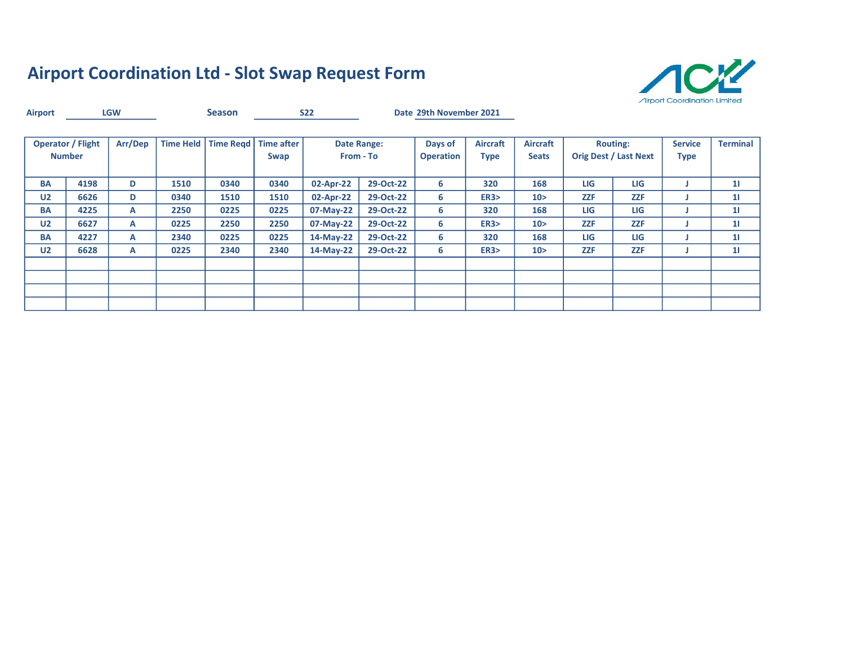

| <b>Airport</b>                            |      | <b>LGW</b> | <b>Season</b>                              |      | <b>S22</b>                              |           |           | Date 29th November 2021     |                                |                                 |                                                 |            |                               |                 |
|-------------------------------------------|------|------------|--------------------------------------------|------|-----------------------------------------|-----------|-----------|-----------------------------|--------------------------------|---------------------------------|-------------------------------------------------|------------|-------------------------------|-----------------|
| <b>Operator / Flight</b><br><b>Number</b> |      | Arr/Dep    | Time Regd   Time after<br><b>Time Held</b> |      | <b>Date Range:</b><br>From - To<br>Swap |           |           | Days of<br><b>Operation</b> | <b>Aircraft</b><br><b>Type</b> | <b>Aircraft</b><br><b>Seats</b> | <b>Routing:</b><br><b>Orig Dest / Last Next</b> |            | <b>Service</b><br><b>Type</b> | <b>Terminal</b> |
| <b>BA</b>                                 | 4198 | D          | 1510                                       | 0340 | 0340                                    | 02-Apr-22 | 29-Oct-22 | 6                           | 320                            | 168                             | LIG                                             | LIG        |                               | 11              |
| U <sub>2</sub>                            | 6626 | D          | 0340                                       | 1510 | 1510                                    | 02-Apr-22 | 29-Oct-22 | 6                           | <b>ER3&gt;</b>                 | 10 <sub>2</sub>                 | <b>ZZF</b>                                      | <b>ZZF</b> |                               | 11              |
| <b>BA</b>                                 | 4225 | А          | 2250                                       | 0225 | 0225                                    | 07-May-22 | 29-Oct-22 | 6                           | 320                            | 168                             | <b>LIG</b>                                      | LIG        |                               | 11              |
| U <sub>2</sub>                            | 6627 | А          | 0225                                       | 2250 | 2250                                    | 07-May-22 | 29-Oct-22 | 6                           | <b>ER3&gt;</b>                 | 10 <sub>2</sub>                 | <b>ZZF</b>                                      | <b>ZZF</b> |                               | 11              |
| BA                                        | 4227 | А          | 2340                                       | 0225 | 0225                                    | 14-May-22 | 29-Oct-22 | 6                           | 320                            | 168                             | <b>LIG</b>                                      | LIG        |                               | 11              |
| U <sub>2</sub>                            | 6628 | А          | 0225                                       | 2340 | 2340                                    | 14-May-22 | 29-Oct-22 | 6                           | <b>ER3&gt;</b>                 | 10 <sub>2</sub>                 | <b>ZZF</b>                                      | <b>ZZF</b> |                               | 11              |
|                                           |      |            |                                            |      |                                         |           |           |                             |                                |                                 |                                                 |            |                               |                 |
|                                           |      |            |                                            |      |                                         |           |           |                             |                                |                                 |                                                 |            |                               |                 |
|                                           |      |            |                                            |      |                                         |           |           |                             |                                |                                 |                                                 |            |                               |                 |
|                                           |      |            |                                            |      |                                         |           |           |                             |                                |                                 |                                                 |            |                               |                 |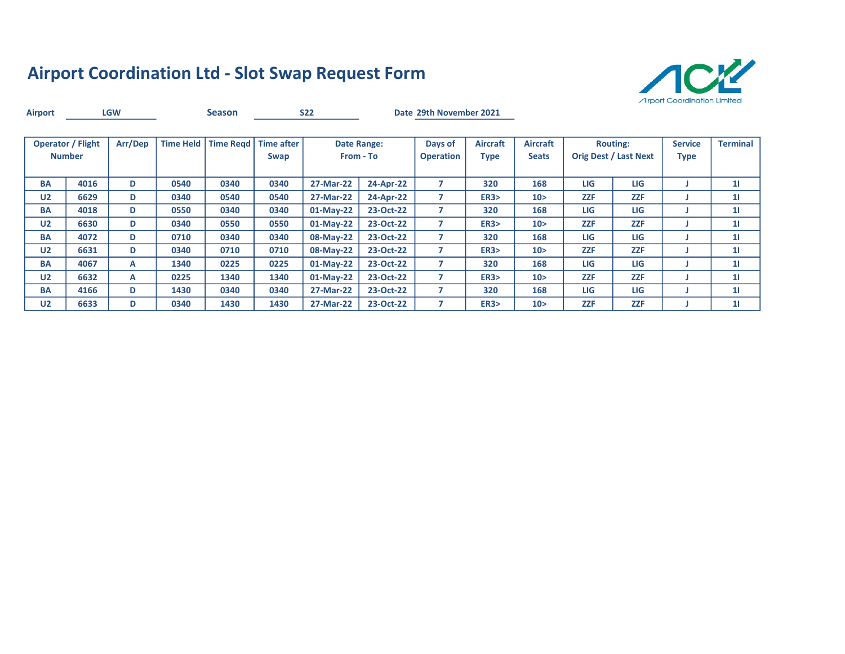

| <b>Airport</b>                            | <b>LGW</b> |         | <b>Season</b>    |           | <b>S22</b>                |                          |           | Date 29th November 2021     |                                |                                 |            |                                                 |                               |                 |
|-------------------------------------------|------------|---------|------------------|-----------|---------------------------|--------------------------|-----------|-----------------------------|--------------------------------|---------------------------------|------------|-------------------------------------------------|-------------------------------|-----------------|
| <b>Operator / Flight</b><br><b>Number</b> |            | Arr/Dep | <b>Time Held</b> | Time Read | <b>Time after</b><br>Swap | Date Range:<br>From - To |           | Days of<br><b>Operation</b> | <b>Aircraft</b><br><b>Type</b> | <b>Aircraft</b><br><b>Seats</b> |            | <b>Routing:</b><br><b>Orig Dest / Last Next</b> | <b>Service</b><br><b>Type</b> | <b>Terminal</b> |
| <b>BA</b>                                 | 4016       | D       | 0540             | 0340      | 0340                      | 27-Mar-22                | 24-Apr-22 | 7                           | 320                            | 168                             | <b>LIG</b> | LIG                                             |                               | 11              |
| U <sub>2</sub>                            | 6629       | D       | 0340             | 0540      | 0540                      | 27-Mar-22                | 24-Apr-22 | 7                           | <b>ER3&gt;</b>                 | 10 >                            | <b>ZZF</b> | <b>ZZF</b>                                      |                               | 11              |
| <b>BA</b>                                 | 4018       | D       | 0550             | 0340      | 0340                      | $01-May-22$              | 23-Oct-22 | 7                           | 320                            | 168                             | LIG        | LIG                                             |                               | 11              |
| U <sub>2</sub>                            | 6630       | D       | 0340             | 0550      | 0550                      | $01-May-22$              | 23-Oct-22 | 7                           | <b>ER3&gt;</b>                 | 10 <sub>2</sub>                 | <b>ZZF</b> | <b>ZZF</b>                                      |                               | 11              |
| <b>BA</b>                                 | 4072       | D       | 0710             | 0340      | 0340                      | 08-May-22                | 23-Oct-22 |                             | 320                            | 168                             | LIG        | LIG                                             |                               | 11              |
| U <sub>2</sub>                            | 6631       | D       | 0340             | 0710      | 0710                      | 08-May-22                | 23-Oct-22 |                             | <b>ER3&gt;</b>                 | 10 <sub>2</sub>                 | <b>ZZF</b> | <b>ZZF</b>                                      |                               | 11              |
| <b>BA</b>                                 | 4067       | A       | 1340             | 0225      | 0225                      | 01-May-22                | 23-Oct-22 |                             | 320                            | 168                             | <b>LIG</b> | LIG                                             |                               | 11              |
| U <sub>2</sub>                            | 6632       | A       | 0225             | 1340      | 1340                      | $01-May-22$              | 23-Oct-22 | 7                           | <b>ER3&gt;</b>                 | 10 <sub>2</sub>                 | <b>ZZF</b> | <b>ZZF</b>                                      |                               | 11              |
| <b>BA</b>                                 | 4166       | D       | 1430             | 0340      | 0340                      | 27-Mar-22                | 23-Oct-22 | 7                           | 320                            | 168                             | <b>LIG</b> | LIG                                             |                               | 11              |
| U <sub>2</sub>                            | 6633       | D       | 0340             | 1430      | 1430                      | 27-Mar-22                | 23-Oct-22 |                             | <b>ER3&gt;</b>                 | 10 <sub>2</sub>                 | <b>ZZF</b> | <b>ZZF</b>                                      |                               | 11              |